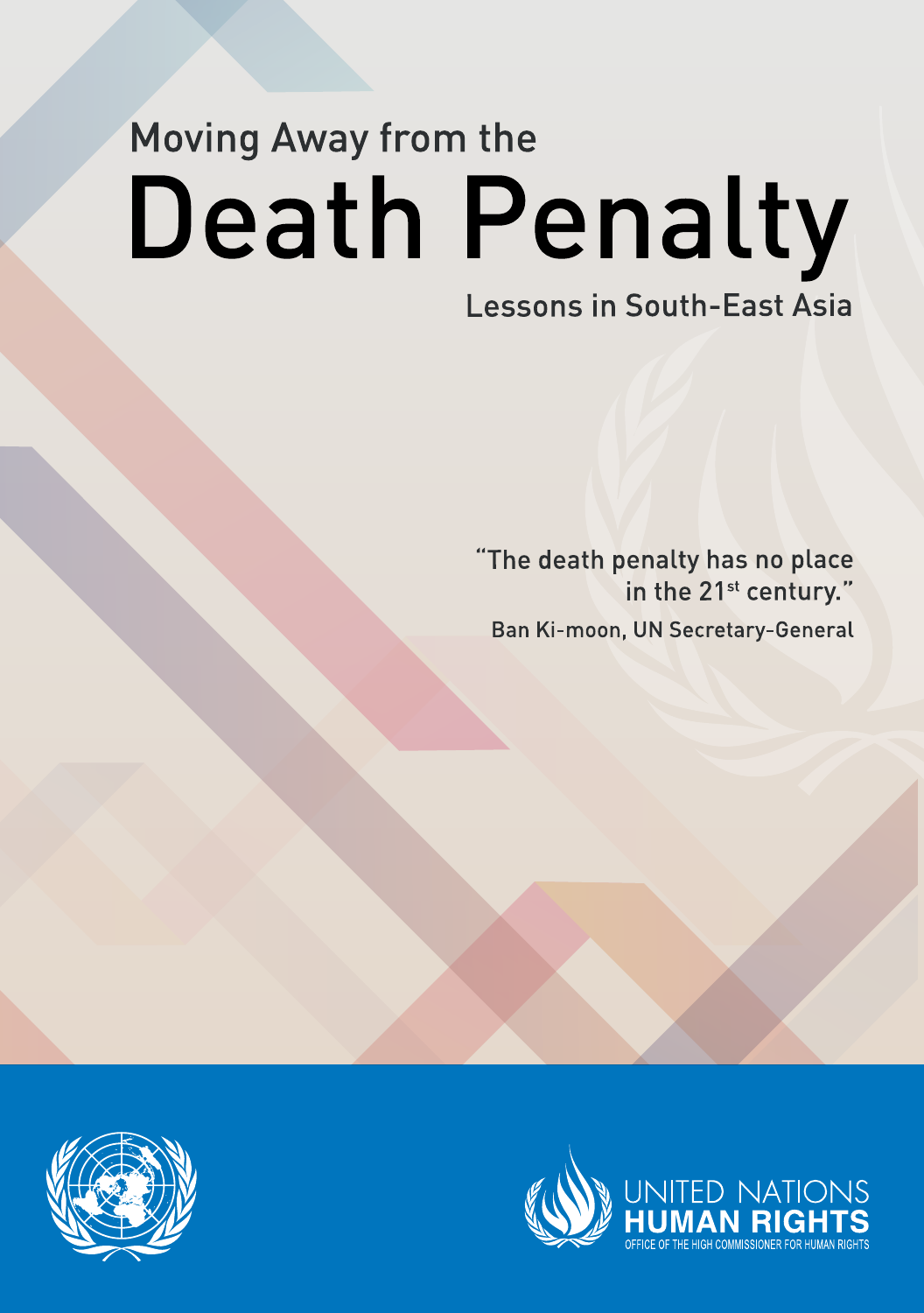# **Moving Away from the Death Penalty**

# **Lessons in South-East Asia**

"The death penalty has no place in the 21<sup>st</sup> century." Ban Ki-moon, UN Secretary-General



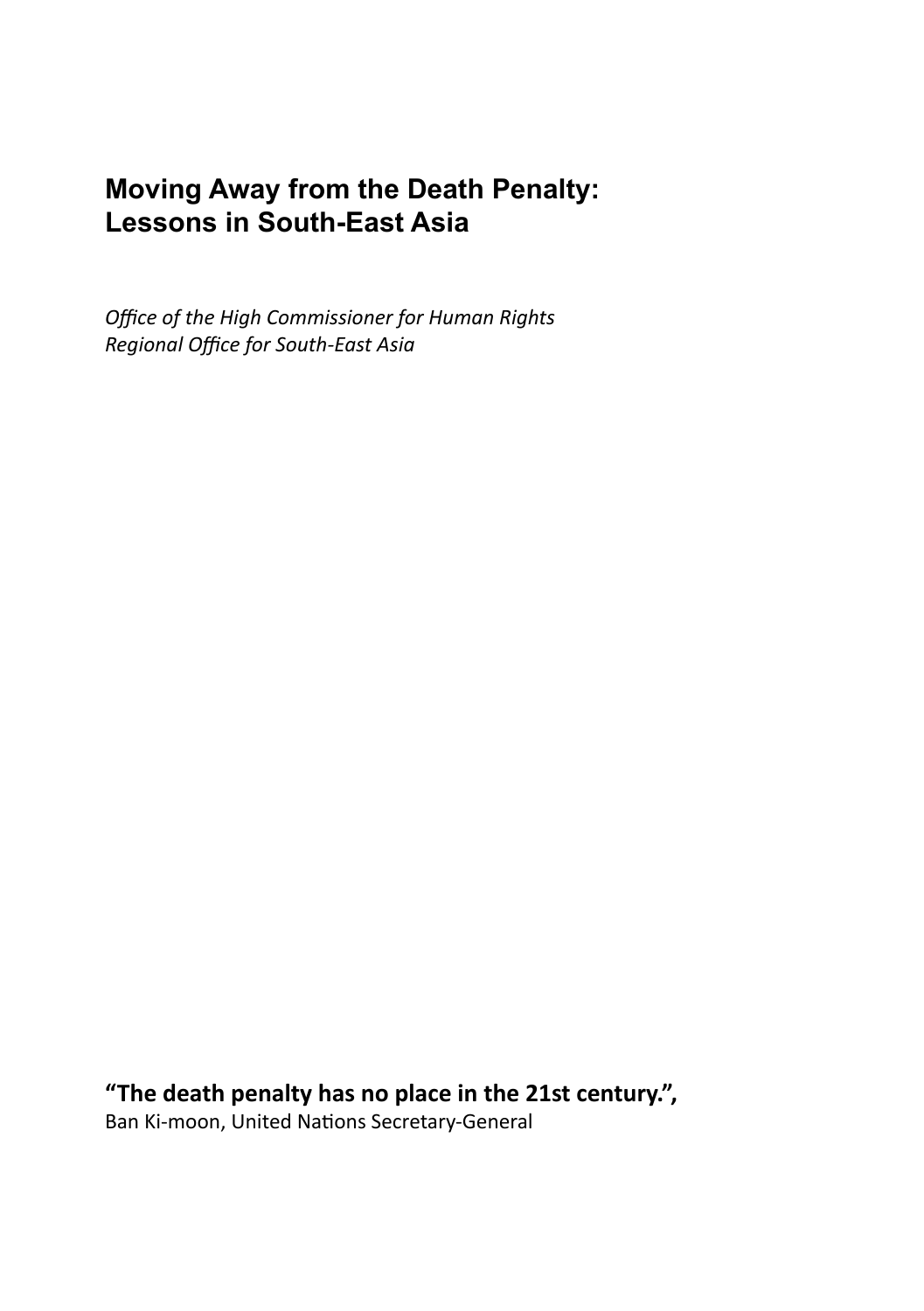# **Moving Away from the Death Penalty: Lessons in South-East Asia**

*Office of the High Commissioner for Human Rights Regional Office for South-East Asia*

**"The death penalty has no place in the 21st century.",** Ban Ki-moon, United Nations Secretary-General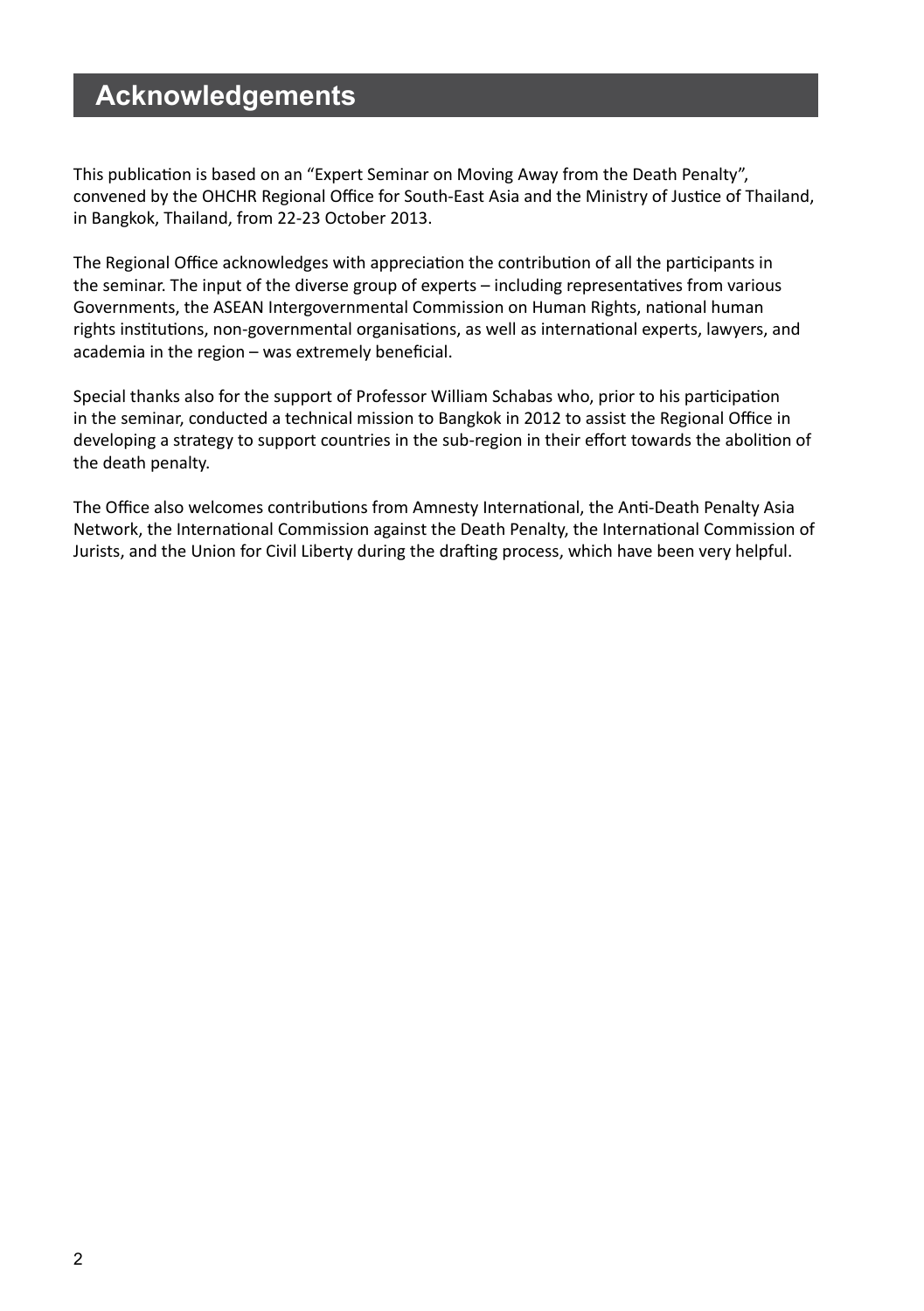# **Acknowledgements**

This publication is based on an "Expert Seminar on Moving Away from the Death Penalty", convened by the OHCHR Regional Office for South-East Asia and the Ministry of Justice of Thailand, in Bangkok, Thailand, from 22-23 October 2013.

The Regional Office acknowledges with appreciation the contribution of all the participants in the seminar. The input of the diverse group of experts – including representatives from various Governments, the ASEAN Intergovernmental Commission on Human Rights, national human rights institutions, non-governmental organisations, as well as international experts, lawyers, and academia in the region – was extremely beneficial.

Special thanks also for the support of Professor William Schabas who, prior to his participation in the seminar, conducted a technical mission to Bangkok in 2012 to assist the Regional Office in developing a strategy to support countries in the sub-region in their effort towards the abolition of the death penalty.

The Office also welcomes contributions from Amnesty International, the Anti-Death Penalty Asia Network, the International Commission against the Death Penalty, the International Commission of Jurists, and the Union for Civil Liberty during the drafting process, which have been very helpful.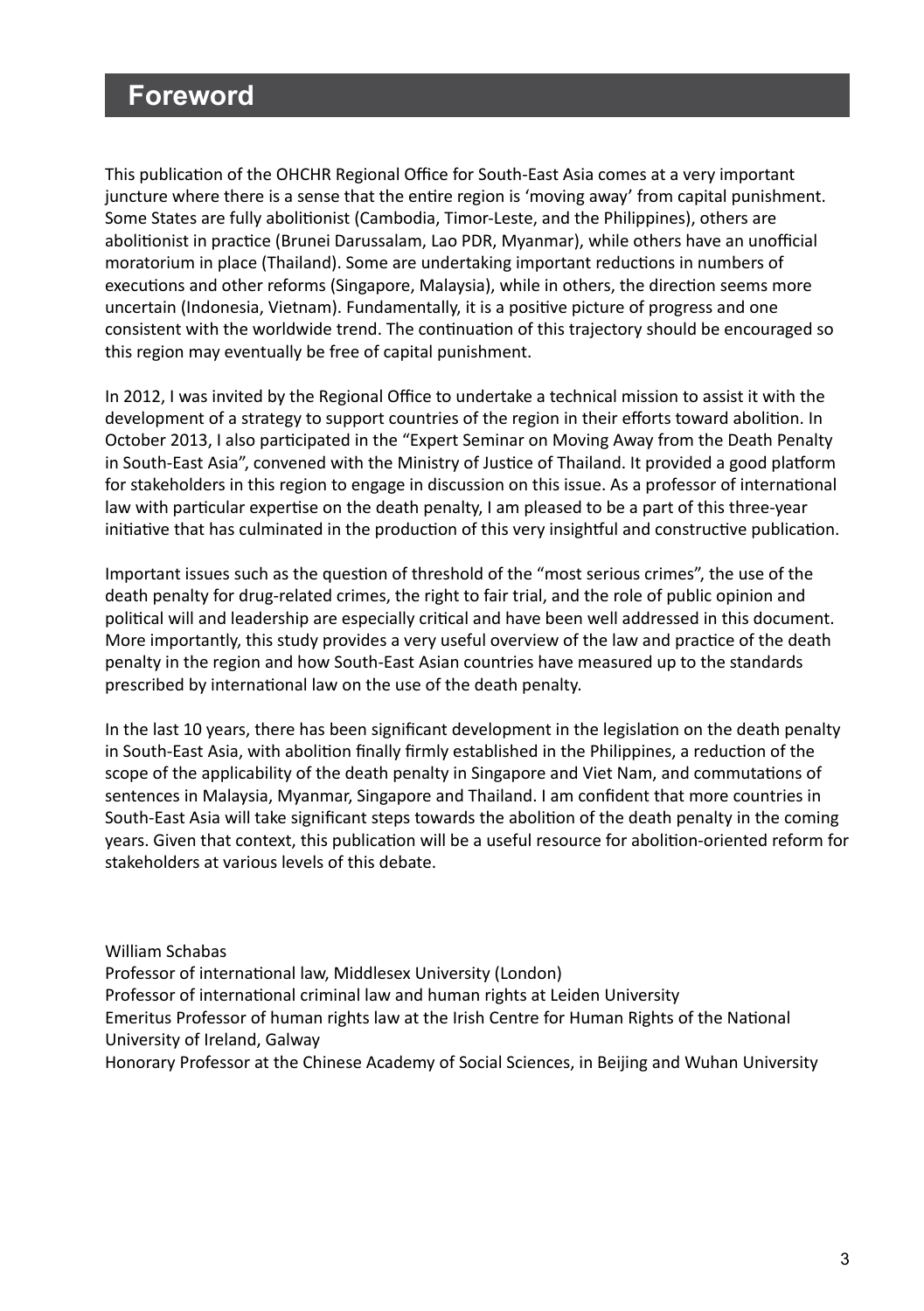# **Foreword**

This publication of the OHCHR Regional Office for South-East Asia comes at a very important juncture where there is a sense that the entire region is 'moving away' from capital punishment. Some States are fully abolitionist (Cambodia, Timor-Leste, and the Philippines), others are abolitionist in practice (Brunei Darussalam, Lao PDR, Myanmar), while others have an unofficial moratorium in place (Thailand). Some are undertaking important reductions in numbers of executions and other reforms (Singapore, Malaysia), while in others, the direction seems more uncertain (Indonesia, Vietnam). Fundamentally, it is a positive picture of progress and one consistent with the worldwide trend. The continuation of this trajectory should be encouraged so this region may eventually be free of capital punishment.

In 2012, I was invited by the Regional Office to undertake a technical mission to assist it with the development of a strategy to support countries of the region in their efforts toward abolition. In October 2013, I also participated in the "Expert Seminar on Moving Away from the Death Penalty in South-East Asia", convened with the Ministry of Justice of Thailand. It provided a good platform for stakeholders in this region to engage in discussion on this issue. As a professor of international law with particular expertise on the death penalty, I am pleased to be a part of this three-year initiative that has culminated in the production of this very insightful and constructive publication.

Important issues such as the question of threshold of the "most serious crimes", the use of the death penalty for drug-related crimes, the right to fair trial, and the role of public opinion and political will and leadership are especially critical and have been well addressed in this document. More importantly, this study provides a very useful overview of the law and practice of the death penalty in the region and how South-East Asian countries have measured up to the standards prescribed by international law on the use of the death penalty.

In the last 10 years, there has been significant development in the legislation on the death penalty in South-East Asia, with abolition finally firmly established in the Philippines, a reduction of the scope of the applicability of the death penalty in Singapore and Viet Nam, and commutations of sentences in Malaysia, Myanmar, Singapore and Thailand. I am confident that more countries in South-East Asia will take significant steps towards the abolition of the death penalty in the coming years. Given that context, this publication will be a useful resource for abolition-oriented reform for stakeholders at various levels of this debate.

William Schabas Professor of international law, Middlesex University (London) Professor of international criminal law and human rights at Leiden University Emeritus Professor of human rights law at the Irish Centre for Human Rights of the National University of Ireland, Galway Honorary Professor at the Chinese Academy of Social Sciences, in Beijing and Wuhan University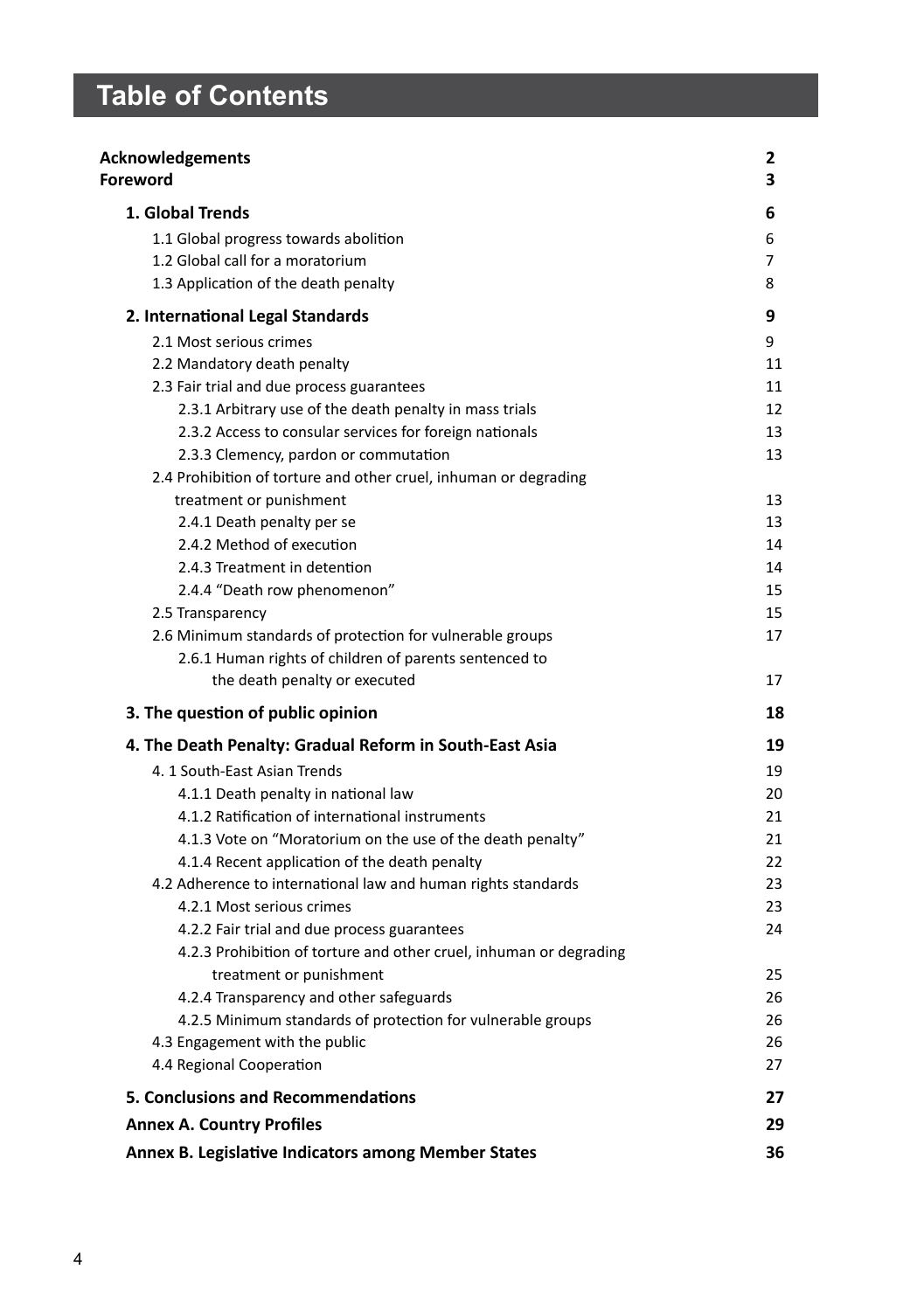# **Table of Contents**

| <b>Acknowledgements</b><br>Foreword                                | 2<br>3 |
|--------------------------------------------------------------------|--------|
| 1. Global Trends                                                   | 6      |
| 1.1 Global progress towards abolition                              | 6      |
| 1.2 Global call for a moratorium                                   | 7      |
| 1.3 Application of the death penalty                               | 8      |
| 2. International Legal Standards                                   | 9      |
| 2.1 Most serious crimes                                            | 9      |
| 2.2 Mandatory death penalty                                        | 11     |
| 2.3 Fair trial and due process guarantees                          | 11     |
| 2.3.1 Arbitrary use of the death penalty in mass trials            | 12     |
| 2.3.2 Access to consular services for foreign nationals            | 13     |
| 2.3.3 Clemency, pardon or commutation                              | 13     |
| 2.4 Prohibition of torture and other cruel, inhuman or degrading   |        |
| treatment or punishment                                            | 13     |
| 2.4.1 Death penalty per se                                         | 13     |
| 2.4.2 Method of execution                                          | 14     |
| 2.4.3 Treatment in detention                                       | 14     |
| 2.4.4 "Death row phenomenon"                                       | 15     |
| 2.5 Transparency                                                   | 15     |
| 2.6 Minimum standards of protection for vulnerable groups          | 17     |
| 2.6.1 Human rights of children of parents sentenced to             |        |
| the death penalty or executed                                      | 17     |
| 3. The question of public opinion                                  | 18     |
| 4. The Death Penalty: Gradual Reform in South-East Asia            | 19     |
| 4. 1 South-East Asian Trends                                       | 19     |
| 4.1.1 Death penalty in national law                                | 20     |
| 4.1.2 Ratification of international instruments                    | 21     |
| 4.1.3 Vote on "Moratorium on the use of the death penalty"         | 21     |
| 4.1.4 Recent application of the death penalty                      | 22     |
| 4.2 Adherence to international law and human rights standards      | 23     |
| 4.2.1 Most serious crimes                                          | 23     |
| 4.2.2 Fair trial and due process guarantees                        | 24     |
| 4.2.3 Prohibition of torture and other cruel, inhuman or degrading |        |
| treatment or punishment                                            | 25     |
| 4.2.4 Transparency and other safeguards                            | 26     |
| 4.2.5 Minimum standards of protection for vulnerable groups        | 26     |
| 4.3 Engagement with the public                                     | 26     |
| 4.4 Regional Cooperation                                           | 27     |
| 5. Conclusions and Recommendations                                 | 27     |
| <b>Annex A. Country Profiles</b>                                   | 29     |
| Annex B. Legislative Indicators among Member States                | 36     |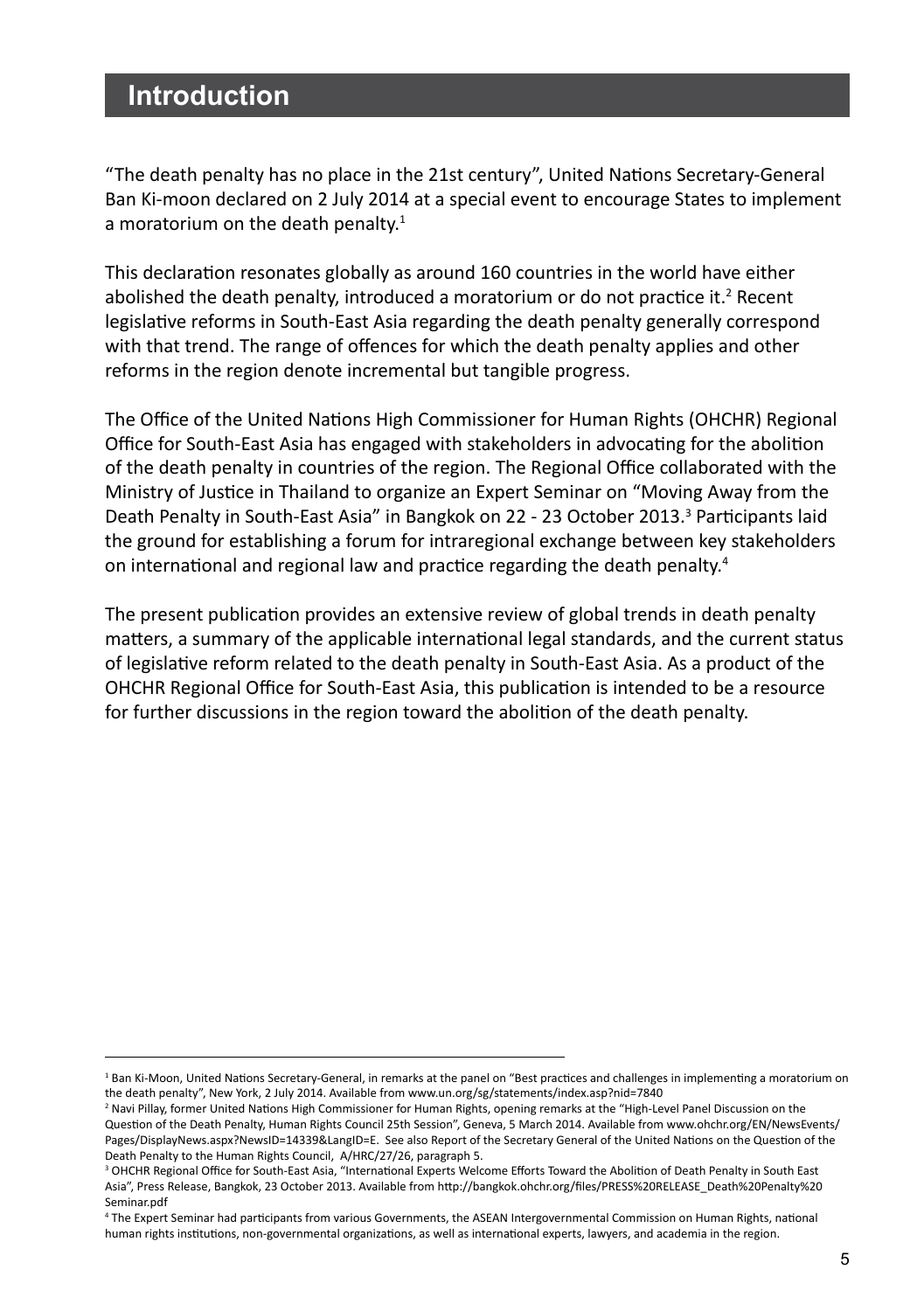# **Introduction**

"The death penalty has no place in the 21st century", United Nations Secretary-General Ban Ki-moon declared on 2 July 2014 at a special event to encourage States to implement a moratorium on the death penalty.<sup>1</sup>

This declaration resonates globally as around 160 countries in the world have either abolished the death penalty, introduced a moratorium or do not practice it.<sup>2</sup> Recent legislative reforms in South-East Asia regarding the death penalty generally correspond with that trend. The range of offences for which the death penalty applies and other reforms in the region denote incremental but tangible progress.

The Office of the United Nations High Commissioner for Human Rights (OHCHR) Regional Office for South-East Asia has engaged with stakeholders in advocating for the abolition of the death penalty in countries of the region. The Regional Office collaborated with the Ministry of Justice in Thailand to organize an Expert Seminar on "Moving Away from the Death Penalty in South-East Asia" in Bangkok on 22 - 23 October 2013.<sup>3</sup> Participants laid the ground for establishing a forum for intraregional exchange between key stakeholders on international and regional law and practice regarding the death penalty.4

The present publication provides an extensive review of global trends in death penalty matters, a summary of the applicable international legal standards, and the current status of legislative reform related to the death penalty in South-East Asia. As a product of the OHCHR Regional Office for South-East Asia, this publication is intended to be a resource for further discussions in the region toward the abolition of the death penalty.

<sup>&</sup>lt;sup>1</sup> Ban Ki-Moon, United Nations Secretary-General, in remarks at the panel on "Best practices and challenges in implementing a moratorium on the death penalty", New York, 2 July 2014. Available from www.un.org/sg/statements/index.asp?nid=7840

<sup>2</sup> Navi Pillay, former United Nations High Commissioner for Human Rights, opening remarks at the "High-Level Panel Discussion on the Question of the Death Penalty, Human Rights Council 25th Session", Geneva, 5 March 2014. Available from www.ohchr.org/EN/NewsEvents/ Pages/DisplayNews.aspx?NewsID=14339&LangID=E. See also Report of the Secretary General of the United Nations on the Question of the Death Penalty to the Human Rights Council, A/HRC/27/26, paragraph 5.

<sup>3</sup> OHCHR Regional Office for South-East Asia, "International Experts Welcome Efforts Toward the Abolition of Death Penalty in South East Asia", Press Release, Bangkok, 23 October 2013. Available from http://bangkok.ohchr.org/files/PRESS%20RELEASE\_Death%20Penalty%20 Seminar.pdf

<sup>4</sup> The Expert Seminar had participants from various Governments, the ASEAN Intergovernmental Commission on Human Rights, national human rights institutions, non-governmental organizations, as well as international experts, lawyers, and academia in the region.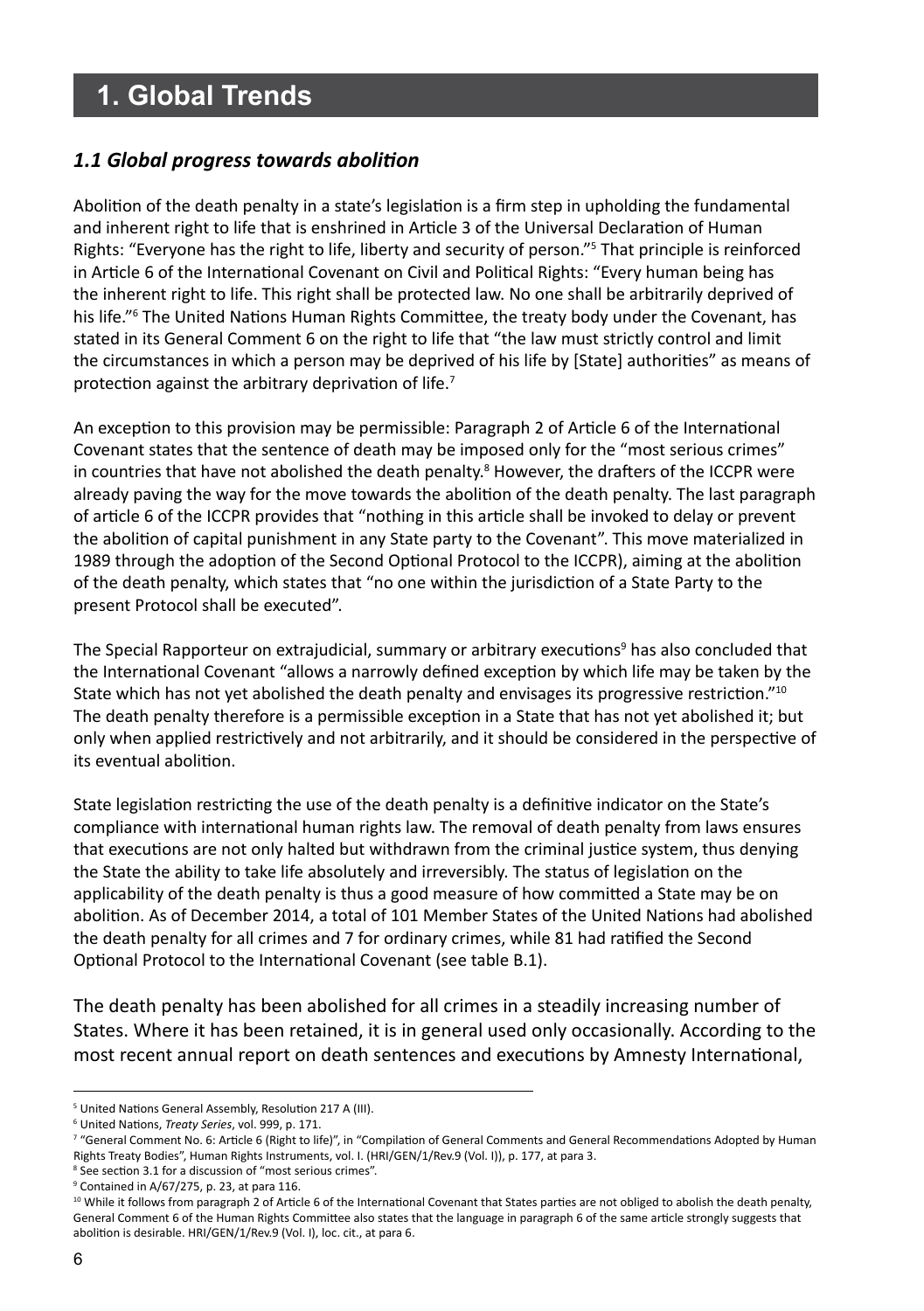# **1. Global Trends**

## *1.1 Global progress towards abolition*

Abolition of the death penalty in a state's legislation is a firm step in upholding the fundamental and inherent right to life that is enshrined in Article 3 of the Universal Declaration of Human Rights: "Everyone has the right to life, liberty and security of person."5 That principle is reinforced in Article 6 of the International Covenant on Civil and Political Rights: "Every human being has the inherent right to life. This right shall be protected law. No one shall be arbitrarily deprived of his life."6 The United Nations Human Rights Committee, the treaty body under the Covenant, has stated in its General Comment 6 on the right to life that "the law must strictly control and limit the circumstances in which a person may be deprived of his life by [State] authorities" as means of protection against the arbitrary deprivation of life.<sup>7</sup>

An exception to this provision may be permissible: Paragraph 2 of Article 6 of the International Covenant states that the sentence of death may be imposed only for the "most serious crimes" in countries that have not abolished the death penalty.<sup>8</sup> However, the drafters of the ICCPR were already paving the way for the move towards the abolition of the death penalty. The last paragraph of article 6 of the ICCPR provides that "nothing in this article shall be invoked to delay or prevent the abolition of capital punishment in any State party to the Covenant". This move materialized in 1989 through the adoption of the Second Optional Protocol to the ICCPR), aiming at the abolition of the death penalty, which states that "no one within the jurisdiction of a State Party to the present Protocol shall be executed".

The Special Rapporteur on extrajudicial, summary or arbitrary executions<sup>9</sup> has also concluded that the International Covenant "allows a narrowly defined exception by which life may be taken by the State which has not yet abolished the death penalty and envisages its progressive restriction."10 The death penalty therefore is a permissible exception in a State that has not yet abolished it; but only when applied restrictively and not arbitrarily, and it should be considered in the perspective of its eventual abolition.

State legislation restricting the use of the death penalty is a definitive indicator on the State's compliance with international human rights law. The removal of death penalty from laws ensures that executions are not only halted but withdrawn from the criminal justice system, thus denying the State the ability to take life absolutely and irreversibly. The status of legislation on the applicability of the death penalty is thus a good measure of how committed a State may be on abolition. As of December 2014, a total of 101 Member States of the United Nations had abolished the death penalty for all crimes and 7 for ordinary crimes, while 81 had ratified the Second Optional Protocol to the International Covenant (see table B.1).

The death penalty has been abolished for all crimes in a steadily increasing number of States. Where it has been retained, it is in general used only occasionally. According to the most recent annual report on death sentences and executions by Amnesty International,

<sup>5</sup> United Nations General Assembly, Resolution 217 A (III).

<sup>6</sup> United Nations, *Treaty Series*, vol. 999, p. 171.

<sup>7</sup> "General Comment No. 6: Article 6 (Right to life)", in "Compilation of General Comments and General Recommendations Adopted by Human Rights Treaty Bodies", Human Rights Instruments, vol. I. (HRI/GEN/1/Rev.9 (Vol. I)), p. 177, at para 3.

<sup>&</sup>lt;sup>8</sup> See section 3.1 for a discussion of "most serious crimes".

<sup>9</sup> Contained in A/67/275, p. 23, at para 116.

<sup>&</sup>lt;sup>10</sup> While it follows from paragraph 2 of Article 6 of the International Covenant that States parties are not obliged to abolish the death penalty, General Comment 6 of the Human Rights Committee also states that the language in paragraph 6 of the same article strongly suggests that abolition is desirable. HRI/GEN/1/Rev.9 (Vol. I), loc. cit., at para 6.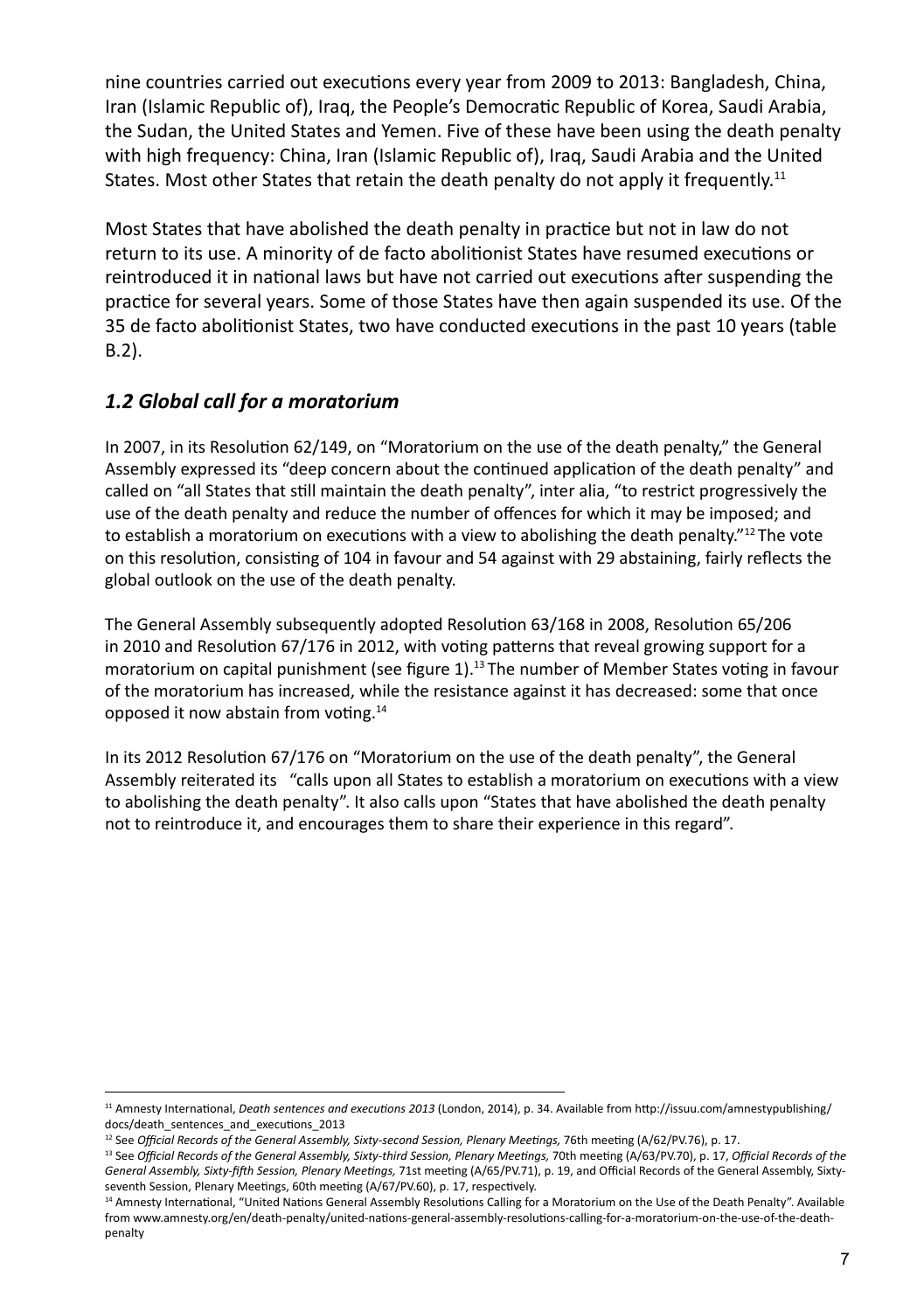nine countries carried out executions every year from 2009 to 2013: Bangladesh, China, Iran (Islamic Republic of), Iraq, the People's Democratic Republic of Korea, Saudi Arabia, the Sudan, the United States and Yemen. Five of these have been using the death penalty with high frequency: China, Iran (Islamic Republic of), Iraq, Saudi Arabia and the United States. Most other States that retain the death penalty do not apply it frequently.<sup>11</sup>

Most States that have abolished the death penalty in practice but not in law do not return to its use. A minority of de facto abolitionist States have resumed executions or reintroduced it in national laws but have not carried out executions after suspending the practice for several years. Some of those States have then again suspended its use. Of the 35 de facto abolitionist States, two have conducted executions in the past 10 years (table B.2).

# *1.2 Global call for a moratorium*

In 2007, in its Resolution 62/149, on "Moratorium on the use of the death penalty," the General Assembly expressed its "deep concern about the continued application of the death penalty" and called on "all States that still maintain the death penalty", inter alia, "to restrict progressively the use of the death penalty and reduce the number of offences for which it may be imposed; and to establish a moratorium on executions with a view to abolishing the death penalty."<sup>12</sup> The vote on this resolution, consisting of 104 in favour and 54 against with 29 abstaining, fairly reflects the global outlook on the use of the death penalty.

The General Assembly subsequently adopted Resolution 63/168 in 2008, Resolution 65/206 in 2010 and Resolution 67/176 in 2012, with voting patterns that reveal growing support for a moratorium on capital punishment (see figure 1).13 The number of Member States voting in favour of the moratorium has increased, while the resistance against it has decreased: some that once opposed it now abstain from voting.14

In its 2012 Resolution 67/176 on "Moratorium on the use of the death penalty", the General Assembly reiterated its "calls upon all States to establish a moratorium on executions with a view to abolishing the death penalty". It also calls upon "States that have abolished the death penalty not to reintroduce it, and encourages them to share their experience in this regard".

<sup>11</sup> Amnesty International, *Death sentences and executions 2013* (London, 2014), p. 34. Available from http://issuu.com/amnestypublishing/ docs/death\_sentences\_and\_executions\_2013

<sup>&</sup>lt;sup>12</sup> See Official Records of the General Assembly, Sixty-second Session, Plenary Meetings, 76th meeting (A/62/PV.76), p. 17.

<sup>13</sup> See *Official Records of the General Assembly, Sixty-third Session, Plenary Meetings,* 70th meeting (A/63/PV.70), p. 17, *Official Records of the General Assembly, Sixty-fifth Session, Plenary Meetings,* 71st meeting (A/65/PV.71), p. 19, and Official Records of the General Assembly, Sixtyseventh Session, Plenary Meetings, 60th meeting (A/67/PV.60), p. 17, respectively.

<sup>&</sup>lt;sup>14</sup> Amnesty International, "United Nations General Assembly Resolutions Calling for a Moratorium on the Use of the Death Penalty". Available from www.amnesty.org/en/death-penalty/united-nations-general-assembly-resolutions-calling-for-a-moratorium-on-the-use-of-the-deathpenalty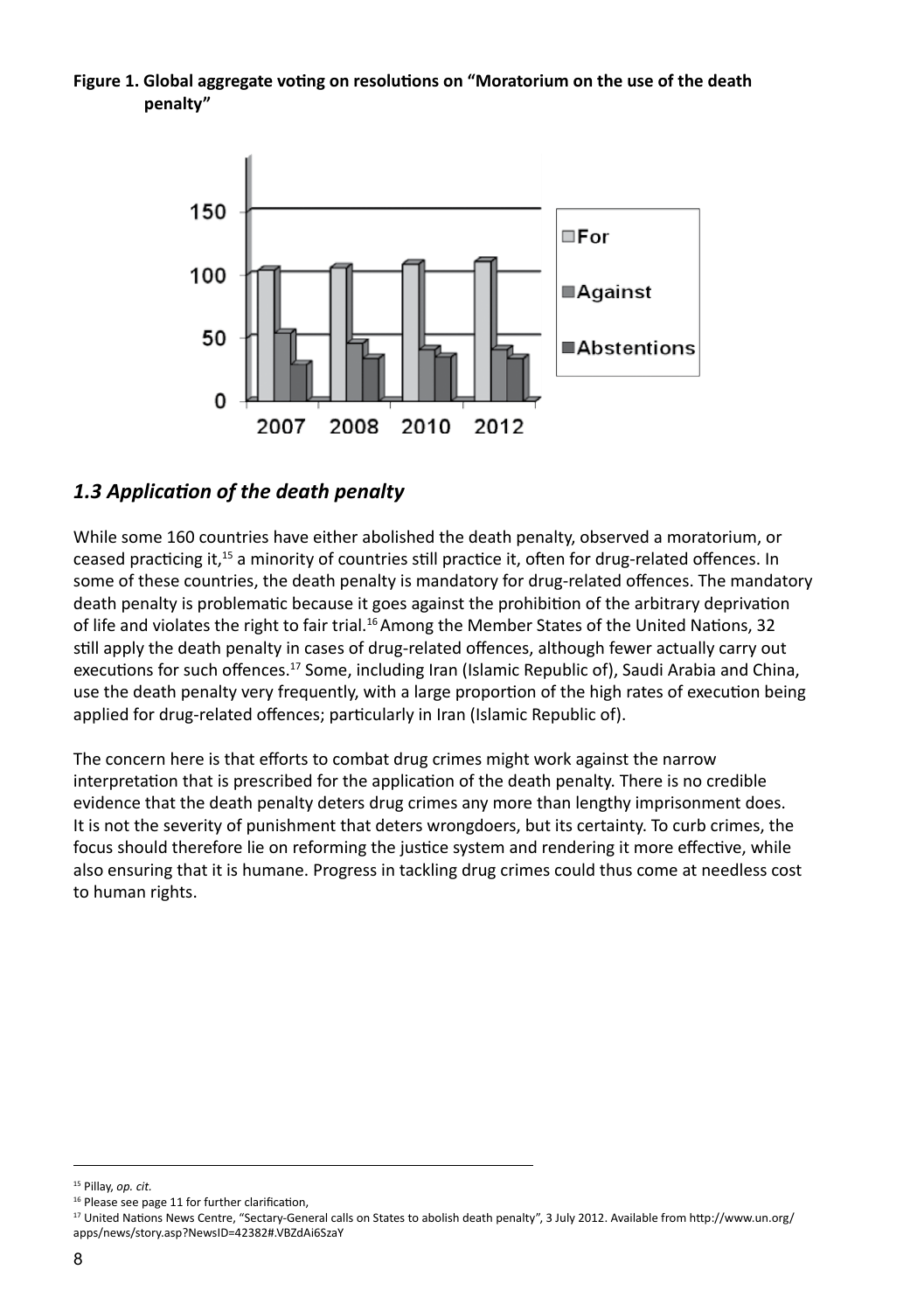**Figure 1. Global aggregate voting on resolutions on "Moratorium on the use of the death penalty"** 



## *1.3 Application of the death penalty*

While some 160 countries have either abolished the death penalty, observed a moratorium, or ceased practicing it,15 a minority of countries still practice it, often for drug-related offences. In some of these countries, the death penalty is mandatory for drug-related offences. The mandatory death penalty is problematic because it goes against the prohibition of the arbitrary deprivation of life and violates the right to fair trial.<sup>16</sup> Among the Member States of the United Nations, 32 still apply the death penalty in cases of drug-related offences, although fewer actually carry out executions for such offences.<sup>17</sup> Some, including Iran (Islamic Republic of), Saudi Arabia and China, use the death penalty very frequently, with a large proportion of the high rates of execution being applied for drug-related offences; particularly in Iran (Islamic Republic of).

The concern here is that efforts to combat drug crimes might work against the narrow interpretation that is prescribed for the application of the death penalty. There is no credible evidence that the death penalty deters drug crimes any more than lengthy imprisonment does. It is not the severity of punishment that deters wrongdoers, but its certainty. To curb crimes, the focus should therefore lie on reforming the justice system and rendering it more effective, while also ensuring that it is humane. Progress in tackling drug crimes could thus come at needless cost to human rights.

<sup>15</sup> Pillay, *op. cit.*

<sup>&</sup>lt;sup>16</sup> Please see page 11 for further clarification,

<sup>17</sup> United Nations News Centre, "Sectary-General calls on States to abolish death penalty", 3 July 2012. Available from http://www.un.org/ apps/news/story.asp?NewsID=42382#.VBZdAi6SzaY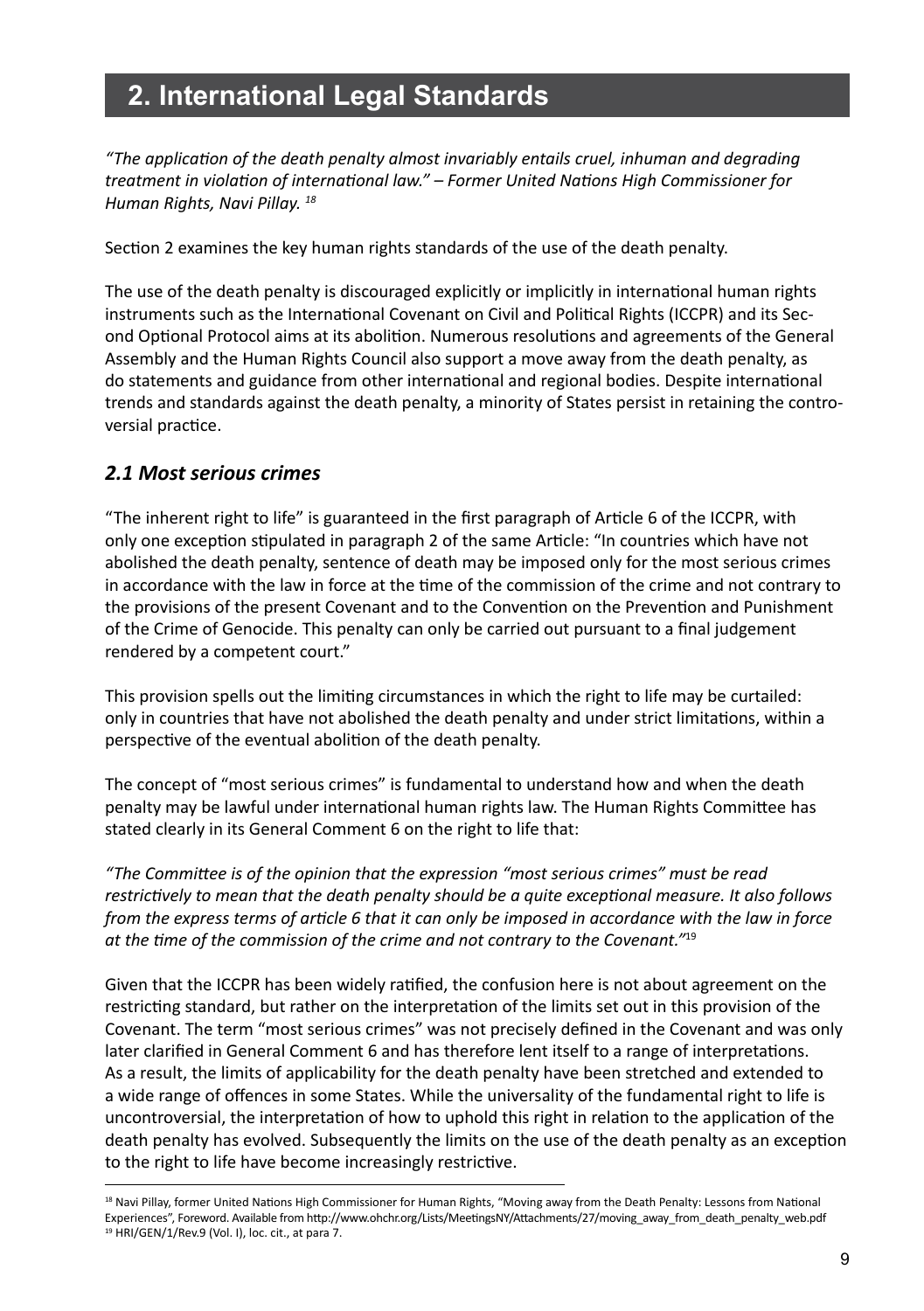# **2. International Legal Standards**

*"The application of the death penalty almost invariably entails cruel, inhuman and degrading treatment in violation of international law." – Former United Nations High Commissioner for Human Rights, Navi Pillay. 18*

Section 2 examines the key human rights standards of the use of the death penalty.

The use of the death penalty is discouraged explicitly or implicitly in international human rights instruments such as the International Covenant on Civil and Political Rights (ICCPR) and its Second Optional Protocol aims at its abolition. Numerous resolutions and agreements of the General Assembly and the Human Rights Council also support a move away from the death penalty, as do statements and guidance from other international and regional bodies. Despite international trends and standards against the death penalty, a minority of States persist in retaining the controversial practice.

#### *2.1 Most serious crimes*

"The inherent right to life" is guaranteed in the first paragraph of Article 6 of the ICCPR, with only one exception stipulated in paragraph 2 of the same Article: "In countries which have not abolished the death penalty, sentence of death may be imposed only for the most serious crimes in accordance with the law in force at the time of the commission of the crime and not contrary to the provisions of the present Covenant and to the Convention on the Prevention and Punishment of the Crime of Genocide. This penalty can only be carried out pursuant to a final judgement rendered by a competent court."

This provision spells out the limiting circumstances in which the right to life may be curtailed: only in countries that have not abolished the death penalty and under strict limitations, within a perspective of the eventual abolition of the death penalty.

The concept of "most serious crimes" is fundamental to understand how and when the death penalty may be lawful under international human rights law. The Human Rights Committee has stated clearly in its General Comment 6 on the right to life that:

*"The Committee is of the opinion that the expression "most serious crimes" must be read restrictively to mean that the death penalty should be a quite exceptional measure. It also follows from the express terms of article 6 that it can only be imposed in accordance with the law in force at the time of the commission of the crime and not contrary to the Covenant."*<sup>19</sup>

Given that the ICCPR has been widely ratified, the confusion here is not about agreement on the restricting standard, but rather on the interpretation of the limits set out in this provision of the Covenant. The term "most serious crimes" was not precisely defined in the Covenant and was only later clarified in General Comment 6 and has therefore lent itself to a range of interpretations. As a result, the limits of applicability for the death penalty have been stretched and extended to a wide range of offences in some States. While the universality of the fundamental right to life is uncontroversial, the interpretation of how to uphold this right in relation to the application of the death penalty has evolved. Subsequently the limits on the use of the death penalty as an exception to the right to life have become increasingly restrictive.

<sup>18</sup> Navi Pillay, former United Nations High Commissioner for Human Rights, "Moving away from the Death Penalty: Lessons from National Experiences", Foreword. Available from http://www.ohchr.org/Lists/MeetingsNY/Attachments/27/moving\_away\_from\_death\_penalty\_web.pdf 19 HRI/GEN/1/Rev.9 (Vol. I), loc. cit., at para 7.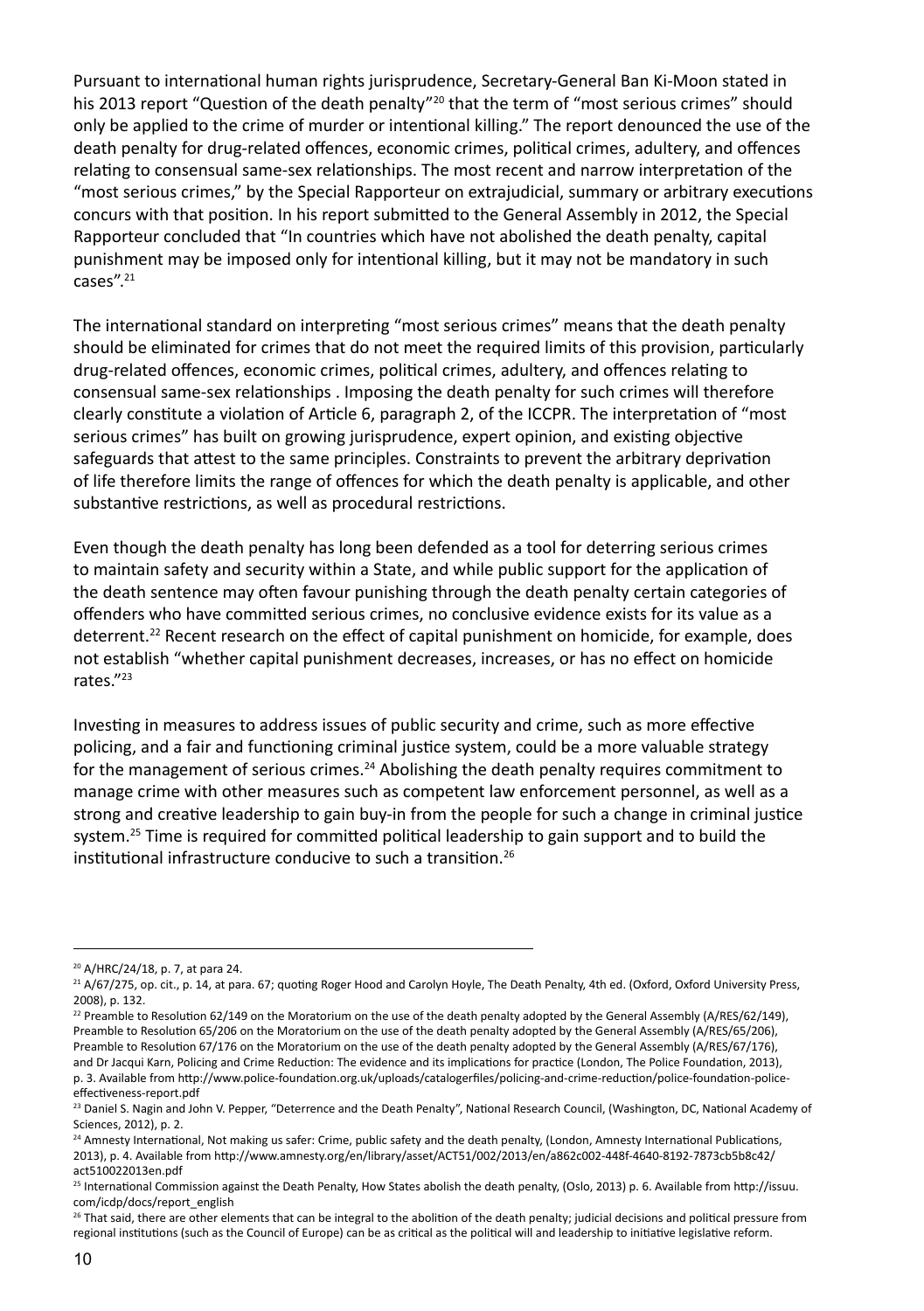Pursuant to international human rights jurisprudence, Secretary-General Ban Ki-Moon stated in his 2013 report "Question of the death penalty"<sup>20</sup> that the term of "most serious crimes" should only be applied to the crime of murder or intentional killing." The report denounced the use of the death penalty for drug-related offences, economic crimes, political crimes, adultery, and offences relating to consensual same-sex relationships. The most recent and narrow interpretation of the "most serious crimes," by the Special Rapporteur on extrajudicial, summary or arbitrary executions concurs with that position. In his report submitted to the General Assembly in 2012, the Special Rapporteur concluded that "In countries which have not abolished the death penalty, capital punishment may be imposed only for intentional killing, but it may not be mandatory in such cases".<sup>21</sup>

The international standard on interpreting "most serious crimes" means that the death penalty should be eliminated for crimes that do not meet the required limits of this provision, particularly drug-related offences, economic crimes, political crimes, adultery, and offences relating to consensual same-sex relationships . Imposing the death penalty for such crimes will therefore clearly constitute a violation of Article 6, paragraph 2, of the ICCPR. The interpretation of "most serious crimes" has built on growing jurisprudence, expert opinion, and existing objective safeguards that attest to the same principles. Constraints to prevent the arbitrary deprivation of life therefore limits the range of offences for which the death penalty is applicable, and other substantive restrictions, as well as procedural restrictions.

Even though the death penalty has long been defended as a tool for deterring serious crimes to maintain safety and security within a State, and while public support for the application of the death sentence may often favour punishing through the death penalty certain categories of offenders who have committed serious crimes, no conclusive evidence exists for its value as a deterrent.<sup>22</sup> Recent research on the effect of capital punishment on homicide, for example, does not establish "whether capital punishment decreases, increases, or has no effect on homicide rates."23

Investing in measures to address issues of public security and crime, such as more effective policing, and a fair and functioning criminal justice system, could be a more valuable strategy for the management of serious crimes.<sup>24</sup> Abolishing the death penalty requires commitment to manage crime with other measures such as competent law enforcement personnel, as well as a strong and creative leadership to gain buy-in from the people for such a change in criminal justice system.<sup>25</sup> Time is required for committed political leadership to gain support and to build the institutional infrastructure conducive to such a transition.26

<sup>20</sup> A/HRC/24/18, p. 7, at para 24.

<sup>&</sup>lt;sup>21</sup> A/67/275, op. cit., p. 14, at para. 67; quoting Roger Hood and Carolyn Hoyle, The Death Penalty, 4th ed. (Oxford, Oxford University Press, 2008), p. 132.

<sup>&</sup>lt;sup>22</sup> Preamble to Resolution 62/149 on the Moratorium on the use of the death penalty adopted by the General Assembly (A/RES/62/149), Preamble to Resolution 65/206 on the Moratorium on the use of the death penalty adopted by the General Assembly (A/RES/65/206), Preamble to Resolution 67/176 on the Moratorium on the use of the death penalty adopted by the General Assembly (A/RES/67/176), and Dr Jacqui Karn, Policing and Crime Reduction: The evidence and its implications for practice (London, The Police Foundation, 2013), p. 3. Available from http://www.police-foundation.org.uk/uploads/catalogerfiles/policing-and-crime-reduction/police-foundation-policeeffectiveness-report.pdf

<sup>&</sup>lt;sup>23</sup> Daniel S. Nagin and John V. Pepper, "Deterrence and the Death Penalty", National Research Council, (Washington, DC, National Academy of Sciences, 2012), p. 2.

<sup>&</sup>lt;sup>24</sup> Amnesty International, Not making us safer: Crime, public safety and the death penalty, (London, Amnesty International Publications, 2013), p. 4. Available from http://www.amnesty.org/en/library/asset/ACT51/002/2013/en/a862c002-448f-4640-8192-7873cb5b8c42/ act510022013en.pdf

<sup>25</sup> International Commission against the Death Penalty, How States abolish the death penalty, (Oslo, 2013) p. 6. Available from http://issuu. com/icdp/docs/report\_english

<sup>&</sup>lt;sup>26</sup> That said, there are other elements that can be integral to the abolition of the death penalty; judicial decisions and political pressure from regional institutions (such as the Council of Europe) can be as critical as the political will and leadership to initiative legislative reform.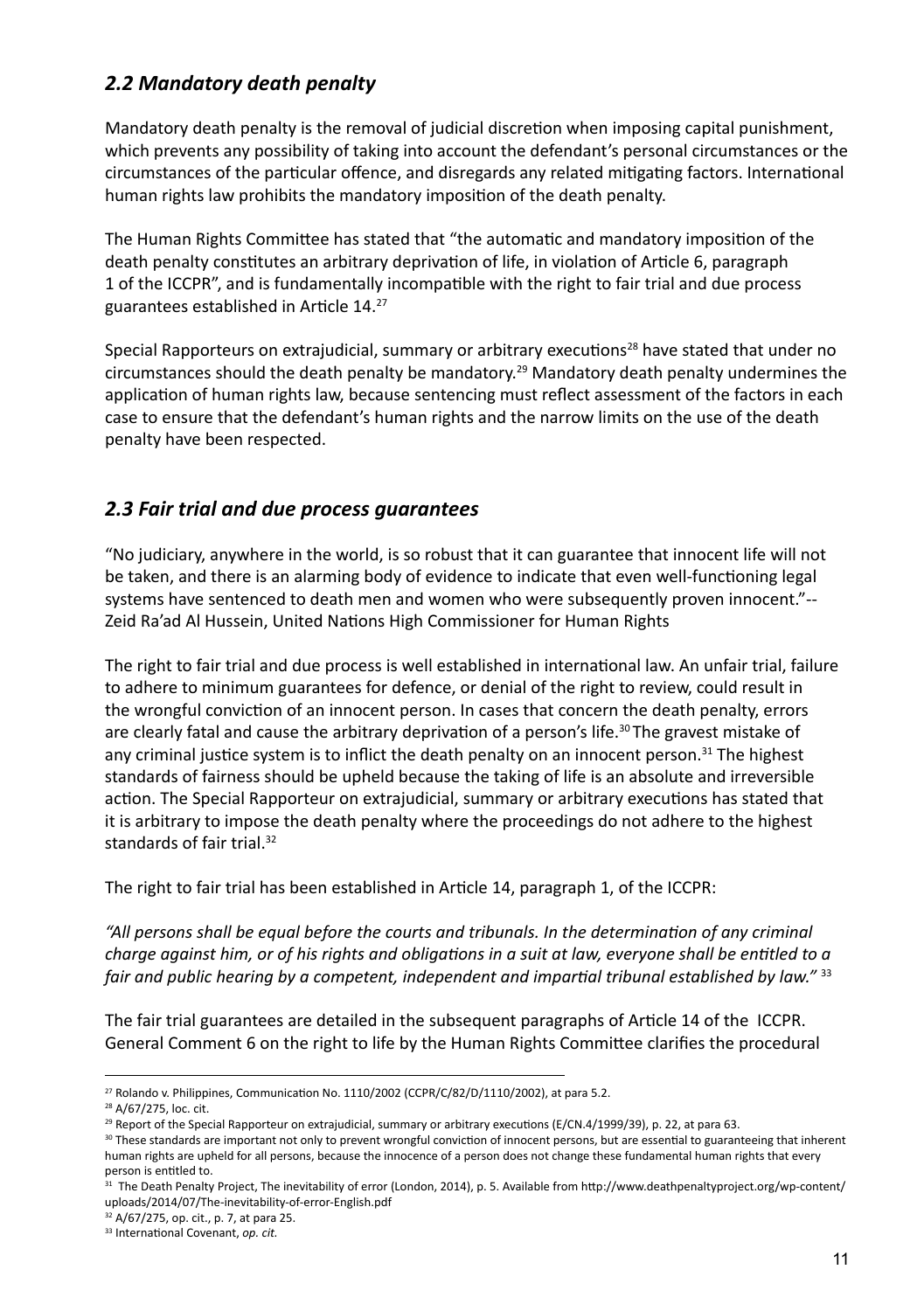## *2.2 Mandatory death penalty*

Mandatory death penalty is the removal of judicial discretion when imposing capital punishment, which prevents any possibility of taking into account the defendant's personal circumstances or the circumstances of the particular offence, and disregards any related mitigating factors. International human rights law prohibits the mandatory imposition of the death penalty.

The Human Rights Committee has stated that "the automatic and mandatory imposition of the death penalty constitutes an arbitrary deprivation of life, in violation of Article 6, paragraph 1 of the ICCPR", and is fundamentally incompatible with the right to fair trial and due process guarantees established in Article 14.27

Special Rapporteurs on extrajudicial, summary or arbitrary executions<sup>28</sup> have stated that under no circumstances should the death penalty be mandatory.29 Mandatory death penalty undermines the application of human rights law, because sentencing must reflect assessment of the factors in each case to ensure that the defendant's human rights and the narrow limits on the use of the death penalty have been respected.

## *2.3 Fair trial and due process guarantees*

"No judiciary, anywhere in the world, is so robust that it can guarantee that innocent life will not be taken, and there is an alarming body of evidence to indicate that even well-functioning legal systems have sentenced to death men and women who were subsequently proven innocent."-- Zeid Ra'ad Al Hussein, United Nations High Commissioner for Human Rights

The right to fair trial and due process is well established in international law. An unfair trial, failure to adhere to minimum guarantees for defence, or denial of the right to review, could result in the wrongful conviction of an innocent person. In cases that concern the death penalty, errors are clearly fatal and cause the arbitrary deprivation of a person's life.<sup>30</sup> The gravest mistake of any criminal justice system is to inflict the death penalty on an innocent person.<sup>31</sup> The highest standards of fairness should be upheld because the taking of life is an absolute and irreversible action. The Special Rapporteur on extrajudicial, summary or arbitrary executions has stated that it is arbitrary to impose the death penalty where the proceedings do not adhere to the highest standards of fair trial.<sup>32</sup>

The right to fair trial has been established in Article 14, paragraph 1, of the ICCPR:

*"All persons shall be equal before the courts and tribunals. In the determination of any criminal charge against him, or of his rights and obligations in a suit at law, everyone shall be entitled to a fair and public hearing by a competent, independent and impartial tribunal established by law."* <sup>33</sup>

The fair trial guarantees are detailed in the subsequent paragraphs of Article 14 of the ICCPR. General Comment 6 on the right to life by the Human Rights Committee clarifies the procedural

<sup>&</sup>lt;sup>27</sup> Rolando v. Philippines, Communication No. 1110/2002 (CCPR/C/82/D/1110/2002), at para 5.2.

<sup>28</sup> A/67/275, loc. cit.

<sup>&</sup>lt;sup>29</sup> Report of the Special Rapporteur on extrajudicial, summary or arbitrary executions (E/CN.4/1999/39), p. 22, at para 63.

<sup>30</sup> These standards are important not only to prevent wrongful conviction of innocent persons, but are essential to guaranteeing that inherent human rights are upheld for all persons, because the innocence of a person does not change these fundamental human rights that every person is entitled to.

<sup>&</sup>lt;sup>31</sup> The Death Penalty Project, The inevitability of error (London, 2014), p. 5. Available from http://www.deathpenaltyproject.org/wp-content/ uploads/2014/07/The-inevitability-of-error-English.pdf

<sup>32</sup> A/67/275, op. cit., p. 7, at para 25.

<sup>33</sup> International Covenant, *op. cit.*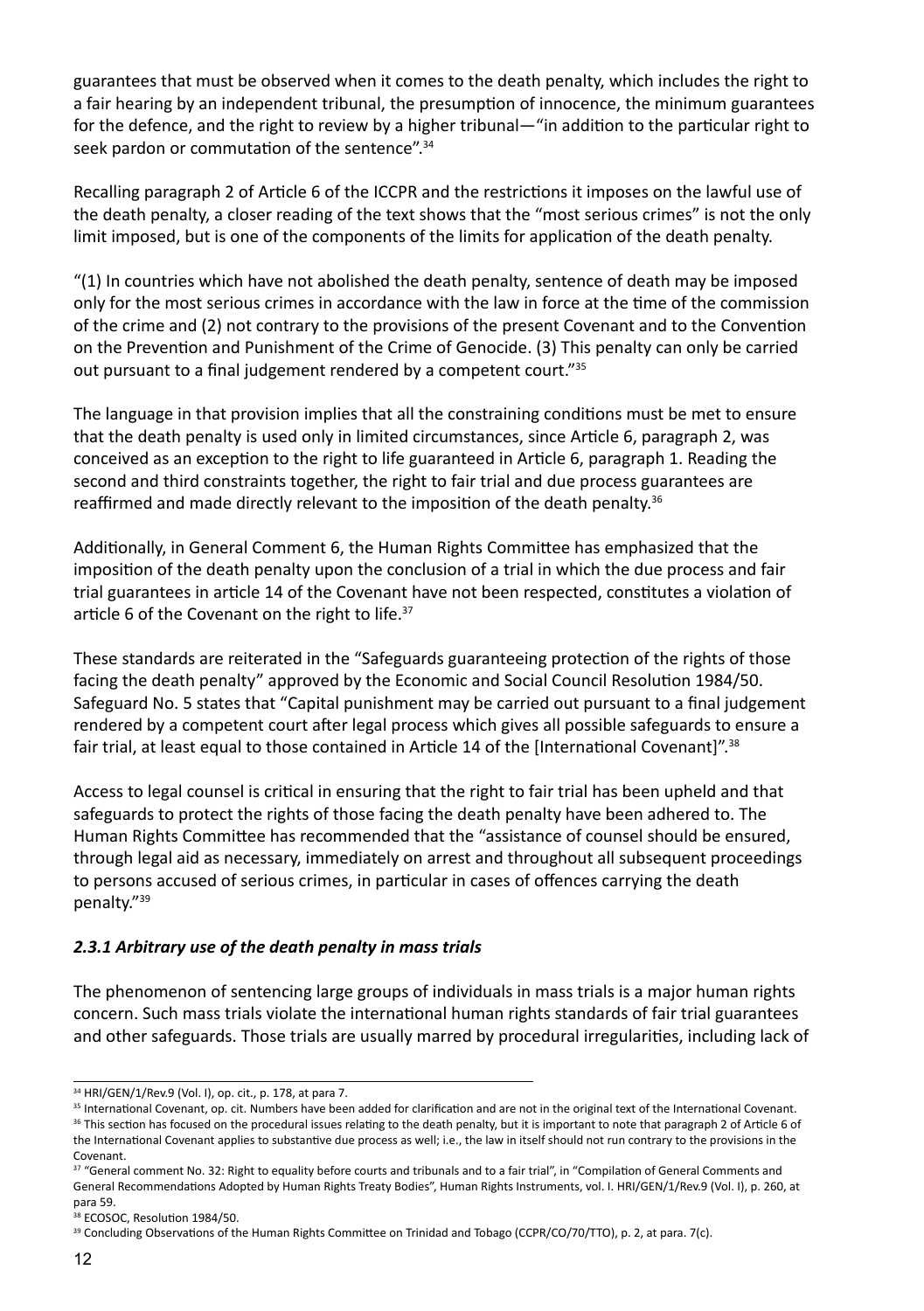guarantees that must be observed when it comes to the death penalty, which includes the right to a fair hearing by an independent tribunal, the presumption of innocence, the minimum guarantees for the defence, and the right to review by a higher tribunal—"in addition to the particular right to seek pardon or commutation of the sentence".<sup>34</sup>

Recalling paragraph 2 of Article 6 of the ICCPR and the restrictions it imposes on the lawful use of the death penalty, a closer reading of the text shows that the "most serious crimes" is not the only limit imposed, but is one of the components of the limits for application of the death penalty.

"(1) In countries which have not abolished the death penalty, sentence of death may be imposed only for the most serious crimes in accordance with the law in force at the time of the commission of the crime and (2) not contrary to the provisions of the present Covenant and to the Convention on the Prevention and Punishment of the Crime of Genocide. (3) This penalty can only be carried out pursuant to a final judgement rendered by a competent court."35

The language in that provision implies that all the constraining conditions must be met to ensure that the death penalty is used only in limited circumstances, since Article 6, paragraph 2, was conceived as an exception to the right to life guaranteed in Article 6, paragraph 1. Reading the second and third constraints together, the right to fair trial and due process guarantees are reaffirmed and made directly relevant to the imposition of the death penalty.<sup>36</sup>

Additionally, in General Comment 6, the Human Rights Committee has emphasized that the imposition of the death penalty upon the conclusion of a trial in which the due process and fair trial guarantees in article 14 of the Covenant have not been respected, constitutes a violation of article 6 of the Covenant on the right to life.<sup>37</sup>

These standards are reiterated in the "Safeguards guaranteeing protection of the rights of those facing the death penalty" approved by the Economic and Social Council Resolution 1984/50. Safeguard No. 5 states that "Capital punishment may be carried out pursuant to a final judgement rendered by a competent court after legal process which gives all possible safeguards to ensure a fair trial, at least equal to those contained in Article 14 of the [International Covenant]".38

Access to legal counsel is critical in ensuring that the right to fair trial has been upheld and that safeguards to protect the rights of those facing the death penalty have been adhered to. The Human Rights Committee has recommended that the "assistance of counsel should be ensured, through legal aid as necessary, immediately on arrest and throughout all subsequent proceedings to persons accused of serious crimes, in particular in cases of offences carrying the death penalty."39

#### *2.3.1 Arbitrary use of the death penalty in mass trials*

The phenomenon of sentencing large groups of individuals in mass trials is a major human rights concern. Such mass trials violate the international human rights standards of fair trial guarantees and other safeguards. Those trials are usually marred by procedural irregularities, including lack of

<sup>34</sup> HRI/GEN/1/Rev.9 (Vol. I), op. cit., p. 178, at para 7.

<sup>&</sup>lt;sup>35</sup> International Covenant, op. cit. Numbers have been added for clarification and are not in the original text of the International Covenant.

<sup>&</sup>lt;sup>36</sup> This section has focused on the procedural issues relating to the death penalty, but it is important to note that paragraph 2 of Article 6 of the International Covenant applies to substantive due process as well; i.e., the law in itself should not run contrary to the provisions in the Covenant.

<sup>&</sup>lt;sup>37</sup> "General comment No. 32: Right to equality before courts and tribunals and to a fair trial", in "Compilation of General Comments and General Recommendations Adopted by Human Rights Treaty Bodies", Human Rights Instruments, vol. I. HRI/GEN/1/Rev.9 (Vol. I), p. 260, at para 59.

<sup>38</sup> ECOSOC, Resolution 1984/50.

<sup>&</sup>lt;sup>39</sup> Concluding Observations of the Human Rights Committee on Trinidad and Tobago (CCPR/CO/70/TTO), p. 2, at para. 7(c).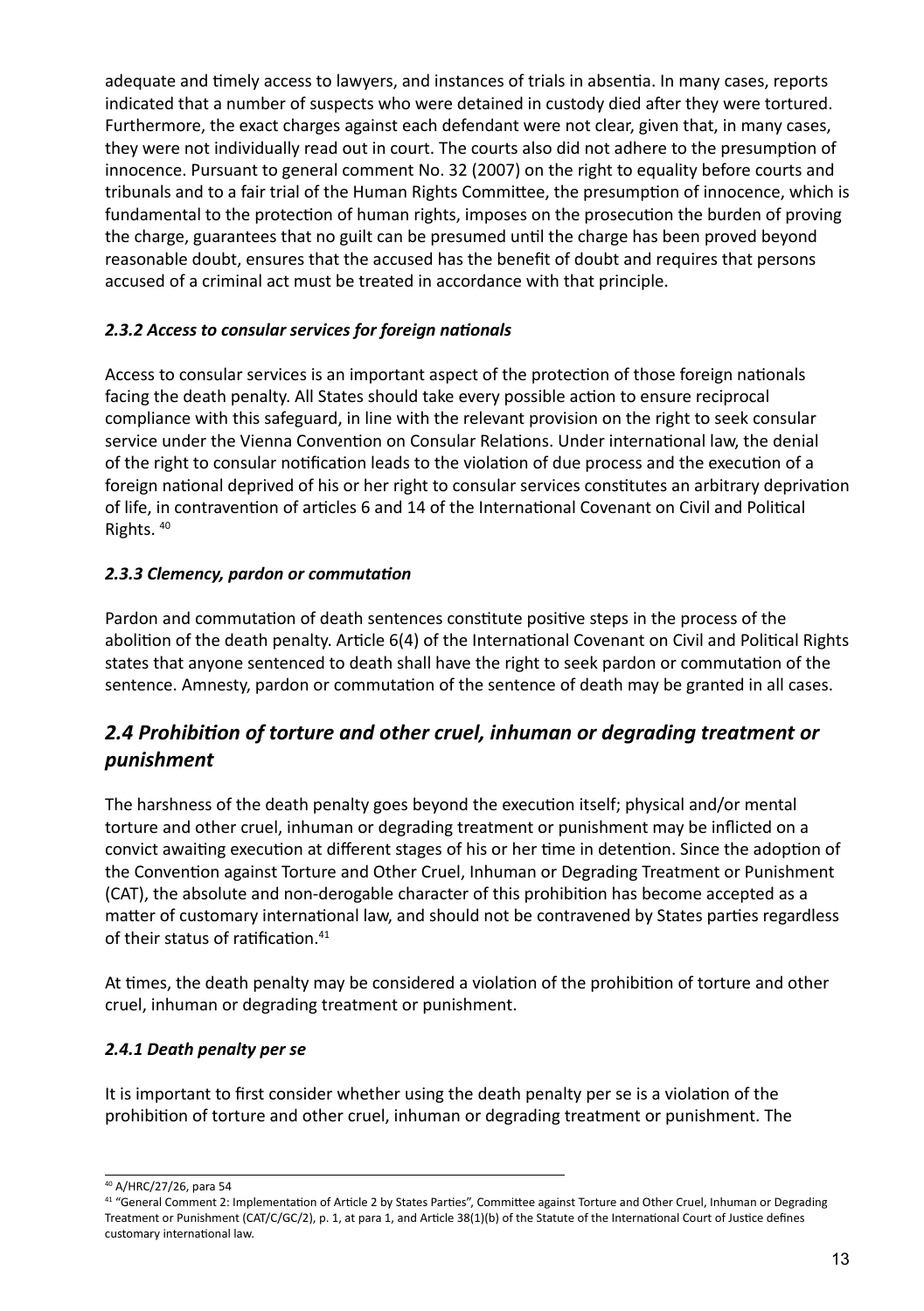adequate and timely access to lawyers, and instances of trials in absentia. In many cases, reports indicated that a number of suspects who were detained in custody died after they were tortured. Furthermore, the exact charges against each defendant were not clear, given that, in many cases, they were not individually read out in court. The courts also did not adhere to the presumption of innocence. Pursuant to general comment No. 32 (2007) on the right to equality before courts and tribunals and to a fair trial of the Human Rights Committee, the presumption of innocence, which is fundamental to the protection of human rights, imposes on the prosecution the burden of proving the charge, guarantees that no guilt can be presumed until the charge has been proved beyond reasonable doubt, ensures that the accused has the benefit of doubt and requires that persons accused of a criminal act must be treated in accordance with that principle.

#### *2.3.2 Access to consular services for foreign nationals*

Access to consular services is an important aspect of the protection of those foreign nationals facing the death penalty. All States should take every possible action to ensure reciprocal compliance with this safeguard, in line with the relevant provision on the right to seek consular service under the Vienna Convention on Consular Relations. Under international law, the denial of the right to consular notification leads to the violation of due process and the execution of a foreign national deprived of his or her right to consular services constitutes an arbitrary deprivation of life, in contravention of articles 6 and 14 of the International Covenant on Civil and Political Rights. 40

#### *2.3.3 Clemency, pardon or commutation*

Pardon and commutation of death sentences constitute positive steps in the process of the abolition of the death penalty. Article 6(4) of the International Covenant on Civil and Political Rights states that anyone sentenced to death shall have the right to seek pardon or commutation of the sentence. Amnesty, pardon or commutation of the sentence of death may be granted in all cases.

# *2.4 Prohibition of torture and other cruel, inhuman or degrading treatment or punishment*

The harshness of the death penalty goes beyond the execution itself; physical and/or mental torture and other cruel, inhuman or degrading treatment or punishment may be inflicted on a convict awaiting execution at different stages of his or her time in detention. Since the adoption of the Convention against Torture and Other Cruel, Inhuman or Degrading Treatment or Punishment (CAT), the absolute and non-derogable character of this prohibition has become accepted as a matter of customary international law, and should not be contravened by States parties regardless of their status of ratification.<sup>41</sup>

At times, the death penalty may be considered a violation of the prohibition of torture and other cruel, inhuman or degrading treatment or punishment.

#### *2.4.1 Death penalty per se*

It is important to first consider whether using the death penalty per se is a violation of the prohibition of torture and other cruel, inhuman or degrading treatment or punishment. The

<sup>40</sup> A/HRC/27/26, para 54

<sup>41 &</sup>quot;General Comment 2: Implementation of Article 2 by States Parties", Committee against Torture and Other Cruel, Inhuman or Degrading Treatment or Punishment (CAT/C/GC/2), p. 1, at para 1, and Article 38(1)(b) of the Statute of the International Court of Justice defines customary international law.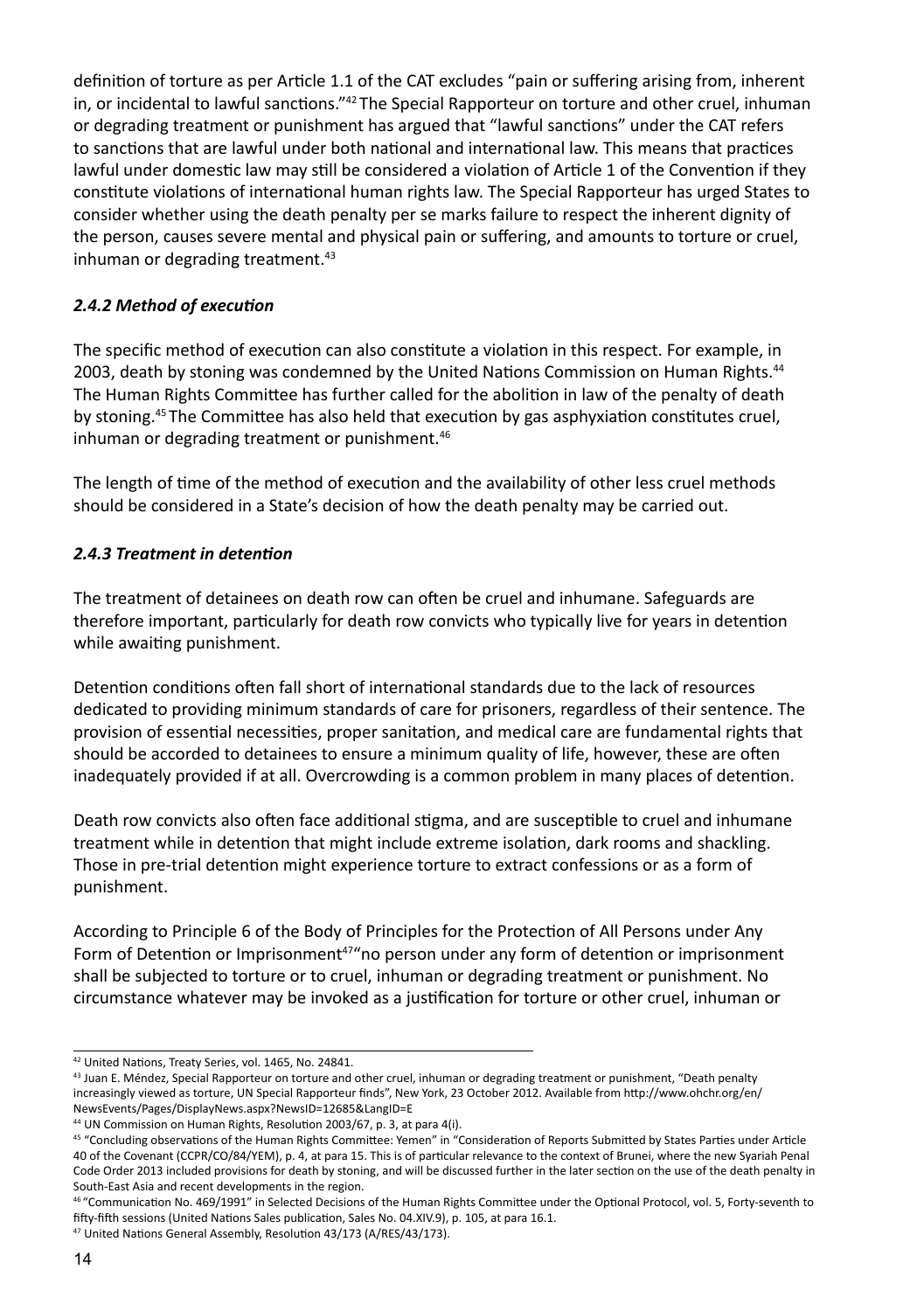definition of torture as per Article 1.1 of the CAT excludes "pain or suffering arising from, inherent in, or incidental to lawful sanctions."<sup>42</sup> The Special Rapporteur on torture and other cruel, inhuman or degrading treatment or punishment has argued that "lawful sanctions" under the CAT refers to sanctions that are lawful under both national and international law. This means that practices lawful under domestic law may still be considered a violation of Article 1 of the Convention if they constitute violations of international human rights law. The Special Rapporteur has urged States to consider whether using the death penalty per se marks failure to respect the inherent dignity of the person, causes severe mental and physical pain or suffering, and amounts to torture or cruel, inhuman or degrading treatment.<sup>43</sup>

#### *2.4.2 Method of execution*

The specific method of execution can also constitute a violation in this respect. For example, in 2003, death by stoning was condemned by the United Nations Commission on Human Rights.<sup>44</sup> The Human Rights Committee has further called for the abolition in law of the penalty of death by stoning.45 The Committee has also held that execution by gas asphyxiation constitutes cruel, inhuman or degrading treatment or punishment.<sup>46</sup>

The length of time of the method of execution and the availability of other less cruel methods should be considered in a State's decision of how the death penalty may be carried out.

#### *2.4.3 Treatment in detention*

The treatment of detainees on death row can often be cruel and inhumane. Safeguards are therefore important, particularly for death row convicts who typically live for years in detention while awaiting punishment.

Detention conditions often fall short of international standards due to the lack of resources dedicated to providing minimum standards of care for prisoners, regardless of their sentence. The provision of essential necessities, proper sanitation, and medical care are fundamental rights that should be accorded to detainees to ensure a minimum quality of life, however, these are often inadequately provided if at all. Overcrowding is a common problem in many places of detention.

Death row convicts also often face additional stigma, and are susceptible to cruel and inhumane treatment while in detention that might include extreme isolation, dark rooms and shackling. Those in pre-trial detention might experience torture to extract confessions or as a form of punishment.

According to Principle 6 of the Body of Principles for the Protection of All Persons under Any Form of Detention or Imprisonment<sup>47</sup> no person under any form of detention or imprisonment shall be subjected to torture or to cruel, inhuman or degrading treatment or punishment. No circumstance whatever may be invoked as a justification for torture or other cruel, inhuman or

<sup>42</sup> United Nations, Treaty Series, vol. 1465, No. 24841.

<sup>43</sup> Juan E. Méndez, Special Rapporteur on torture and other cruel, inhuman or degrading treatment or punishment, "Death penalty increasingly viewed as torture, UN Special Rapporteur finds", New York, 23 October 2012. Available from http://www.ohchr.org/en/ NewsEvents/Pages/DisplayNews.aspx?NewsID=12685&LangID=E

<sup>44</sup> UN Commission on Human Rights, Resolution 2003/67, p. 3, at para 4(i).

<sup>45 &</sup>quot;Concluding observations of the Human Rights Committee: Yemen" in "Consideration of Reports Submitted by States Parties under Article 40 of the Covenant (CCPR/CO/84/YEM), p. 4, at para 15. This is of particular relevance to the context of Brunei, where the new Syariah Penal Code Order 2013 included provisions for death by stoning, and will be discussed further in the later section on the use of the death penalty in South-East Asia and recent developments in the region.

<sup>46 &</sup>quot;Communication No. 469/1991" in Selected Decisions of the Human Rights Committee under the Optional Protocol, vol. 5, Forty-seventh to fifty-fifth sessions (United Nations Sales publication, Sales No. 04.XIV.9), p. 105, at para 16.1.

<sup>47</sup> United Nations General Assembly, Resolution 43/173 (A/RES/43/173).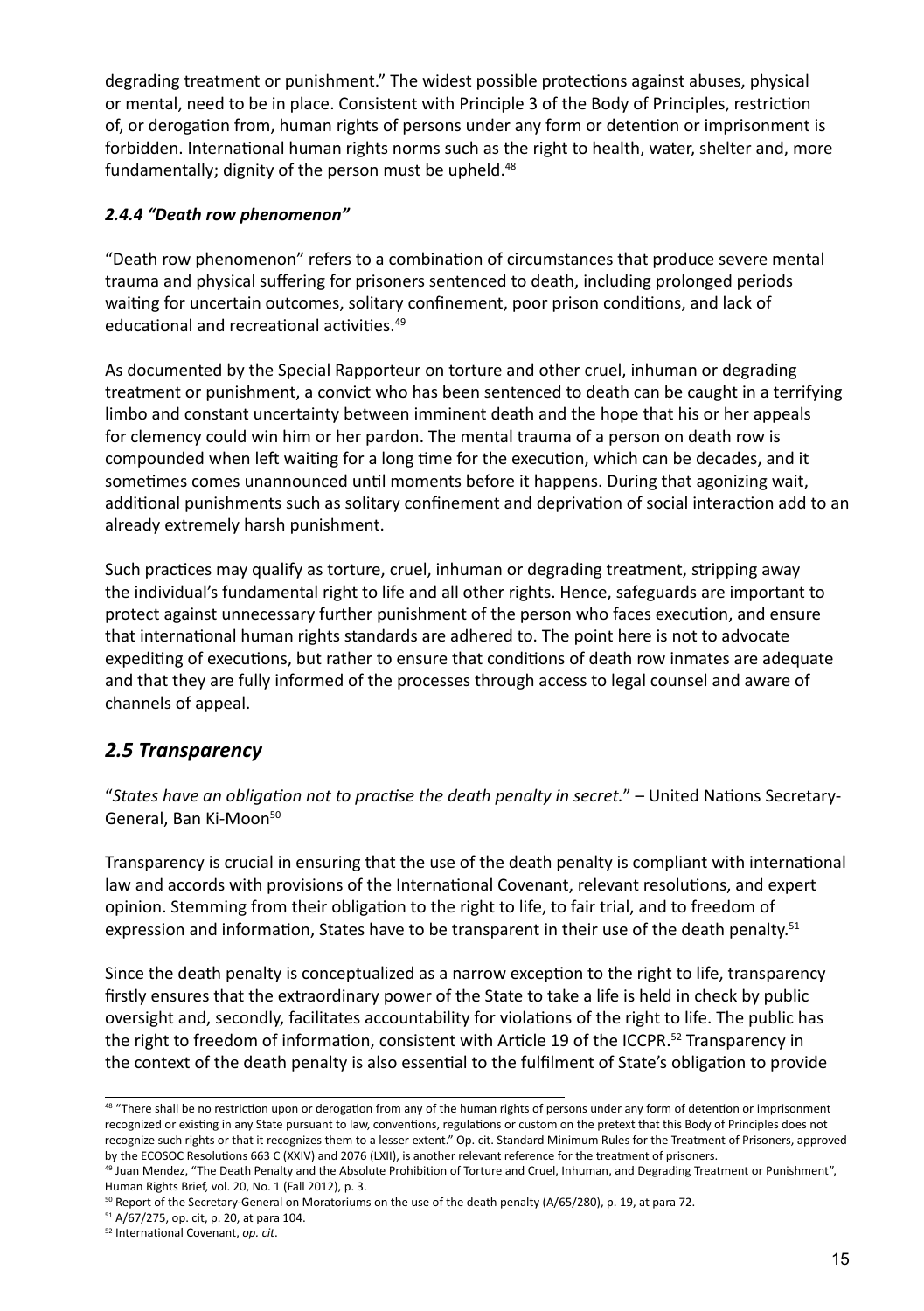degrading treatment or punishment." The widest possible protections against abuses, physical or mental, need to be in place. Consistent with Principle 3 of the Body of Principles, restriction of, or derogation from, human rights of persons under any form or detention or imprisonment is forbidden. International human rights norms such as the right to health, water, shelter and, more fundamentally; dignity of the person must be upheld.<sup>48</sup>

#### *2.4.4 "Death row phenomenon"*

"Death row phenomenon" refers to a combination of circumstances that produce severe mental trauma and physical suffering for prisoners sentenced to death, including prolonged periods waiting for uncertain outcomes, solitary confinement, poor prison conditions, and lack of educational and recreational activities.49

As documented by the Special Rapporteur on torture and other cruel, inhuman or degrading treatment or punishment, a convict who has been sentenced to death can be caught in a terrifying limbo and constant uncertainty between imminent death and the hope that his or her appeals for clemency could win him or her pardon. The mental trauma of a person on death row is compounded when left waiting for a long time for the execution, which can be decades, and it sometimes comes unannounced until moments before it happens. During that agonizing wait, additional punishments such as solitary confinement and deprivation of social interaction add to an already extremely harsh punishment.

Such practices may qualify as torture, cruel, inhuman or degrading treatment, stripping away the individual's fundamental right to life and all other rights. Hence, safeguards are important to protect against unnecessary further punishment of the person who faces execution, and ensure that international human rights standards are adhered to. The point here is not to advocate expediting of executions, but rather to ensure that conditions of death row inmates are adequate and that they are fully informed of the processes through access to legal counsel and aware of channels of appeal.

## *2.5 Transparency*

"*States have an obligation not to practise the death penalty in secret.*" – United Nations Secretary-General, Ban Ki-Moon<sup>50</sup>

Transparency is crucial in ensuring that the use of the death penalty is compliant with international law and accords with provisions of the International Covenant, relevant resolutions, and expert opinion. Stemming from their obligation to the right to life, to fair trial, and to freedom of expression and information, States have to be transparent in their use of the death penalty.<sup>51</sup>

Since the death penalty is conceptualized as a narrow exception to the right to life, transparency firstly ensures that the extraordinary power of the State to take a life is held in check by public oversight and, secondly, facilitates accountability for violations of the right to life. The public has the right to freedom of information, consistent with Article 19 of the ICCPR.<sup>52</sup> Transparency in the context of the death penalty is also essential to the fulfilment of State's obligation to provide

50 Report of the Secretary-General on Moratoriums on the use of the death penalty (A/65/280), p. 19, at para 72.

<sup>48 &</sup>quot;There shall be no restriction upon or derogation from any of the human rights of persons under any form of detention or imprisonment recognized or existing in any State pursuant to law, conventions, regulations or custom on the pretext that this Body of Principles does not recognize such rights or that it recognizes them to a lesser extent." Op. cit. Standard Minimum Rules for the Treatment of Prisoners, approved by the ECOSOC Resolutions 663 C (XXIV) and 2076 (LXII), is another relevant reference for the treatment of prisoners.

<sup>&</sup>lt;sup>49</sup> Juan Mendez, "The Death Penalty and the Absolute Prohibition of Torture and Cruel, Inhuman, and Degrading Treatment or Punishment", Human Rights Brief, vol. 20, No. 1 (Fall 2012), p. 3.

<sup>51</sup> A/67/275, op. cit, p. 20, at para 104.

<sup>52</sup> International Covenant, *op. cit*.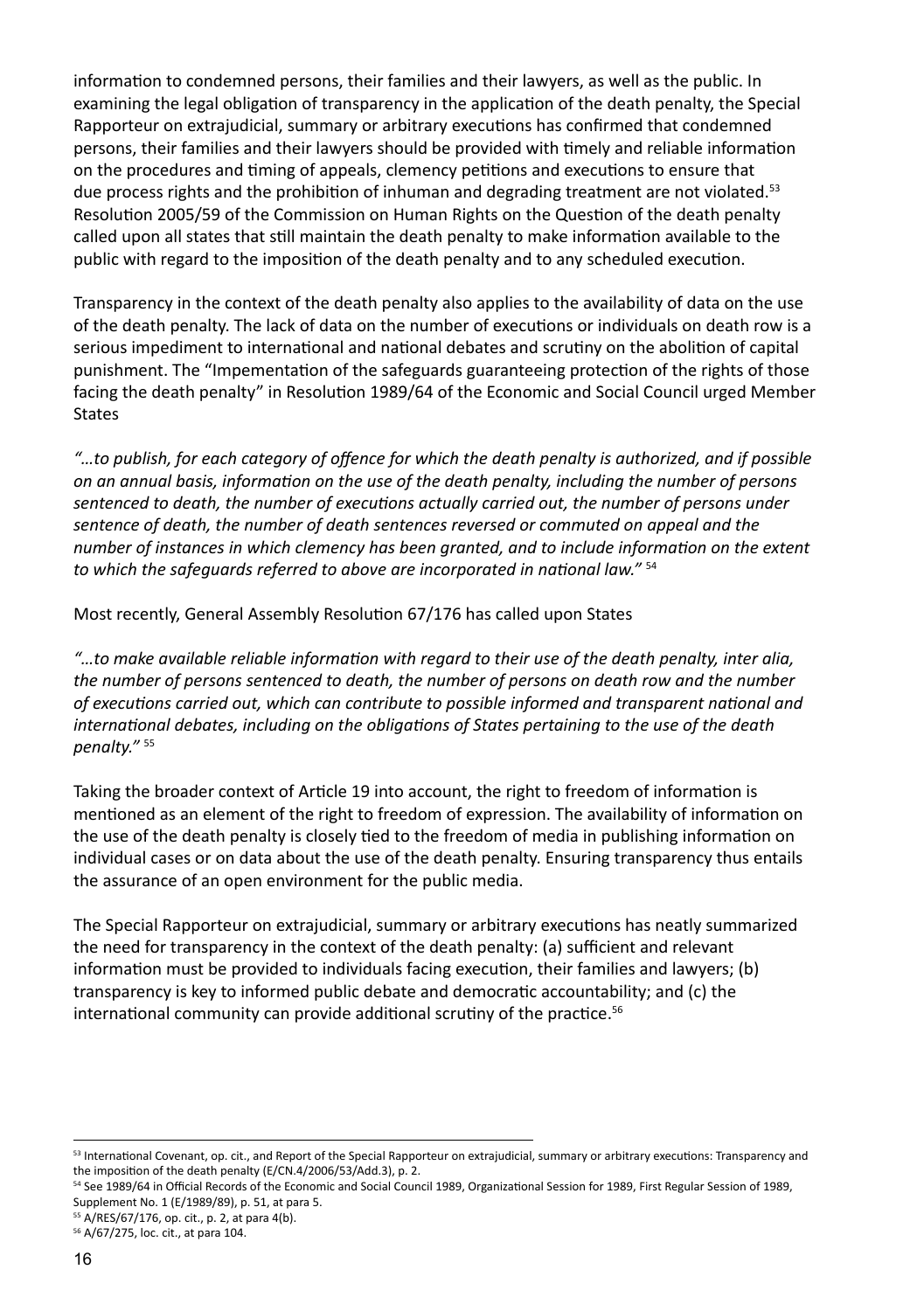information to condemned persons, their families and their lawyers, as well as the public. In examining the legal obligation of transparency in the application of the death penalty, the Special Rapporteur on extrajudicial, summary or arbitrary executions has confirmed that condemned persons, their families and their lawyers should be provided with timely and reliable information on the procedures and timing of appeals, clemency petitions and executions to ensure that due process rights and the prohibition of inhuman and degrading treatment are not violated.<sup>53</sup> Resolution 2005/59 of the Commission on Human Rights on the Question of the death penalty called upon all states that still maintain the death penalty to make information available to the public with regard to the imposition of the death penalty and to any scheduled execution.

Transparency in the context of the death penalty also applies to the availability of data on the use of the death penalty. The lack of data on the number of executions or individuals on death row is a serious impediment to international and national debates and scrutiny on the abolition of capital punishment. The "Impementation of the safeguards guaranteeing protection of the rights of those facing the death penalty" in Resolution 1989/64 of the Economic and Social Council urged Member **States** 

*"…to publish, for each category of offence for which the death penalty is authorized, and if possible on an annual basis, information on the use of the death penalty, including the number of persons sentenced to death, the number of executions actually carried out, the number of persons under sentence of death, the number of death sentences reversed or commuted on appeal and the number of instances in which clemency has been granted, and to include information on the extent to which the safeguards referred to above are incorporated in national law."* <sup>54</sup>

Most recently, General Assembly Resolution 67/176 has called upon States

*"…to make available reliable information with regard to their use of the death penalty, inter alia, the number of persons sentenced to death, the number of persons on death row and the number of executions carried out, which can contribute to possible informed and transparent national and international debates, including on the obligations of States pertaining to the use of the death penalty."* <sup>55</sup>

Taking the broader context of Article 19 into account, the right to freedom of information is mentioned as an element of the right to freedom of expression. The availability of information on the use of the death penalty is closely tied to the freedom of media in publishing information on individual cases or on data about the use of the death penalty. Ensuring transparency thus entails the assurance of an open environment for the public media.

The Special Rapporteur on extrajudicial, summary or arbitrary executions has neatly summarized the need for transparency in the context of the death penalty: (a) sufficient and relevant information must be provided to individuals facing execution, their families and lawyers; (b) transparency is key to informed public debate and democratic accountability; and (c) the international community can provide additional scrutiny of the practice.<sup>56</sup>

<sup>53</sup> International Covenant, op. cit., and Report of the Special Rapporteur on extrajudicial, summary or arbitrary executions: Transparency and the imposition of the death penalty (E/CN.4/2006/53/Add.3), p. 2.

<sup>54</sup> See 1989/64 in Official Records of the Economic and Social Council 1989, Organizational Session for 1989, First Regular Session of 1989, Supplement No. 1 (E/1989/89), p. 51, at para 5.

<sup>55</sup> A/RES/67/176, op. cit., p. 2, at para 4(b).

<sup>56</sup> A/67/275, loc. cit., at para 104.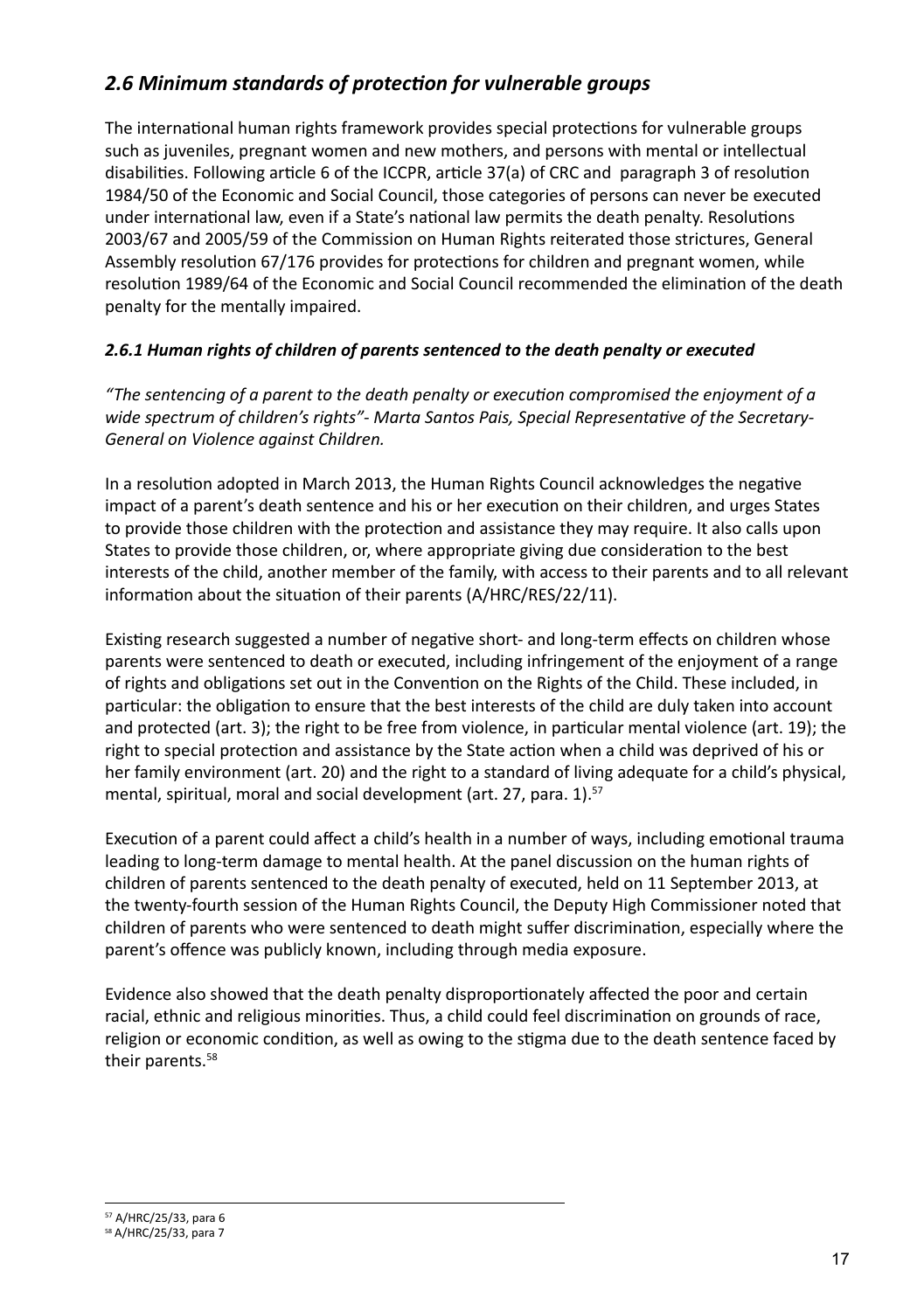## *2.6 Minimum standards of protection for vulnerable groups*

The international human rights framework provides special protections for vulnerable groups such as juveniles, pregnant women and new mothers, and persons with mental or intellectual disabilities. Following article 6 of the ICCPR, article 37(a) of CRC and paragraph 3 of resolution 1984/50 of the Economic and Social Council, those categories of persons can never be executed under international law, even if a State's national law permits the death penalty. Resolutions 2003/67 and 2005/59 of the Commission on Human Rights reiterated those strictures, General Assembly resolution 67/176 provides for protections for children and pregnant women, while resolution 1989/64 of the Economic and Social Council recommended the elimination of the death penalty for the mentally impaired.

#### *2.6.1 Human rights of children of parents sentenced to the death penalty or executed*

*"The sentencing of a parent to the death penalty or execution compromised the enjoyment of a wide spectrum of children's rights"- Marta Santos Pais, Special Representative of the Secretary-General on Violence against Children.*

In a resolution adopted in March 2013, the Human Rights Council acknowledges the negative impact of a parent's death sentence and his or her execution on their children, and urges States to provide those children with the protection and assistance they may require. It also calls upon States to provide those children, or, where appropriate giving due consideration to the best interests of the child, another member of the family, with access to their parents and to all relevant information about the situation of their parents (A/HRC/RES/22/11).

Existing research suggested a number of negative short- and long-term effects on children whose parents were sentenced to death or executed, including infringement of the enjoyment of a range of rights and obligations set out in the Convention on the Rights of the Child. These included, in particular: the obligation to ensure that the best interests of the child are duly taken into account and protected (art. 3); the right to be free from violence, in particular mental violence (art. 19); the right to special protection and assistance by the State action when a child was deprived of his or her family environment (art. 20) and the right to a standard of living adequate for a child's physical, mental, spiritual, moral and social development (art. 27, para. 1).<sup>57</sup>

Execution of a parent could affect a child's health in a number of ways, including emotional trauma leading to long-term damage to mental health. At the panel discussion on the human rights of children of parents sentenced to the death penalty of executed, held on 11 September 2013, at the twenty-fourth session of the Human Rights Council, the Deputy High Commissioner noted that children of parents who were sentenced to death might suffer discrimination, especially where the parent's offence was publicly known, including through media exposure.

Evidence also showed that the death penalty disproportionately affected the poor and certain racial, ethnic and religious minorities. Thus, a child could feel discrimination on grounds of race, religion or economic condition, as well as owing to the stigma due to the death sentence faced by their parents.58

<sup>57</sup> A/HRC/25/33, para 6

<sup>58</sup> A/HRC/25/33, para 7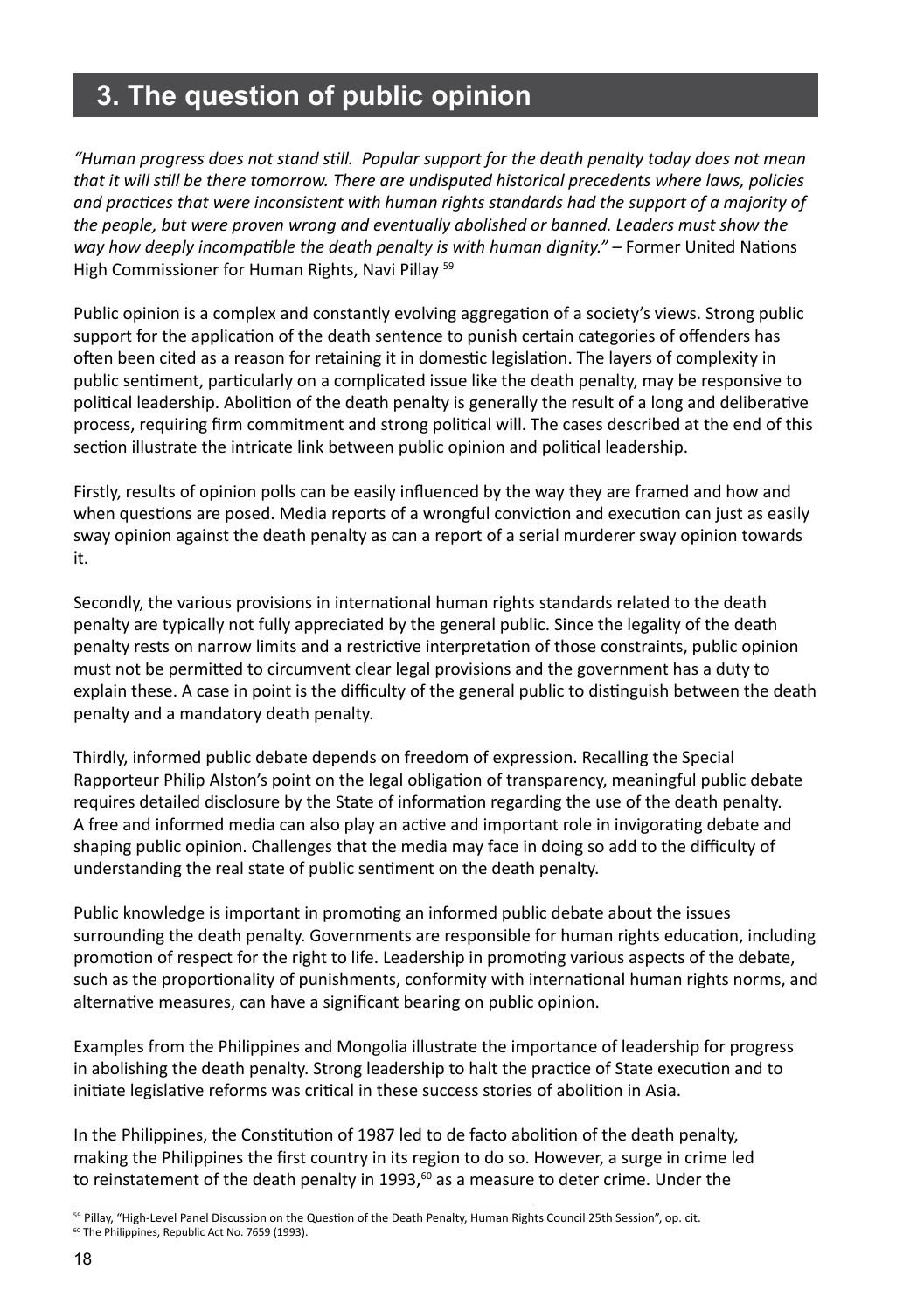# **3. The question of public opinion**

*"Human progress does not stand still. Popular support for the death penalty today does not mean that it will still be there tomorrow. There are undisputed historical precedents where laws, policies and practices that were inconsistent with human rights standards had the support of a majority of the people, but were proven wrong and eventually abolished or banned. Leaders must show the way how deeply incompatible the death penalty is with human dignity."* – Former United Nations High Commissioner for Human Rights, Navi Pillay 59

Public opinion is a complex and constantly evolving aggregation of a society's views. Strong public support for the application of the death sentence to punish certain categories of offenders has often been cited as a reason for retaining it in domestic legislation. The layers of complexity in public sentiment, particularly on a complicated issue like the death penalty, may be responsive to political leadership. Abolition of the death penalty is generally the result of a long and deliberative process, requiring firm commitment and strong political will. The cases described at the end of this section illustrate the intricate link between public opinion and political leadership.

Firstly, results of opinion polls can be easily influenced by the way they are framed and how and when questions are posed. Media reports of a wrongful conviction and execution can just as easily sway opinion against the death penalty as can a report of a serial murderer sway opinion towards it.

Secondly, the various provisions in international human rights standards related to the death penalty are typically not fully appreciated by the general public. Since the legality of the death penalty rests on narrow limits and a restrictive interpretation of those constraints, public opinion must not be permitted to circumvent clear legal provisions and the government has a duty to explain these. A case in point is the difficulty of the general public to distinguish between the death penalty and a mandatory death penalty.

Thirdly, informed public debate depends on freedom of expression. Recalling the Special Rapporteur Philip Alston's point on the legal obligation of transparency, meaningful public debate requires detailed disclosure by the State of information regarding the use of the death penalty. A free and informed media can also play an active and important role in invigorating debate and shaping public opinion. Challenges that the media may face in doing so add to the difficulty of understanding the real state of public sentiment on the death penalty.

Public knowledge is important in promoting an informed public debate about the issues surrounding the death penalty. Governments are responsible for human rights education, including promotion of respect for the right to life. Leadership in promoting various aspects of the debate, such as the proportionality of punishments, conformity with international human rights norms, and alternative measures, can have a significant bearing on public opinion.

Examples from the Philippines and Mongolia illustrate the importance of leadership for progress in abolishing the death penalty. Strong leadership to halt the practice of State execution and to initiate legislative reforms was critical in these success stories of abolition in Asia.

In the Philippines, the Constitution of 1987 led to de facto abolition of the death penalty, making the Philippines the first country in its region to do so. However, a surge in crime led to reinstatement of the death penalty in 1993, $^{60}$  as a measure to deter crime. Under the

<sup>&</sup>lt;sup>59</sup> Pillay, "High-Level Panel Discussion on the Question of the Death Penalty, Human Rights Council 25th Session", op. cit. <sup>60</sup> The Philippines, Republic Act No. 7659 (1993).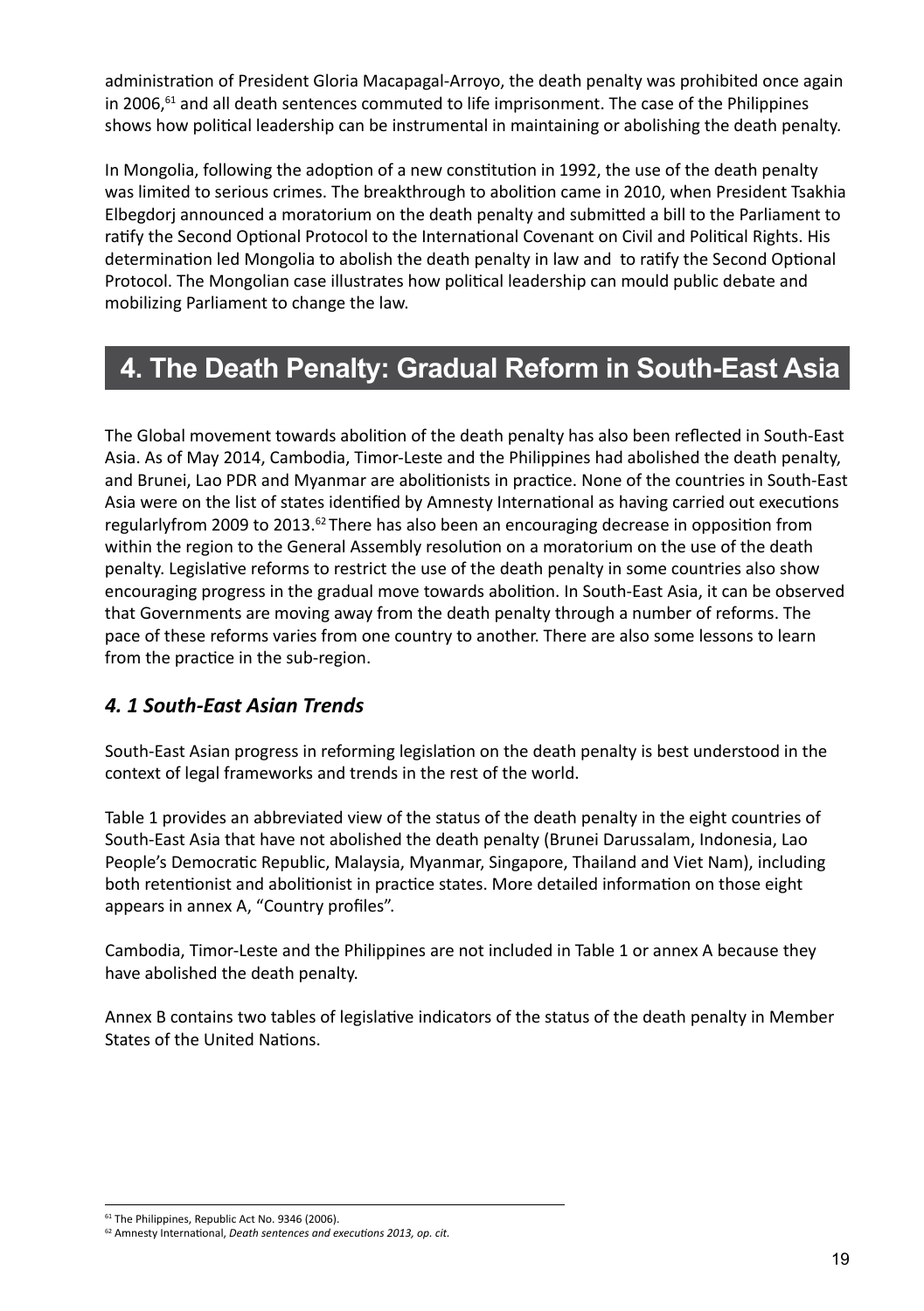administration of President Gloria Macapagal-Arroyo, the death penalty was prohibited once again in 2006, $61$  and all death sentences commuted to life imprisonment. The case of the Philippines shows how political leadership can be instrumental in maintaining or abolishing the death penalty.

In Mongolia, following the adoption of a new constitution in 1992, the use of the death penalty was limited to serious crimes. The breakthrough to abolition came in 2010, when President Tsakhia Elbegdorj announced a moratorium on the death penalty and submitted a bill to the Parliament to ratify the Second Optional Protocol to the International Covenant on Civil and Political Rights. His determination led Mongolia to abolish the death penalty in law and to ratify the Second Optional Protocol. The Mongolian case illustrates how political leadership can mould public debate and mobilizing Parliament to change the law.

# **4. The Death Penalty: Gradual Reform in South-East Asia**

The Global movement towards abolition of the death penalty has also been reflected in South-East Asia. As of May 2014, Cambodia, Timor-Leste and the Philippines had abolished the death penalty, and Brunei, Lao PDR and Myanmar are abolitionists in practice. None of the countries in South-East Asia were on the list of states identified by Amnesty International as having carried out executions regularlyfrom 2009 to 2013.<sup> $62$ </sup> There has also been an encouraging decrease in opposition from within the region to the General Assembly resolution on a moratorium on the use of the death penalty. Legislative reforms to restrict the use of the death penalty in some countries also show encouraging progress in the gradual move towards abolition. In South-East Asia, it can be observed that Governments are moving away from the death penalty through a number of reforms. The pace of these reforms varies from one country to another. There are also some lessons to learn from the practice in the sub-region.

# *4. 1 South-East Asian Trends*

South-East Asian progress in reforming legislation on the death penalty is best understood in the context of legal frameworks and trends in the rest of the world.

Table 1 provides an abbreviated view of the status of the death penalty in the eight countries of South-East Asia that have not abolished the death penalty (Brunei Darussalam, Indonesia, Lao People's Democratic Republic, Malaysia, Myanmar, Singapore, Thailand and Viet Nam), including both retentionist and abolitionist in practice states. More detailed information on those eight appears in annex A, "Country profiles".

Cambodia, Timor-Leste and the Philippines are not included in Table 1 or annex A because they have abolished the death penalty.

Annex B contains two tables of legislative indicators of the status of the death penalty in Member States of the United Nations.

<sup>&</sup>lt;sup>61</sup> The Philippines, Republic Act No. 9346 (2006).

<sup>62</sup> Amnesty International, *Death sentences and executions 2013, op. cit.*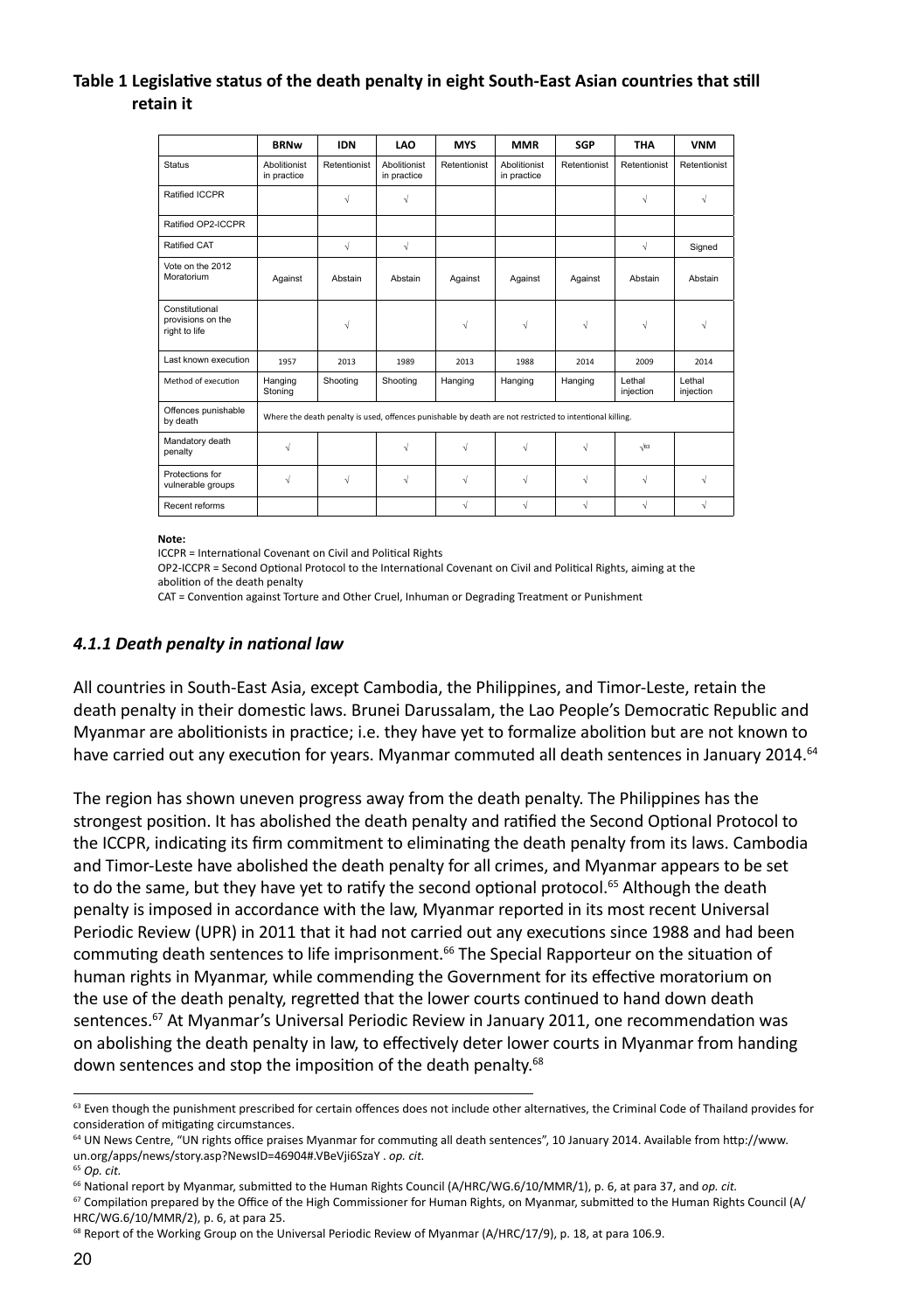#### **Table 1 Legislative status of the death penalty in eight South-East Asian countries that still retain it**

|                                                      | <b>BRNw</b>                                                                                              | <b>IDN</b>   | <b>LAO</b>                  | <b>MYS</b>   | <b>MMR</b>                  | <b>SGP</b>   | <b>THA</b>           | <b>VNM</b>           |
|------------------------------------------------------|----------------------------------------------------------------------------------------------------------|--------------|-----------------------------|--------------|-----------------------------|--------------|----------------------|----------------------|
| Status                                               | Abolitionist<br>in practice                                                                              | Retentionist | Abolitionist<br>in practice | Retentionist | Abolitionist<br>in practice | Retentionist | Retentionist         | Retentionist         |
| Ratified ICCPR                                       |                                                                                                          | $\sqrt{ }$   | √                           |              |                             |              | $\sqrt{}$            | $\sqrt{ }$           |
| Ratified OP2-ICCPR                                   |                                                                                                          |              |                             |              |                             |              |                      |                      |
| Ratified CAT                                         |                                                                                                          | $\sqrt{ }$   | $\sqrt{ }$                  |              |                             |              | $\sqrt{ }$           | Signed               |
| Vote on the 2012<br>Moratorium                       | Against                                                                                                  | Abstain      | Abstain                     | Against      | Against                     | Against      | Abstain              | Abstain              |
| Constitutional<br>provisions on the<br>right to life |                                                                                                          | √            |                             | $\sqrt{}$    | $\sqrt{ }$                  | √            | $\sqrt{ }$           | V                    |
| Last known execution                                 | 1957                                                                                                     | 2013         | 1989                        | 2013         | 1988                        | 2014         | 2009                 | 2014                 |
| Method of execution                                  | Hanging<br>Stoning                                                                                       | Shooting     | Shooting                    | Hanging      | Hanging                     | Hanging      | I ethal<br>injection | I ethal<br>injection |
| Offences punishable<br>by death                      | Where the death penalty is used, offences punishable by death are not restricted to intentional killing. |              |                             |              |                             |              |                      |                      |
| Mandatory death<br>penalty                           | $\sqrt{ }$                                                                                               |              | √                           | $\sqrt{}$    | $\sqrt{ }$                  | $\sqrt{ }$   | $\sqrt{63}$          |                      |
| Protections for<br>vulnerable groups                 | $\sqrt{ }$                                                                                               | √            | √                           | $\sqrt{}$    | $\sqrt{ }$                  | √            | $\sqrt{}$            | $\sqrt{ }$           |
| Recent reforms                                       |                                                                                                          |              |                             | $\sqrt{2}$   | $\sqrt{ }$                  | $\sqrt{ }$   | $\sqrt{ }$           | $\sqrt{ }$           |

**Note:**

ICCPR = International Covenant on Civil and Political Rights

OP2-ICCPR = Second Optional Protocol to the International Covenant on Civil and Political Rights, aiming at the abolition of the death penalty

CAT = Convention against Torture and Other Cruel, Inhuman or Degrading Treatment or Punishment

#### *4.1.1 Death penalty in national law*

All countries in South-East Asia, except Cambodia, the Philippines, and Timor-Leste, retain the death penalty in their domestic laws. Brunei Darussalam, the Lao People's Democratic Republic and Myanmar are abolitionists in practice; i.e. they have yet to formalize abolition but are not known to have carried out any execution for years. Myanmar commuted all death sentences in January 2014.<sup>64</sup>

The region has shown uneven progress away from the death penalty. The Philippines has the strongest position. It has abolished the death penalty and ratified the Second Optional Protocol to the ICCPR, indicating its firm commitment to eliminating the death penalty from its laws. Cambodia and Timor-Leste have abolished the death penalty for all crimes, and Myanmar appears to be set to do the same, but they have yet to ratify the second optional protocol.<sup>65</sup> Although the death penalty is imposed in accordance with the law, Myanmar reported in its most recent Universal Periodic Review (UPR) in 2011 that it had not carried out any executions since 1988 and had been commuting death sentences to life imprisonment.<sup>66</sup> The Special Rapporteur on the situation of human rights in Myanmar, while commending the Government for its effective moratorium on the use of the death penalty, regretted that the lower courts continued to hand down death sentences.<sup>67</sup> At Myanmar's Universal Periodic Review in January 2011, one recommendation was on abolishing the death penalty in law, to effectively deter lower courts in Myanmar from handing down sentences and stop the imposition of the death penalty.<sup>68</sup>

<sup>63</sup> Even though the punishment prescribed for certain offences does not include other alternatives, the Criminal Code of Thailand provides for consideration of mitigating circumstances.

<sup>64</sup> UN News Centre, "UN rights office praises Myanmar for commuting all death sentences", 10 January 2014. Available from http://www. un.org/apps/news/story.asp?NewsID=46904#.VBeVji6SzaY . *op. cit.*

<sup>65</sup> *Op. cit.*

<sup>66</sup> National report by Myanmar, submitted to the Human Rights Council (A/HRC/WG.6/10/MMR/1), p. 6, at para 37, and *op. cit.*

<sup>&</sup>lt;sup>67</sup> Compilation prepared by the Office of the High Commissioner for Human Rights, on Myanmar, submitted to the Human Rights Council (A/ HRC/WG.6/10/MMR/2), p. 6, at para 25.

<sup>&</sup>lt;sup>68</sup> Report of the Working Group on the Universal Periodic Review of Myanmar (A/HRC/17/9), p. 18, at para 106.9.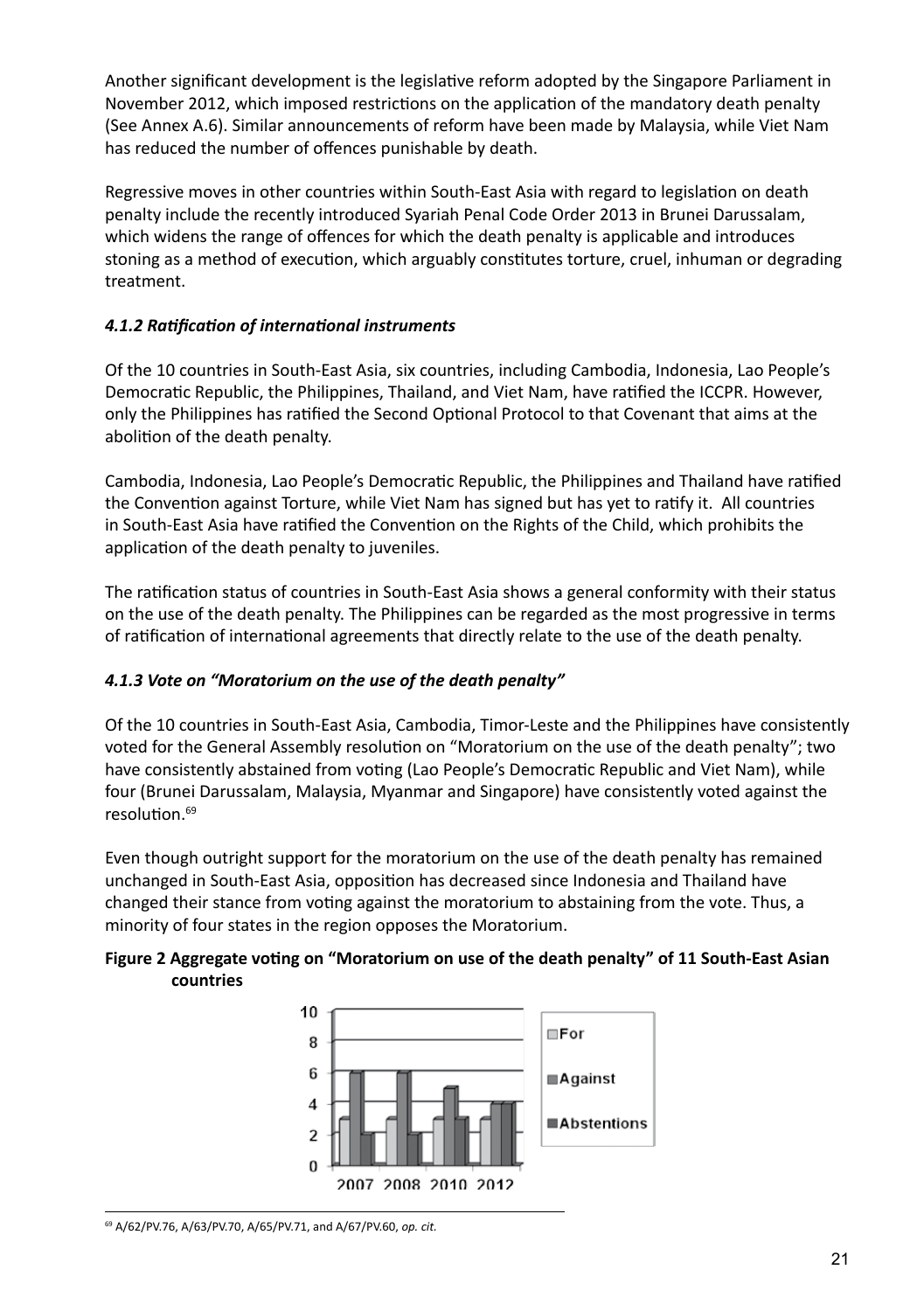Another significant development is the legislative reform adopted by the Singapore Parliament in November 2012, which imposed restrictions on the application of the mandatory death penalty (See Annex A.6). Similar announcements of reform have been made by Malaysia, while Viet Nam has reduced the number of offences punishable by death.

Regressive moves in other countries within South-East Asia with regard to legislation on death penalty include the recently introduced Syariah Penal Code Order 2013 in Brunei Darussalam, which widens the range of offences for which the death penalty is applicable and introduces stoning as a method of execution, which arguably constitutes torture, cruel, inhuman or degrading treatment.

#### *4.1.2 Ratification of international instruments*

Of the 10 countries in South-East Asia, six countries, including Cambodia, Indonesia, Lao People's Democratic Republic, the Philippines, Thailand, and Viet Nam, have ratified the ICCPR. However, only the Philippines has ratified the Second Optional Protocol to that Covenant that aims at the abolition of the death penalty.

Cambodia, Indonesia, Lao People's Democratic Republic, the Philippines and Thailand have ratified the Convention against Torture, while Viet Nam has signed but has yet to ratify it. All countries in South-East Asia have ratified the Convention on the Rights of the Child, which prohibits the application of the death penalty to juveniles.

The ratification status of countries in South-East Asia shows a general conformity with their status on the use of the death penalty. The Philippines can be regarded as the most progressive in terms of ratification of international agreements that directly relate to the use of the death penalty.

#### *4.1.3 Vote on "Moratorium on the use of the death penalty"*

Of the 10 countries in South-East Asia, Cambodia, Timor-Leste and the Philippines have consistently voted for the General Assembly resolution on "Moratorium on the use of the death penalty"; two have consistently abstained from voting (Lao People's Democratic Republic and Viet Nam), while four (Brunei Darussalam, Malaysia, Myanmar and Singapore) have consistently voted against the resolution.69

Even though outright support for the moratorium on the use of the death penalty has remained unchanged in South-East Asia, opposition has decreased since Indonesia and Thailand have changed their stance from voting against the moratorium to abstaining from the vote. Thus, a minority of four states in the region opposes the Moratorium.

#### **Figure 2 Aggregate voting on "Moratorium on use of the death penalty" of 11 South-East Asian countries**



69 A/62/PV.76, A/63/PV.70, A/65/PV.71, and A/67/PV.60, *op. cit.*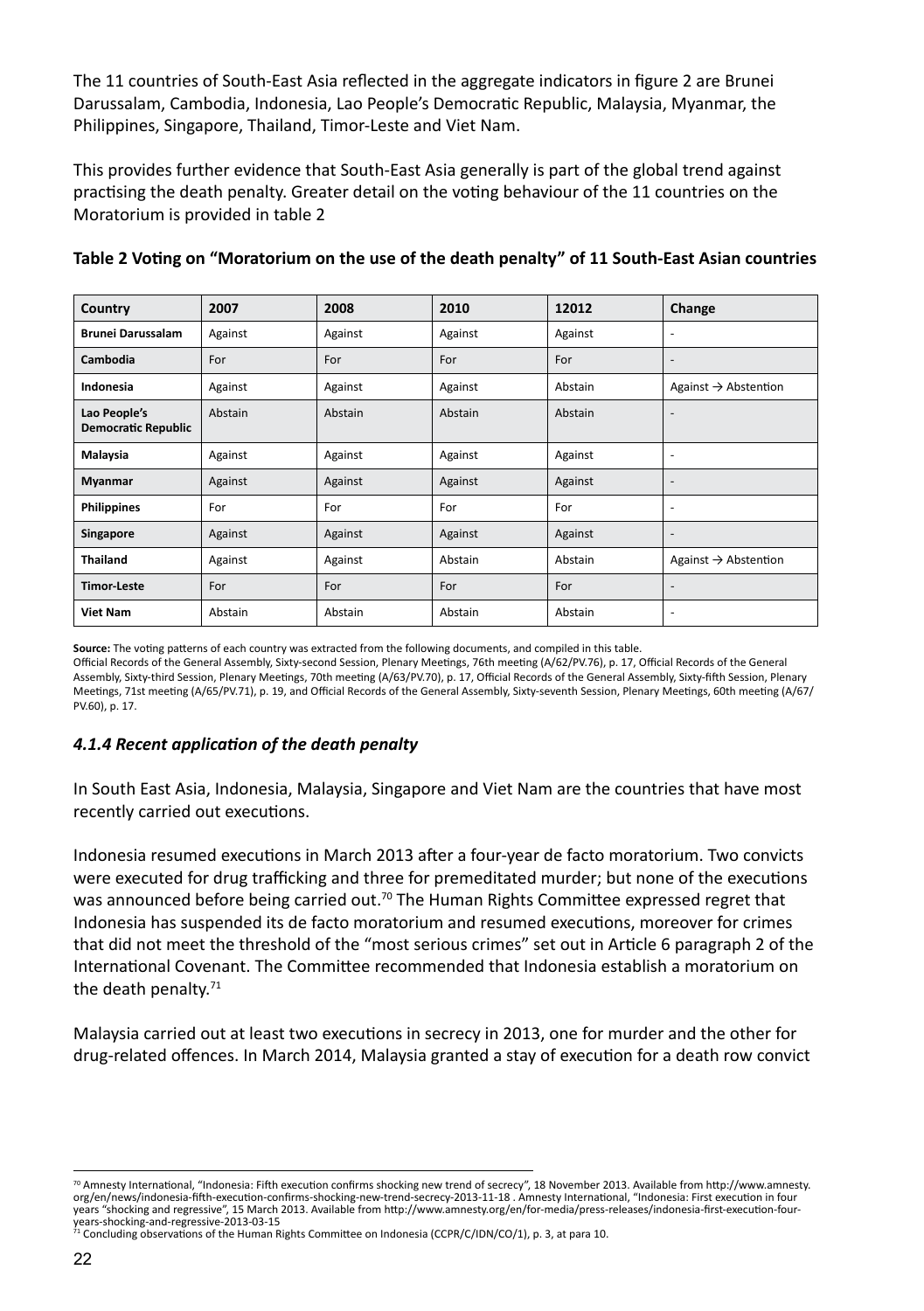The 11 countries of South-East Asia reflected in the aggregate indicators in figure 2 are Brunei Darussalam, Cambodia, Indonesia, Lao People's Democratic Republic, Malaysia, Myanmar, the Philippines, Singapore, Thailand, Timor-Leste and Viet Nam.

This provides further evidence that South-East Asia generally is part of the global trend against practising the death penalty. Greater detail on the voting behaviour of the 11 countries on the Moratorium is provided in table 2

| Country                                    | 2007    | 2008    | 2010    | 12012   | Change                           |
|--------------------------------------------|---------|---------|---------|---------|----------------------------------|
| <b>Brunei Darussalam</b>                   | Against | Against | Against | Against | $\overline{a}$                   |
| Cambodia                                   | For     | For     | For     | For     | $\overline{a}$                   |
| Indonesia                                  | Against | Against | Against | Abstain | Against $\rightarrow$ Abstention |
| Lao People's<br><b>Democratic Republic</b> | Abstain | Abstain | Abstain | Abstain | $\overline{\phantom{a}}$         |
| Malaysia                                   | Against | Against | Against | Against | $\overline{\phantom{a}}$         |
| Myanmar                                    | Against | Against | Against | Against | ۰                                |
| <b>Philippines</b>                         | For     | For     | For     | For     | $\overline{\phantom{a}}$         |
| Singapore                                  | Against | Against | Against | Against | ۰                                |
| <b>Thailand</b>                            | Against | Against | Abstain | Abstain | Against $\rightarrow$ Abstention |
| <b>Timor-Leste</b>                         | For     | For     | For     | For     | ۰                                |
| <b>Viet Nam</b>                            | Abstain | Abstain | Abstain | Abstain |                                  |

#### **Table 2 Voting on "Moratorium on the use of the death penalty" of 11 South-East Asian countries**

**Source:** The voting patterns of each country was extracted from the following documents, and compiled in this table.

Official Records of the General Assembly, Sixty-second Session, Plenary Meetings, 76th meeting (A/62/PV.76), p. 17, Official Records of the General Assembly, Sixty-third Session, Plenary Meetings, 70th meeting (A/63/PV.70), p. 17, Official Records of the General Assembly, Sixty-fifth Session, Plenary Meetings, 71st meeting (A/65/PV.71), p. 19, and Official Records of the General Assembly, Sixty-seventh Session, Plenary Meetings, 60th meeting (A/67/ PV.60), p. 17.

#### *4.1.4 Recent application of the death penalty*

In South East Asia, Indonesia, Malaysia, Singapore and Viet Nam are the countries that have most recently carried out executions.

Indonesia resumed executions in March 2013 after a four-year de facto moratorium. Two convicts were executed for drug trafficking and three for premeditated murder; but none of the executions was announced before being carried out.<sup>70</sup> The Human Rights Committee expressed regret that Indonesia has suspended its de facto moratorium and resumed executions, moreover for crimes that did not meet the threshold of the "most serious crimes" set out in Article 6 paragraph 2 of the International Covenant. The Committee recommended that Indonesia establish a moratorium on the death penalty. $71$ 

Malaysia carried out at least two executions in secrecy in 2013, one for murder and the other for drug-related offences. In March 2014, Malaysia granted a stay of execution for a death row convict

<sup>70</sup> Amnesty International, "Indonesia: Fifth execution confirms shocking new trend of secrecy", 18 November 2013. Available from http://www.amnesty. org/en/news/indonesia-fifth-execution-confirms-shocking-new-trend-secrecy-2013-11-18 . Amnesty International, "Indonesia: First execution in four years "shocking and regressive", 15 March 2013. Available from http://www.amnesty.org/en/for-media/press-releases/indonesia-first-execution-four-years-shocking-and-regressive-2013-03-15

years-snocking-anu-regressive-2015-02-1<br><sup>71</sup> Concluding observations of the Human Rights Committee on Indonesia (CCPR/C/IDN/CO/1), p. 3, at para 10.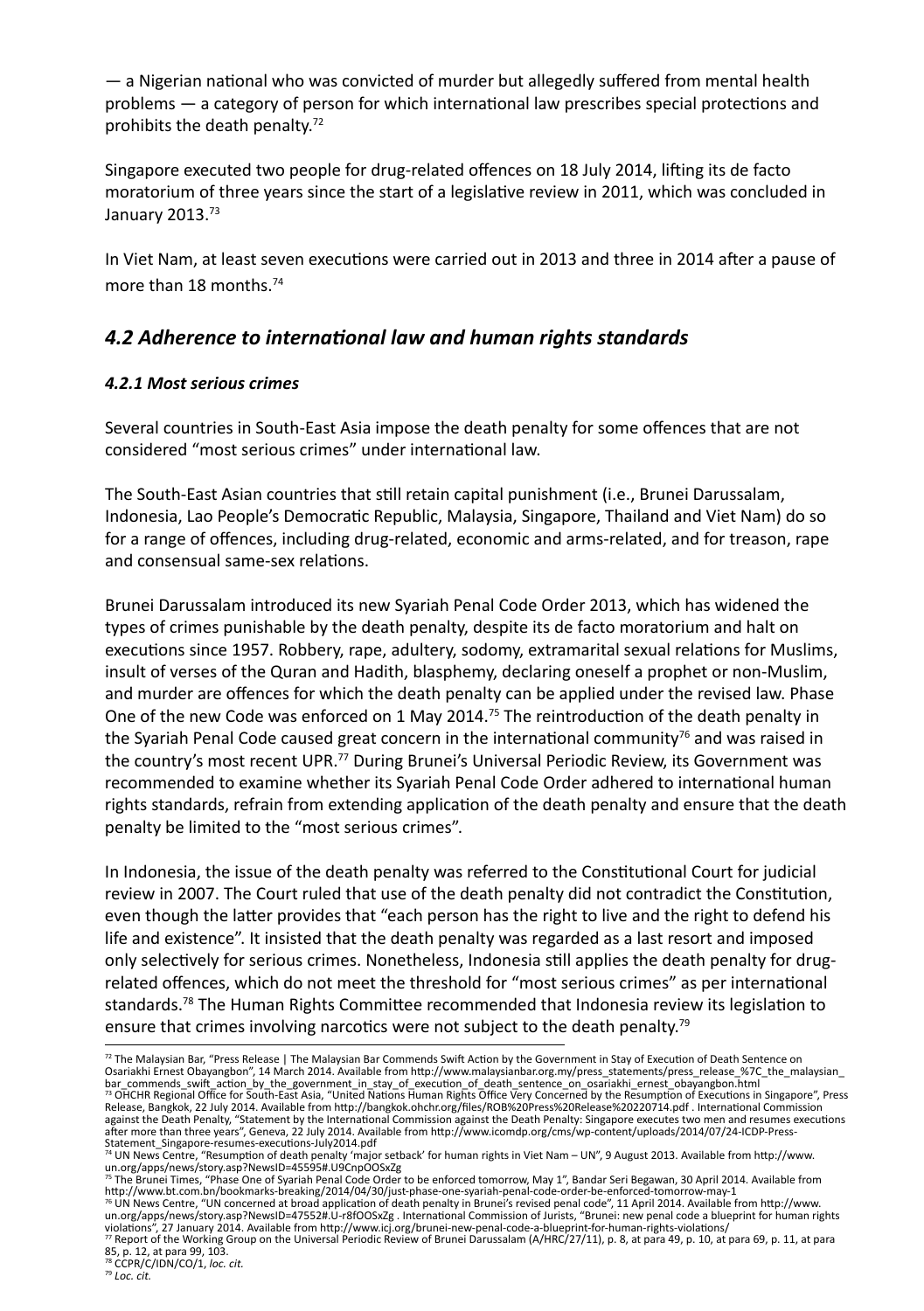— a Nigerian national who was convicted of murder but allegedly suffered from mental health problems — a category of person for which international law prescribes special protections and prohibits the death penalty.72

Singapore executed two people for drug-related offences on 18 July 2014, lifting its de facto moratorium of three years since the start of a legislative review in 2011, which was concluded in January 2013.<sup>73</sup>

In Viet Nam, at least seven executions were carried out in 2013 and three in 2014 after a pause of more than 18 months.<sup>74</sup>

## *4.2 Adherence to international law and human rights standards*

#### *4.2.1 Most serious crimes*

Several countries in South-East Asia impose the death penalty for some offences that are not considered "most serious crimes" under international law.

The South-East Asian countries that still retain capital punishment (i.e., Brunei Darussalam, Indonesia, Lao People's Democratic Republic, Malaysia, Singapore, Thailand and Viet Nam) do so for a range of offences, including drug-related, economic and arms-related, and for treason, rape and consensual same-sex relations.

Brunei Darussalam introduced its new Syariah Penal Code Order 2013, which has widened the types of crimes punishable by the death penalty, despite its de facto moratorium and halt on executions since 1957. Robbery, rape, adultery, sodomy, extramarital sexual relations for Muslims, insult of verses of the Quran and Hadith, blasphemy, declaring oneself a prophet or non-Muslim, and murder are offences for which the death penalty can be applied under the revised law. Phase One of the new Code was enforced on 1 May 2014.<sup>75</sup> The reintroduction of the death penalty in the Syariah Penal Code caused great concern in the international community<sup>76</sup> and was raised in the country's most recent UPR.77 During Brunei's Universal Periodic Review, its Government was recommended to examine whether its Syariah Penal Code Order adhered to international human rights standards, refrain from extending application of the death penalty and ensure that the death penalty be limited to the "most serious crimes".

In Indonesia, the issue of the death penalty was referred to the Constitutional Court for judicial review in 2007. The Court ruled that use of the death penalty did not contradict the Constitution, even though the latter provides that "each person has the right to live and the right to defend his life and existence". It insisted that the death penalty was regarded as a last resort and imposed only selectively for serious crimes. Nonetheless, Indonesia still applies the death penalty for drugrelated offences, which do not meet the threshold for "most serious crimes" as per international standards.<sup>78</sup> The Human Rights Committee recommended that Indonesia review its legislation to ensure that crimes involving narcotics were not subject to the death penalty.<sup>79</sup>

75 The Brunei Times, "Phase One of Syariah Penal Code Order to be enforced tomorrow, May 1", Bandar Seri Begawan, 30 April 2014. Available from http://www.bt.com.bn/bookmarks-breaking/2014/04/30/just-phase-one-syariah-penal-code-order-be-enforced-tomorrow-may-1<br><sup>76</sup> UN News Centre, "UN concerned at broad application of death penalty in Brunei's revised penal code" un.org/apps/news/story.asp?NewsID=47552#.U-r8fOOSxZg . International Commission of Jurists, "Brunei: new penal code a blueprint for human rights

violations", 27 January 2014. Available from http://www.icj.org/brunei-new-penal-code-a-blueprint-for-human-rights-violations/<br>" Report of the Working Group on the Universal Periodic Review of Brunei Darussalam (A/HRC/27/1 85, p. 12, at para 99, 103.

<sup>&</sup>lt;sup>72</sup> The Malaysian Bar, "Press Release | The Malaysian Bar Commends Swift Action by the Government in Stay of Execution of Death Sentence on Osariakhi Ernest Obayangbon", 14 March 2014. Available from http://www.malaysianbar.org.my/press\_statements/press\_release\_%7C\_the\_malaysian\_ bar\_commends\_swift\_action\_by\_the\_government\_in\_stay\_of\_execution\_of\_death\_sentence\_on\_osariakhi\_ernest\_obayangbon.html<br><sup>73</sup> OHCHR Regional Office for South-East Asia, "United Nations Human Rights Office Very Concerned by t Release, Bangkok, 22 July 2014. Available from http://bangkok.ohchr.org/files/ROB%20Press%20Release%20220714.pdf . International Commission against the Death Penalty, "Statement by the International Commission against the Death Penalty: Singapore executes two men and resumes executions<br>after more than three years", Geneva, 22 July 2014. Available from http://w

Statement\_Singapore-resumes-executions-July2014.pdf<br>"ª UN News Centre, "Resumption of death penalty 'major setback' for human rights in Viet Nam – UN", 9 August 2013. Available from http://www.<br>un.org/apps/news/story.asp?N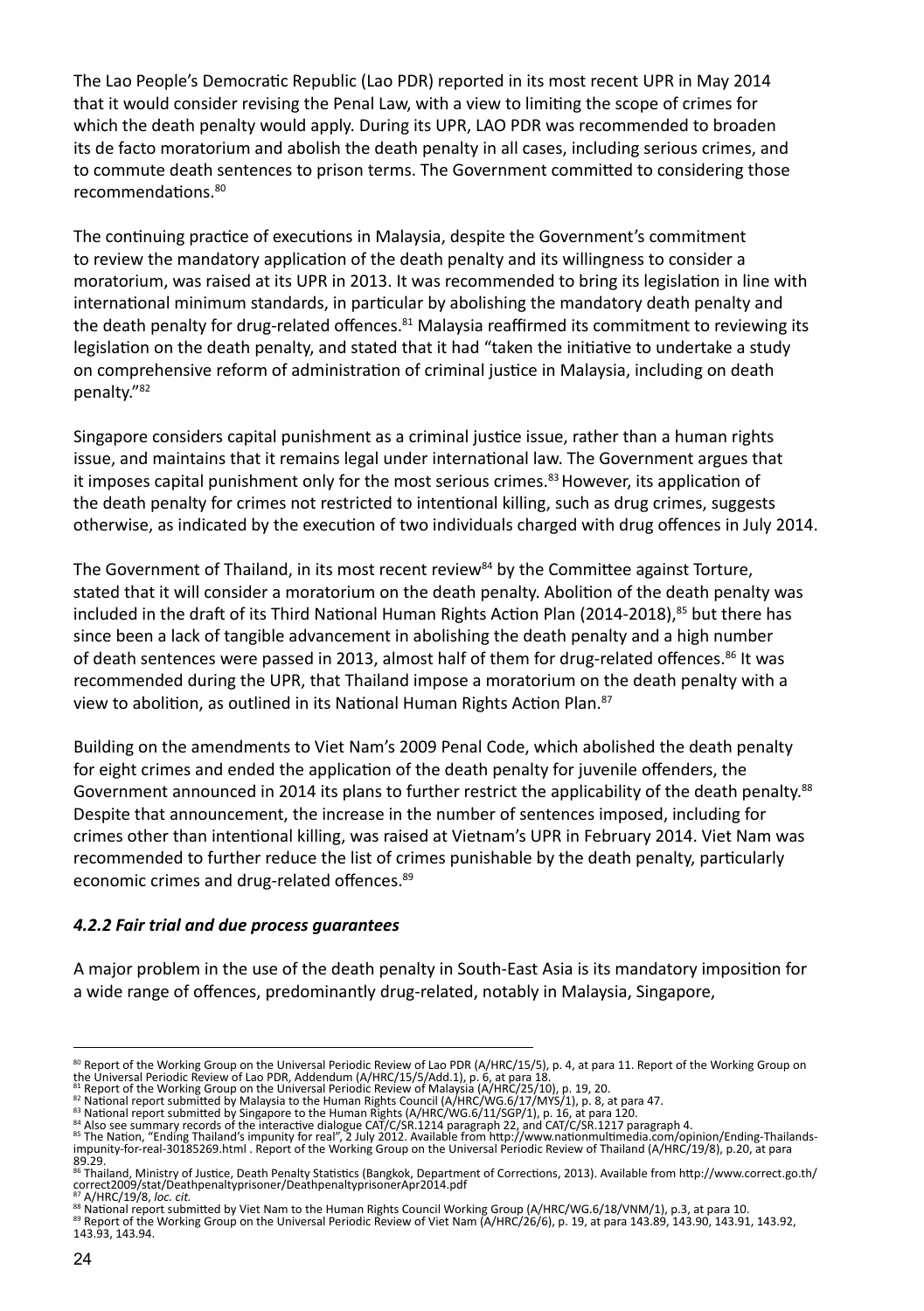The Lao People's Democratic Republic (Lao PDR) reported in its most recent UPR in May 2014 that it would consider revising the Penal Law, with a view to limiting the scope of crimes for which the death penalty would apply. During its UPR, LAO PDR was recommended to broaden its de facto moratorium and abolish the death penalty in all cases, including serious crimes, and to commute death sentences to prison terms. The Government committed to considering those recommendations.80

The continuing practice of executions in Malaysia, despite the Government's commitment to review the mandatory application of the death penalty and its willingness to consider a moratorium, was raised at its UPR in 2013. It was recommended to bring its legislation in line with international minimum standards, in particular by abolishing the mandatory death penalty and the death penalty for drug-related offences.<sup>81</sup> Malaysia reaffirmed its commitment to reviewing its legislation on the death penalty, and stated that it had "taken the initiative to undertake a study on comprehensive reform of administration of criminal justice in Malaysia, including on death penalty."82

Singapore considers capital punishment as a criminal justice issue, rather than a human rights issue, and maintains that it remains legal under international law. The Government argues that it imposes capital punishment only for the most serious crimes.<sup>83</sup> However, its application of the death penalty for crimes not restricted to intentional killing, such as drug crimes, suggests otherwise, as indicated by the execution of two individuals charged with drug offences in July 2014.

The Government of Thailand, in its most recent review<sup>84</sup> by the Committee against Torture, stated that it will consider a moratorium on the death penalty. Abolition of the death penalty was included in the draft of its Third National Human Rights Action Plan (2014-2018),<sup>85</sup> but there has since been a lack of tangible advancement in abolishing the death penalty and a high number of death sentences were passed in 2013, almost half of them for drug-related offences.<sup>86</sup> It was recommended during the UPR, that Thailand impose a moratorium on the death penalty with a view to abolition, as outlined in its National Human Rights Action Plan.<sup>87</sup>

Building on the amendments to Viet Nam's 2009 Penal Code, which abolished the death penalty for eight crimes and ended the application of the death penalty for juvenile offenders, the Government announced in 2014 its plans to further restrict the applicability of the death penalty.<sup>88</sup> Despite that announcement, the increase in the number of sentences imposed, including for crimes other than intentional killing, was raised at Vietnam's UPR in February 2014. Viet Nam was recommended to further reduce the list of crimes punishable by the death penalty, particularly economic crimes and drug-related offences.<sup>89</sup>

#### *4.2.2 Fair trial and due process guarantees*

A major problem in the use of the death penalty in South-East Asia is its mandatory imposition for a wide range of offences, predominantly drug-related, notably in Malaysia, Singapore,

<sup>&</sup>lt;sup>80</sup> Report of the Working Group on the Universal Periodic Review of Lao PDR (A/HRC/15/5), p. 4, at para 11. Report of the Working Group on<br><sup>80</sup> Report of the Working Group on the Universal Periodic (A/HRC/15/5/Add.1), p.

<sup>89.29.</sup>

<sup>86</sup> Thailand, Ministry of Justice, Death Penalty Statistics (Bangkok, Department of Corrections, 2013). Available from http://www.correct.go.th/<br>correct2009/stat/Deathpenaltyprisoner/DeathpenaltyprisonerApr2014.pdf

<sup>87</sup> A/HRC/19/8, *loc. cit.*<br>® National report submitted by Viet Nam to the Human Rights Council Working Group (A/HRC/WG.6/18/VNM/1), p.3, at para 10.<br>® Report of the Working Group on the Universal Periodic Review of Viet N 143.93, 143.94.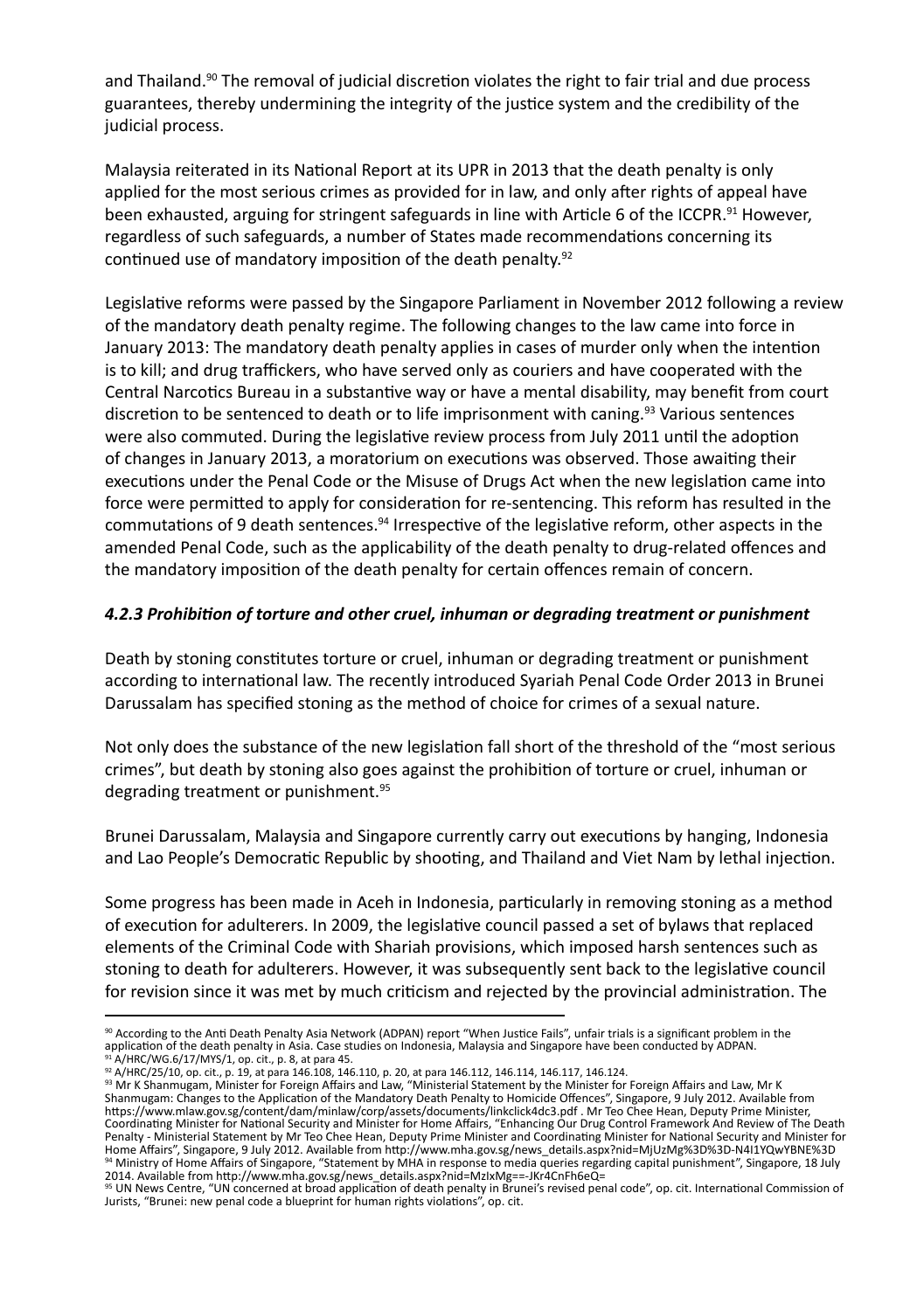and Thailand.<sup>90</sup> The removal of judicial discretion violates the right to fair trial and due process guarantees, thereby undermining the integrity of the justice system and the credibility of the judicial process.

Malaysia reiterated in its National Report at its UPR in 2013 that the death penalty is only applied for the most serious crimes as provided for in law, and only after rights of appeal have been exhausted, arguing for stringent safeguards in line with Article 6 of the ICCPR.<sup>91</sup> However, regardless of such safeguards, a number of States made recommendations concerning its continued use of mandatory imposition of the death penalty.<sup>92</sup>

Legislative reforms were passed by the Singapore Parliament in November 2012 following a review of the mandatory death penalty regime. The following changes to the law came into force in January 2013: The mandatory death penalty applies in cases of murder only when the intention is to kill; and drug traffickers, who have served only as couriers and have cooperated with the Central Narcotics Bureau in a substantive way or have a mental disability, may benefit from court discretion to be sentenced to death or to life imprisonment with caning.<sup>93</sup> Various sentences were also commuted. During the legislative review process from July 2011 until the adoption of changes in January 2013, a moratorium on executions was observed. Those awaiting their executions under the Penal Code or the Misuse of Drugs Act when the new legislation came into force were permitted to apply for consideration for re-sentencing. This reform has resulted in the commutations of 9 death sentences.<sup>94</sup> Irrespective of the legislative reform, other aspects in the amended Penal Code, such as the applicability of the death penalty to drug-related offences and the mandatory imposition of the death penalty for certain offences remain of concern.

#### *4.2.3 Prohibition of torture and other cruel, inhuman or degrading treatment or punishment*

Death by stoning constitutes torture or cruel, inhuman or degrading treatment or punishment according to international law. The recently introduced Syariah Penal Code Order 2013 in Brunei Darussalam has specified stoning as the method of choice for crimes of a sexual nature.

Not only does the substance of the new legislation fall short of the threshold of the "most serious crimes", but death by stoning also goes against the prohibition of torture or cruel, inhuman or degrading treatment or punishment.<sup>95</sup>

Brunei Darussalam, Malaysia and Singapore currently carry out executions by hanging, Indonesia and Lao People's Democratic Republic by shooting, and Thailand and Viet Nam by lethal injection.

Some progress has been made in Aceh in Indonesia, particularly in removing stoning as a method of execution for adulterers. In 2009, the legislative council passed a set of bylaws that replaced elements of the Criminal Code with Shariah provisions, which imposed harsh sentences such as stoning to death for adulterers. However, it was subsequently sent back to the legislative council for revision since it was met by much criticism and rejected by the provincial administration. The

<sup>90</sup> According to the Anti Death Penalty Asia Network (ADPAN) report "When Justice Fails", unfair trials is a significant problem in the application of the death penalty in Asia. Case studies on Indonesia, Malaysia and Singapore have been conducted by ADPAN. 91 A/HRC/WG.6/17/MYS/1, op. cit., p. 8, at para 45.

<sup>&</sup>lt;sup>92</sup> A/HRC/25/10, op. cit., p. 19, at para 146.108, 146.110, p. 20, at para 146.112, 146.114, 146.117, 146.124.<br><sup>93</sup> Mr K Shanmugam, Minister for Foreign Affairs and Law, "Ministerial Statement by the Minister for Foreign Shanmugam: Changes to the Application of the Mandatory Death Penalty to Homicide Offences", Singapore, 9 July 2012. Available from https://www.mlaw.gov.sg/content/dam/minlaw/corp/assets/documents/linkclick4dc3.pdf . Mr Teo Chee Hean, Deputy Prime Minister,<br>Coordinating Minister for National Security and Minister for Home Affairs, "Enhancing Our Drug C Penalty - Ministerial Statement by Mr Teo Chee Hean, Deputy Prime Minister and Coordinating Minister for National Security and Minister for<br>Home Affairs", Singapore, 9 July 2012. Available from http://www.mha.gov.sg/news\_d 94 Ministry of Home Affairs of Singapore, "Statement by MHA in response to media queries regarding capital punishment", Singapore, 18 July

<sup>2014.</sup> Available from http://www.mha.gov.sg/news\_details.aspx?nid=MzIxMg==-JKr4CnFh6eQ=<br><sup>95</sup> UN News Centre, "UN concerned at broad application of death penalty in Brunei's revised penal code", op. cit. International Commis Jurists, "Brunei: new penal code a blueprint for human rights violations", op. cit.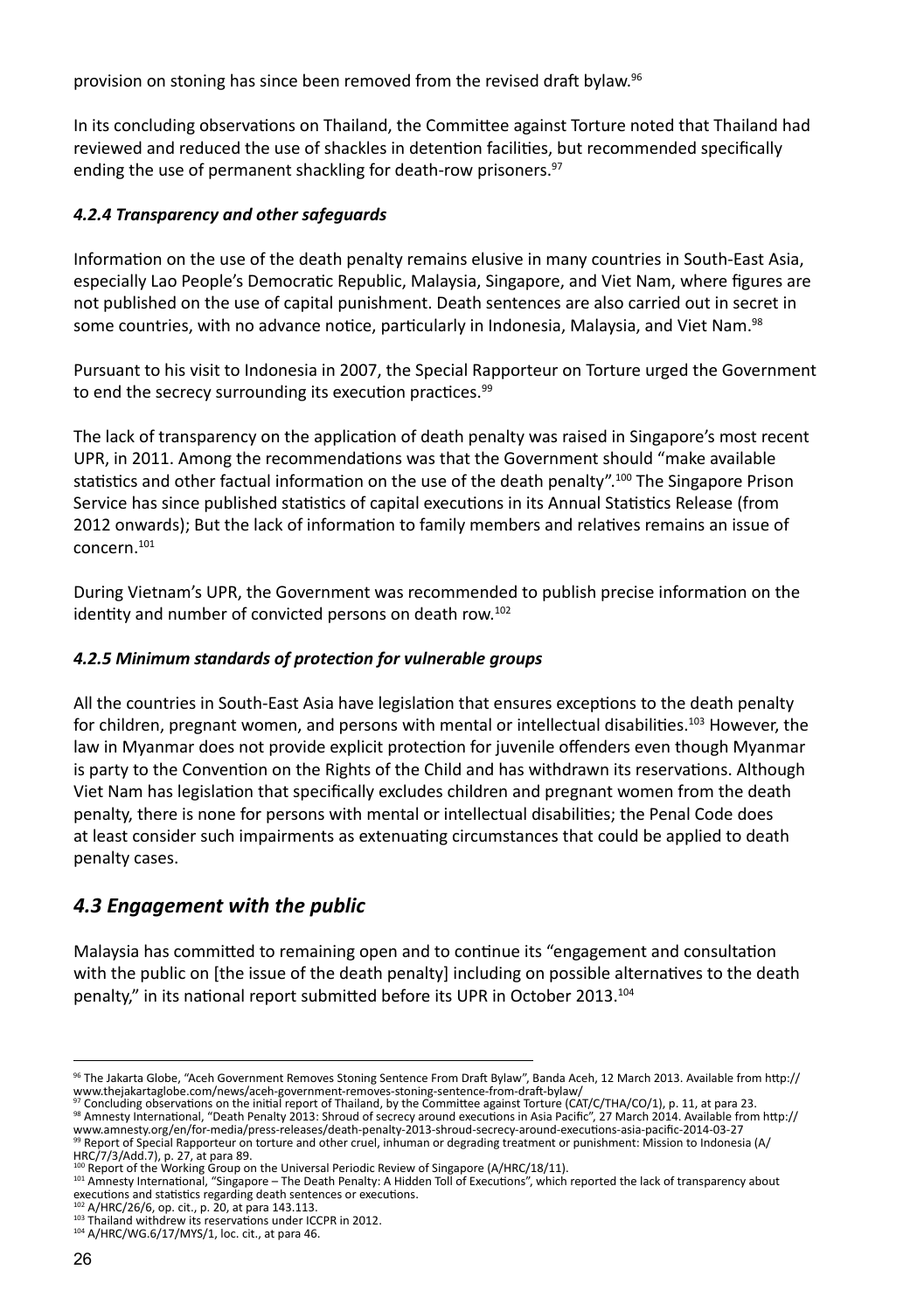provision on stoning has since been removed from the revised draft bylaw.<sup>96</sup>

In its concluding observations on Thailand, the Committee against Torture noted that Thailand had reviewed and reduced the use of shackles in detention facilities, but recommended specifically ending the use of permanent shackling for death-row prisoners.<sup>97</sup>

#### *4.2.4 Transparency and other safeguards*

Information on the use of the death penalty remains elusive in many countries in South-East Asia, especially Lao People's Democratic Republic, Malaysia, Singapore, and Viet Nam, where figures are not published on the use of capital punishment. Death sentences are also carried out in secret in some countries, with no advance notice, particularly in Indonesia, Malaysia, and Viet Nam.<sup>98</sup>

Pursuant to his visit to Indonesia in 2007, the Special Rapporteur on Torture urged the Government to end the secrecy surrounding its execution practices.<sup>99</sup>

The lack of transparency on the application of death penalty was raised in Singapore's most recent UPR, in 2011. Among the recommendations was that the Government should "make available statistics and other factual information on the use of the death penalty".<sup>100</sup> The Singapore Prison Service has since published statistics of capital executions in its Annual Statistics Release (from 2012 onwards); But the lack of information to family members and relatives remains an issue of concern.101

During Vietnam's UPR, the Government was recommended to publish precise information on the identity and number of convicted persons on death row.<sup>102</sup>

#### *4.2.5 Minimum standards of protection for vulnerable groups*

All the countries in South-East Asia have legislation that ensures exceptions to the death penalty for children, pregnant women, and persons with mental or intellectual disabilities.<sup>103</sup> However, the law in Myanmar does not provide explicit protection for juvenile offenders even though Myanmar is party to the Convention on the Rights of the Child and has withdrawn its reservations. Although Viet Nam has legislation that specifically excludes children and pregnant women from the death penalty, there is none for persons with mental or intellectual disabilities; the Penal Code does at least consider such impairments as extenuating circumstances that could be applied to death penalty cases.

# *4.3 Engagement with the public*

Malaysia has committed to remaining open and to continue its "engagement and consultation with the public on [the issue of the death penalty] including on possible alternatives to the death penalty," in its national report submitted before its UPR in October 2013.104

<sup>96</sup> The Jakarta Globe, "Aceh Government Removes Stoning Sentence From Draft Bylaw", Banda Aceh, 12 March 2013. Available from http:// www.thejakartaglobe.com/news/aceh-government-removes-stoning-sentence-from-draft-bylaw/

<sup>&</sup>lt;sup>97</sup> Concluding observations on the initial report of Thailand, by the Committee against Torture (CAT/C/THA/CO/1), p. 11, at para 23.<br><sup>98</sup> Amnesty International, "Death Penalty 2013: Shroud of secrecy around executions in

www.amnesty.org/en/for-media/press-releases/death-penalty-2013-shroud-secrecy-around-executions-asia-pacific-2014-03-27 99 Report of Special Rapporteur on torture and other cruel, inhuman or degrading treatment or punishment: Mission to Indonesia (A/

HRC/7/3/Add.7), p. 27, at para 89.<br><sup>100</sup> Report of the Working Group on the Universal Periodic Review of Singapore (A/HRC/18/11).

<sup>&</sup>lt;sup>101</sup> Amnesty International, "Singapore - The Death Penalty: A Hidden Toll of Executions", which reported the lack of transparency about executions and statistics regarding death sentences or executions.<br><sup>102</sup> A/HRC/26/6, op. cit., p. 20, at para 143.113.

<sup>103</sup> Thailand withdrew its reservations under ICCPR in 2012.<br><sup>104</sup> A/HRC/WG.6/17/MYS/1, loc. cit., at para 46.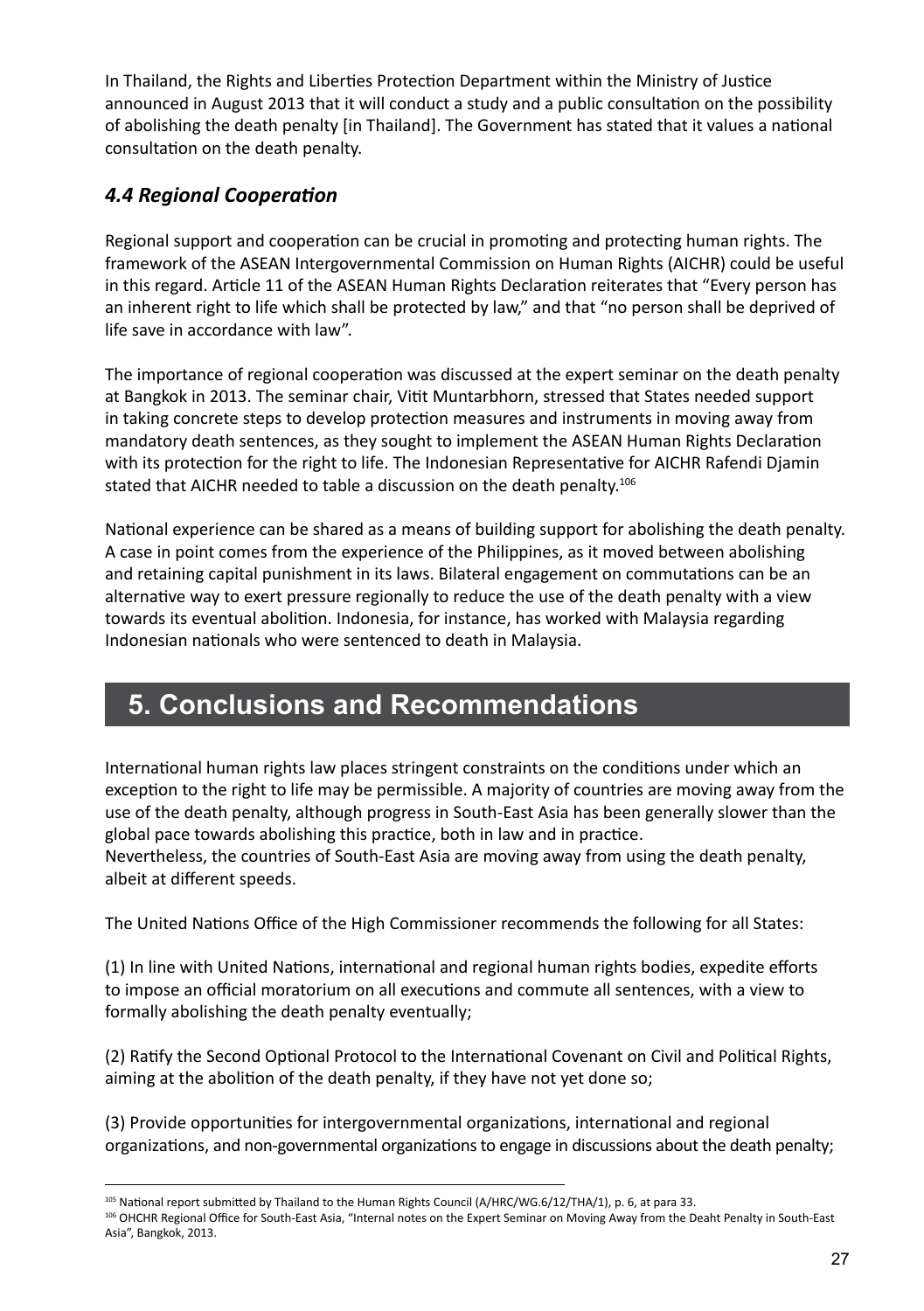In Thailand, the Rights and Liberties Protection Department within the Ministry of Justice announced in August 2013 that it will conduct a study and a public consultation on the possibility of abolishing the death penalty [in Thailand]. The Government has stated that it values a national consultation on the death penalty.

# *4.4 Regional Cooperation*

Regional support and cooperation can be crucial in promoting and protecting human rights. The framework of the ASEAN Intergovernmental Commission on Human Rights (AICHR) could be useful in this regard. Article 11 of the ASEAN Human Rights Declaration reiterates that "Every person has an inherent right to life which shall be protected by law," and that "no person shall be deprived of life save in accordance with law".

The importance of regional cooperation was discussed at the expert seminar on the death penalty at Bangkok in 2013. The seminar chair, Vitit Muntarbhorn, stressed that States needed support in taking concrete steps to develop protection measures and instruments in moving away from mandatory death sentences, as they sought to implement the ASEAN Human Rights Declaration with its protection for the right to life. The Indonesian Representative for AICHR Rafendi Djamin stated that AICHR needed to table a discussion on the death penalty.<sup>106</sup>

National experience can be shared as a means of building support for abolishing the death penalty. A case in point comes from the experience of the Philippines, as it moved between abolishing and retaining capital punishment in its laws. Bilateral engagement on commutations can be an alternative way to exert pressure regionally to reduce the use of the death penalty with a view towards its eventual abolition. Indonesia, for instance, has worked with Malaysia regarding Indonesian nationals who were sentenced to death in Malaysia.

# **5. Conclusions and Recommendations**

International human rights law places stringent constraints on the conditions under which an exception to the right to life may be permissible. A majority of countries are moving away from the use of the death penalty, although progress in South-East Asia has been generally slower than the global pace towards abolishing this practice, both in law and in practice.

Nevertheless, the countries of South-East Asia are moving away from using the death penalty, albeit at different speeds.

The United Nations Office of the High Commissioner recommends the following for all States:

(1) In line with United Nations, international and regional human rights bodies, expedite efforts to impose an official moratorium on all executions and commute all sentences, with a view to formally abolishing the death penalty eventually;

(2) Ratify the Second Optional Protocol to the International Covenant on Civil and Political Rights, aiming at the abolition of the death penalty, if they have not yet done so;

(3) Provide opportunities for intergovernmental organizations, international and regional organizations, and non-governmental organizations to engage in discussions about the death penalty;

<sup>105</sup> National report submitted by Thailand to the Human Rights Council (A/HRC/WG.6/12/THA/1), p. 6, at para 33.

<sup>106</sup> OHCHR Regional Office for South-East Asia, "Internal notes on the Expert Seminar on Moving Away from the Deaht Penalty in South-East Asia", Bangkok, 2013.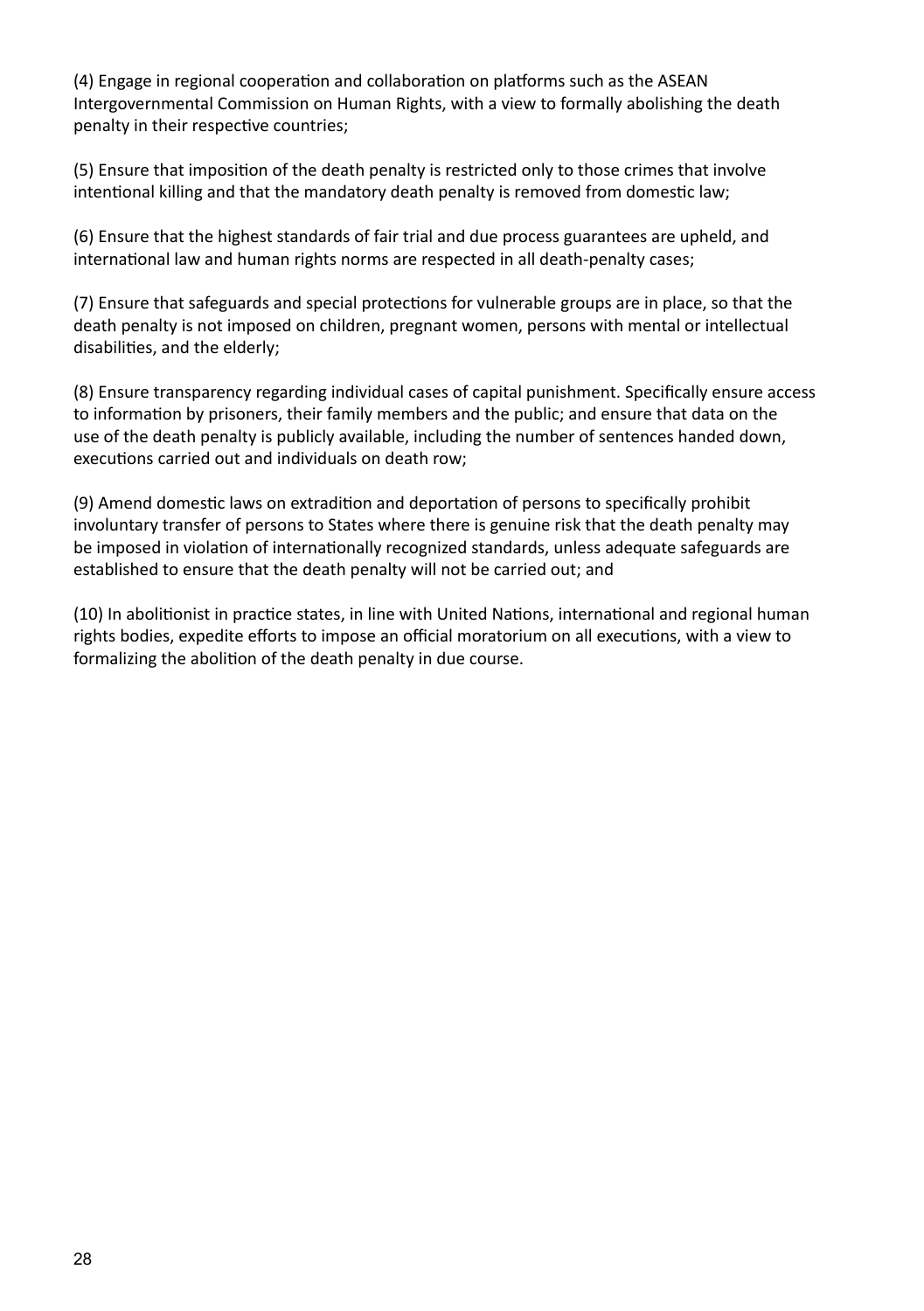(4) Engage in regional cooperation and collaboration on platforms such as the ASEAN Intergovernmental Commission on Human Rights, with a view to formally abolishing the death penalty in their respective countries;

(5) Ensure that imposition of the death penalty is restricted only to those crimes that involve intentional killing and that the mandatory death penalty is removed from domestic law;

(6) Ensure that the highest standards of fair trial and due process guarantees are upheld, and international law and human rights norms are respected in all death-penalty cases;

(7) Ensure that safeguards and special protections for vulnerable groups are in place, so that the death penalty is not imposed on children, pregnant women, persons with mental or intellectual disabilities, and the elderly;

(8) Ensure transparency regarding individual cases of capital punishment. Specifically ensure access to information by prisoners, their family members and the public; and ensure that data on the use of the death penalty is publicly available, including the number of sentences handed down, executions carried out and individuals on death row;

(9) Amend domestic laws on extradition and deportation of persons to specifically prohibit involuntary transfer of persons to States where there is genuine risk that the death penalty may be imposed in violation of internationally recognized standards, unless adequate safeguards are established to ensure that the death penalty will not be carried out; and

(10) In abolitionist in practice states, in line with United Nations, international and regional human rights bodies, expedite efforts to impose an official moratorium on all executions, with a view to formalizing the abolition of the death penalty in due course.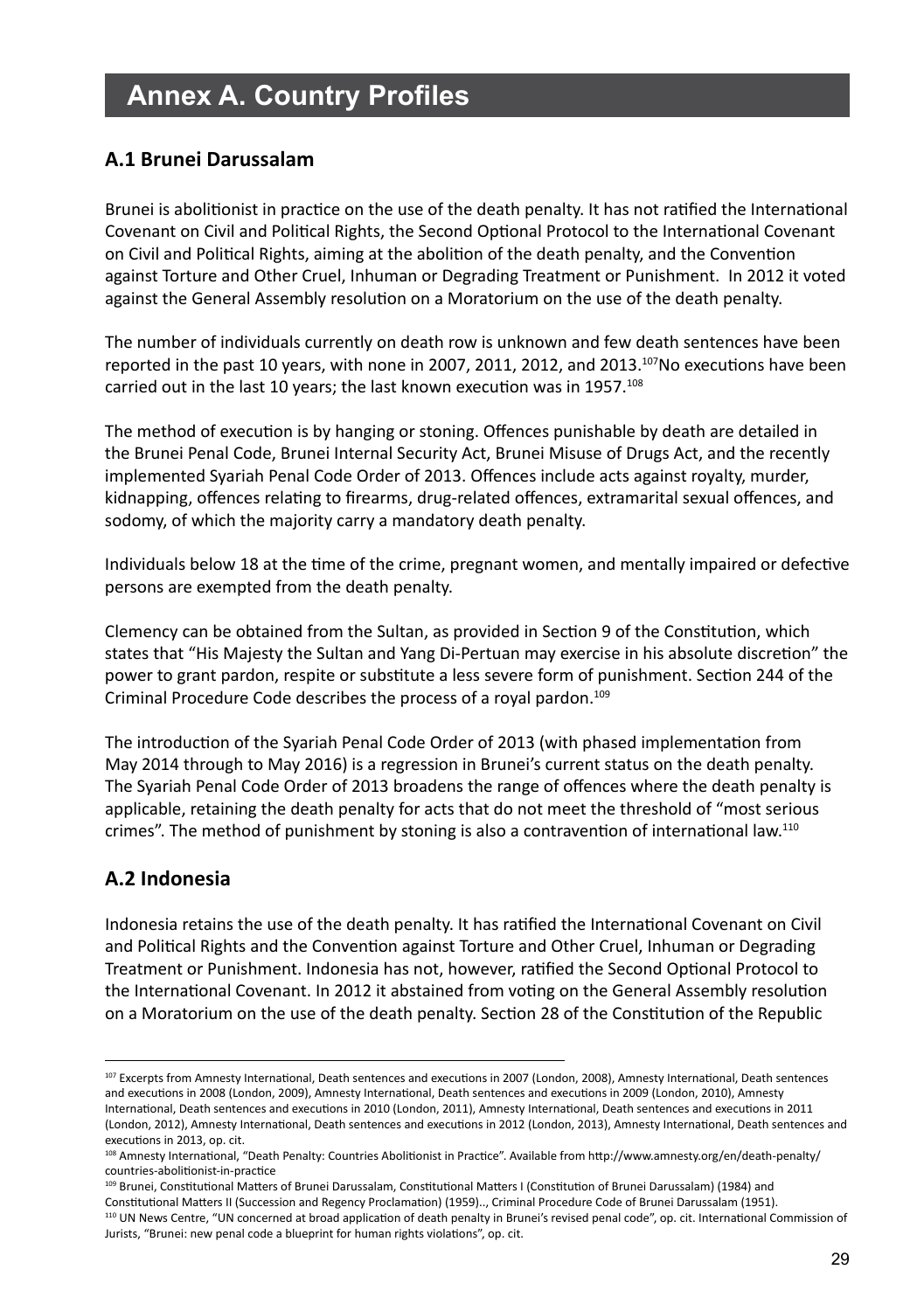# **Annex A. Country Profiles**

# **A.1 Brunei Darussalam**

Brunei is abolitionist in practice on the use of the death penalty. It has not ratified the International Covenant on Civil and Political Rights, the Second Optional Protocol to the International Covenant on Civil and Political Rights, aiming at the abolition of the death penalty, and the Convention against Torture and Other Cruel, Inhuman or Degrading Treatment or Punishment. In 2012 it voted against the General Assembly resolution on a Moratorium on the use of the death penalty.

The number of individuals currently on death row is unknown and few death sentences have been reported in the past 10 years, with none in 2007, 2011, 2012, and 2013.<sup>107</sup>No executions have been carried out in the last 10 years; the last known execution was in 1957.<sup>108</sup>

The method of execution is by hanging or stoning. Offences punishable by death are detailed in the Brunei Penal Code, Brunei Internal Security Act, Brunei Misuse of Drugs Act, and the recently implemented Syariah Penal Code Order of 2013. Offences include acts against royalty, murder, kidnapping, offences relating to firearms, drug-related offences, extramarital sexual offences, and sodomy, of which the majority carry a mandatory death penalty.

Individuals below 18 at the time of the crime, pregnant women, and mentally impaired or defective persons are exempted from the death penalty.

Clemency can be obtained from the Sultan, as provided in Section 9 of the Constitution, which states that "His Majesty the Sultan and Yang Di-Pertuan may exercise in his absolute discretion" the power to grant pardon, respite or substitute a less severe form of punishment. Section 244 of the Criminal Procedure Code describes the process of a royal pardon.<sup>109</sup>

The introduction of the Syariah Penal Code Order of 2013 (with phased implementation from May 2014 through to May 2016) is a regression in Brunei's current status on the death penalty. The Syariah Penal Code Order of 2013 broadens the range of offences where the death penalty is applicable, retaining the death penalty for acts that do not meet the threshold of "most serious crimes". The method of punishment by stoning is also a contravention of international law.110

# **A.2 Indonesia**

Indonesia retains the use of the death penalty. It has ratified the International Covenant on Civil and Political Rights and the Convention against Torture and Other Cruel, Inhuman or Degrading Treatment or Punishment. Indonesia has not, however, ratified the Second Optional Protocol to the International Covenant. In 2012 it abstained from voting on the General Assembly resolution on a Moratorium on the use of the death penalty. Section 28 of the Constitution of the Republic

<sup>107</sup> Excerpts from Amnesty International, Death sentences and executions in 2007 (London, 2008), Amnesty International, Death sentences and executions in 2008 (London, 2009), Amnesty International, Death sentences and executions in 2009 (London, 2010), Amnesty International, Death sentences and executions in 2010 (London, 2011), Amnesty International, Death sentences and executions in 2011 (London, 2012), Amnesty International, Death sentences and executions in 2012 (London, 2013), Amnesty International, Death sentences and executions in 2013, op. cit.

<sup>108</sup> Amnesty International, "Death Penalty: Countries Abolitionist in Practice". Available from http://www.amnesty.org/en/death-penalty/ countries-abolitionist-in-practice

<sup>109</sup> Brunei, Constitutional Matters of Brunei Darussalam, Constitutional Matters I (Constitution of Brunei Darussalam) (1984) and Constitutional Matters II (Succession and Regency Proclamation) (1959).., Criminal Procedure Code of Brunei Darussalam (1951). 110 UN News Centre, "UN concerned at broad application of death penalty in Brunei's revised penal code", op. cit. International Commission of Jurists, "Brunei: new penal code a blueprint for human rights violations", op. cit.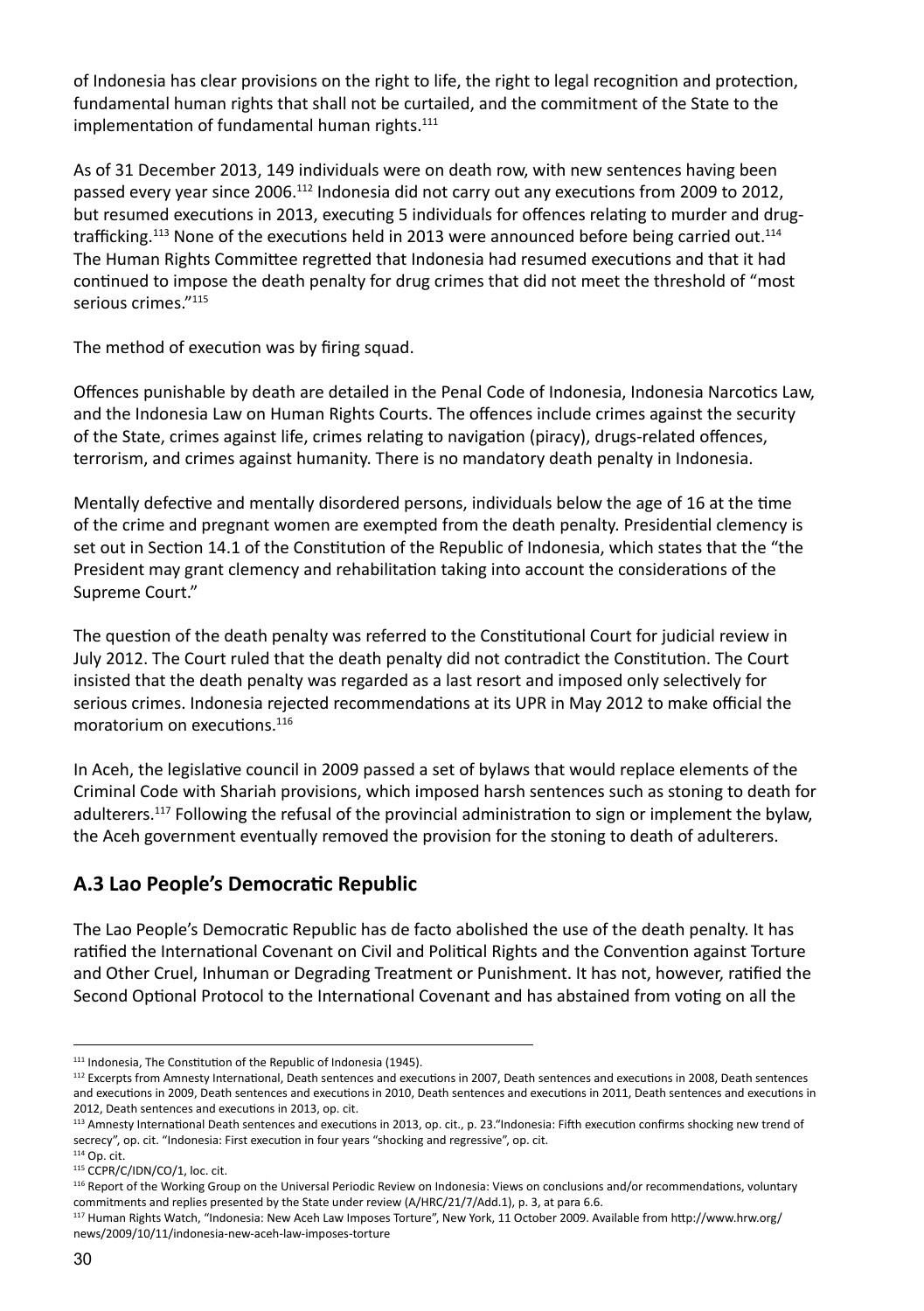of Indonesia has clear provisions on the right to life, the right to legal recognition and protection, fundamental human rights that shall not be curtailed, and the commitment of the State to the implementation of fundamental human rights.<sup>111</sup>

As of 31 December 2013, 149 individuals were on death row, with new sentences having been passed every year since 2006.<sup>112</sup> Indonesia did not carry out any executions from 2009 to 2012, but resumed executions in 2013, executing 5 individuals for offences relating to murder and drugtrafficking.<sup>113</sup> None of the executions held in 2013 were announced before being carried out.<sup>114</sup> The Human Rights Committee regretted that Indonesia had resumed executions and that it had continued to impose the death penalty for drug crimes that did not meet the threshold of "most serious crimes."115

The method of execution was by firing squad.

Offences punishable by death are detailed in the Penal Code of Indonesia, Indonesia Narcotics Law, and the Indonesia Law on Human Rights Courts. The offences include crimes against the security of the State, crimes against life, crimes relating to navigation (piracy), drugs-related offences, terrorism, and crimes against humanity. There is no mandatory death penalty in Indonesia.

Mentally defective and mentally disordered persons, individuals below the age of 16 at the time of the crime and pregnant women are exempted from the death penalty. Presidential clemency is set out in Section 14.1 of the Constitution of the Republic of Indonesia, which states that the "the President may grant clemency and rehabilitation taking into account the considerations of the Supreme Court."

The question of the death penalty was referred to the Constitutional Court for judicial review in July 2012. The Court ruled that the death penalty did not contradict the Constitution. The Court insisted that the death penalty was regarded as a last resort and imposed only selectively for serious crimes. Indonesia rejected recommendations at its UPR in May 2012 to make official the moratorium on executions.116

In Aceh, the legislative council in 2009 passed a set of bylaws that would replace elements of the Criminal Code with Shariah provisions, which imposed harsh sentences such as stoning to death for adulterers.<sup>117</sup> Following the refusal of the provincial administration to sign or implement the bylaw, the Aceh government eventually removed the provision for the stoning to death of adulterers.

# **A.3 Lao People's Democratic Republic**

The Lao People's Democratic Republic has de facto abolished the use of the death penalty. It has ratified the International Covenant on Civil and Political Rights and the Convention against Torture and Other Cruel, Inhuman or Degrading Treatment or Punishment. It has not, however, ratified the Second Optional Protocol to the International Covenant and has abstained from voting on all the

<sup>&</sup>lt;sup>111</sup> Indonesia, The Constitution of the Republic of Indonesia (1945).

<sup>112</sup> Excerpts from Amnesty International, Death sentences and executions in 2007, Death sentences and executions in 2008, Death sentences and executions in 2009, Death sentences and executions in 2010, Death sentences and executions in 2011, Death sentences and executions in 2012, Death sentences and executions in 2013, op. cit.

<sup>113</sup> Amnesty International Death sentences and executions in 2013, op. cit., p. 23."Indonesia: Fifth execution confirms shocking new trend of secrecy", op. cit. "Indonesia: First execution in four years "shocking and regressive", op. cit.

<sup>114</sup> Op. cit.

<sup>115</sup> CCPR/C/IDN/CO/1, loc. cit.

<sup>116</sup> Report of the Working Group on the Universal Periodic Review on Indonesia: Views on conclusions and/or recommendations, voluntary commitments and replies presented by the State under review (A/HRC/21/7/Add.1), p. 3, at para 6.6.

<sup>117</sup> Human Rights Watch, "Indonesia: New Aceh Law Imposes Torture", New York, 11 October 2009. Available from http://www.hrw.org/ news/2009/10/11/indonesia-new-aceh-law-imposes-torture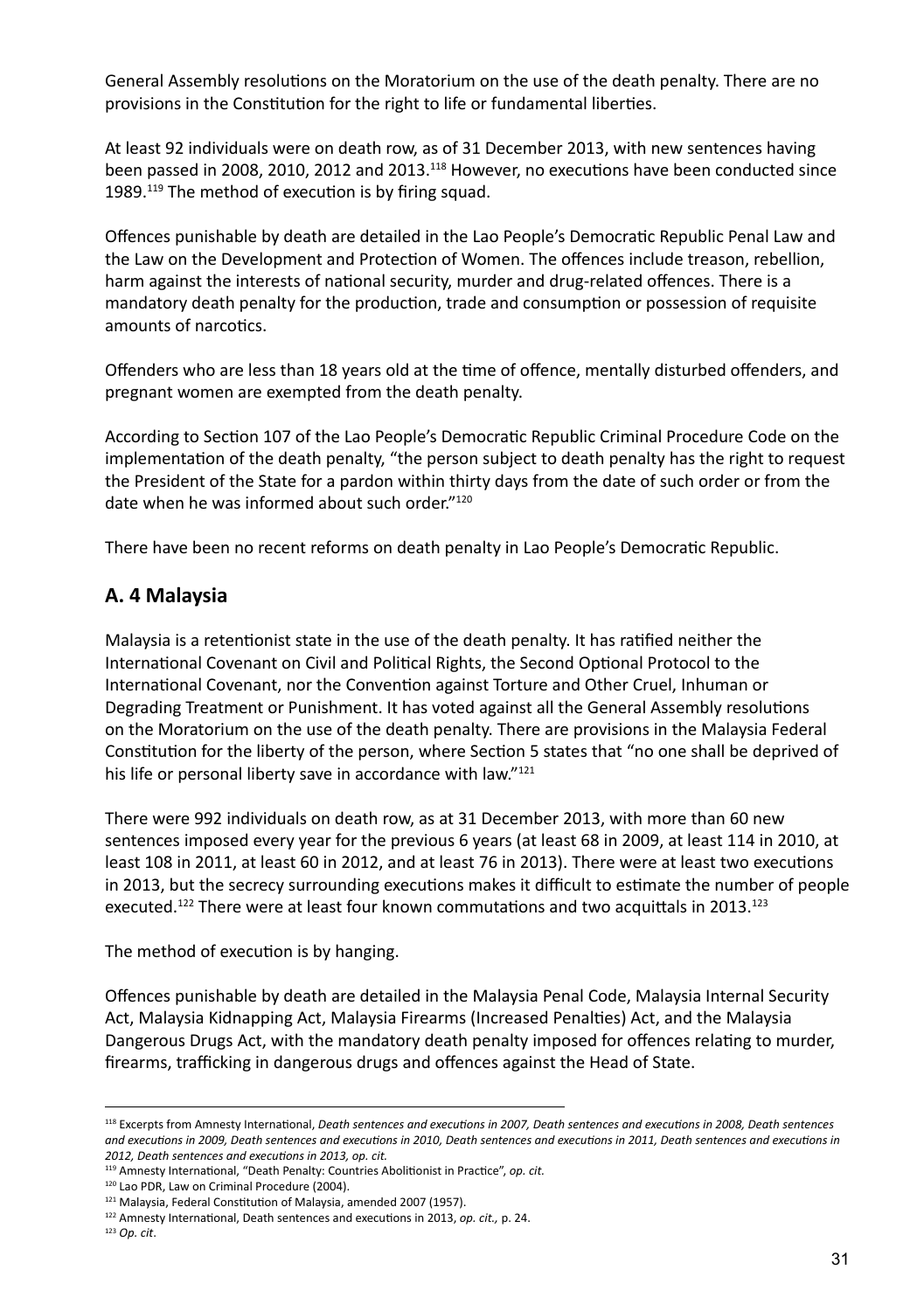General Assembly resolutions on the Moratorium on the use of the death penalty. There are no provisions in the Constitution for the right to life or fundamental liberties.

At least 92 individuals were on death row, as of 31 December 2013, with new sentences having been passed in 2008, 2010, 2012 and 2013.118 However, no executions have been conducted since 1989.119 The method of execution is by firing squad.

Offences punishable by death are detailed in the Lao People's Democratic Republic Penal Law and the Law on the Development and Protection of Women. The offences include treason, rebellion, harm against the interests of national security, murder and drug-related offences. There is a mandatory death penalty for the production, trade and consumption or possession of requisite amounts of narcotics.

Offenders who are less than 18 years old at the time of offence, mentally disturbed offenders, and pregnant women are exempted from the death penalty.

According to Section 107 of the Lao People's Democratic Republic Criminal Procedure Code on the implementation of the death penalty, "the person subject to death penalty has the right to request the President of the State for a pardon within thirty days from the date of such order or from the date when he was informed about such order."120

There have been no recent reforms on death penalty in Lao People's Democratic Republic.

## **A. 4 Malaysia**

Malaysia is a retentionist state in the use of the death penalty. It has ratified neither the International Covenant on Civil and Political Rights, the Second Optional Protocol to the International Covenant, nor the Convention against Torture and Other Cruel, Inhuman or Degrading Treatment or Punishment. It has voted against all the General Assembly resolutions on the Moratorium on the use of the death penalty. There are provisions in the Malaysia Federal Constitution for the liberty of the person, where Section 5 states that "no one shall be deprived of his life or personal liberty save in accordance with law."<sup>121</sup>

There were 992 individuals on death row, as at 31 December 2013, with more than 60 new sentences imposed every year for the previous 6 years (at least 68 in 2009, at least 114 in 2010, at least 108 in 2011, at least 60 in 2012, and at least 76 in 2013). There were at least two executions in 2013, but the secrecy surrounding executions makes it difficult to estimate the number of people executed.<sup>122</sup> There were at least four known commutations and two acquittals in 2013.<sup>123</sup>

The method of execution is by hanging.

Offences punishable by death are detailed in the Malaysia Penal Code, Malaysia Internal Security Act, Malaysia Kidnapping Act, Malaysia Firearms (Increased Penalties) Act, and the Malaysia Dangerous Drugs Act, with the mandatory death penalty imposed for offences relating to murder, firearms, trafficking in dangerous drugs and offences against the Head of State.

<sup>118</sup> Excerpts from Amnesty International, *Death sentences and executions in 2007, Death sentences and executions in 2008, Death sentences and executions in 2009, Death sentences and executions in 2010, Death sentences and executions in 2011, Death sentences and executions in 2012, Death sentences and executions in 2013, op. cit.*

<sup>119</sup> Amnesty International, "Death Penalty: Countries Abolitionist in Practice", *op. cit.*

<sup>120</sup> Lao PDR, Law on Criminal Procedure (2004).

<sup>121</sup> Malaysia, Federal Constitution of Malaysia, amended 2007 (1957).

<sup>122</sup> Amnesty International, Death sentences and executions in 2013, *op. cit.,* p. 24.

<sup>123</sup> *Op. cit*.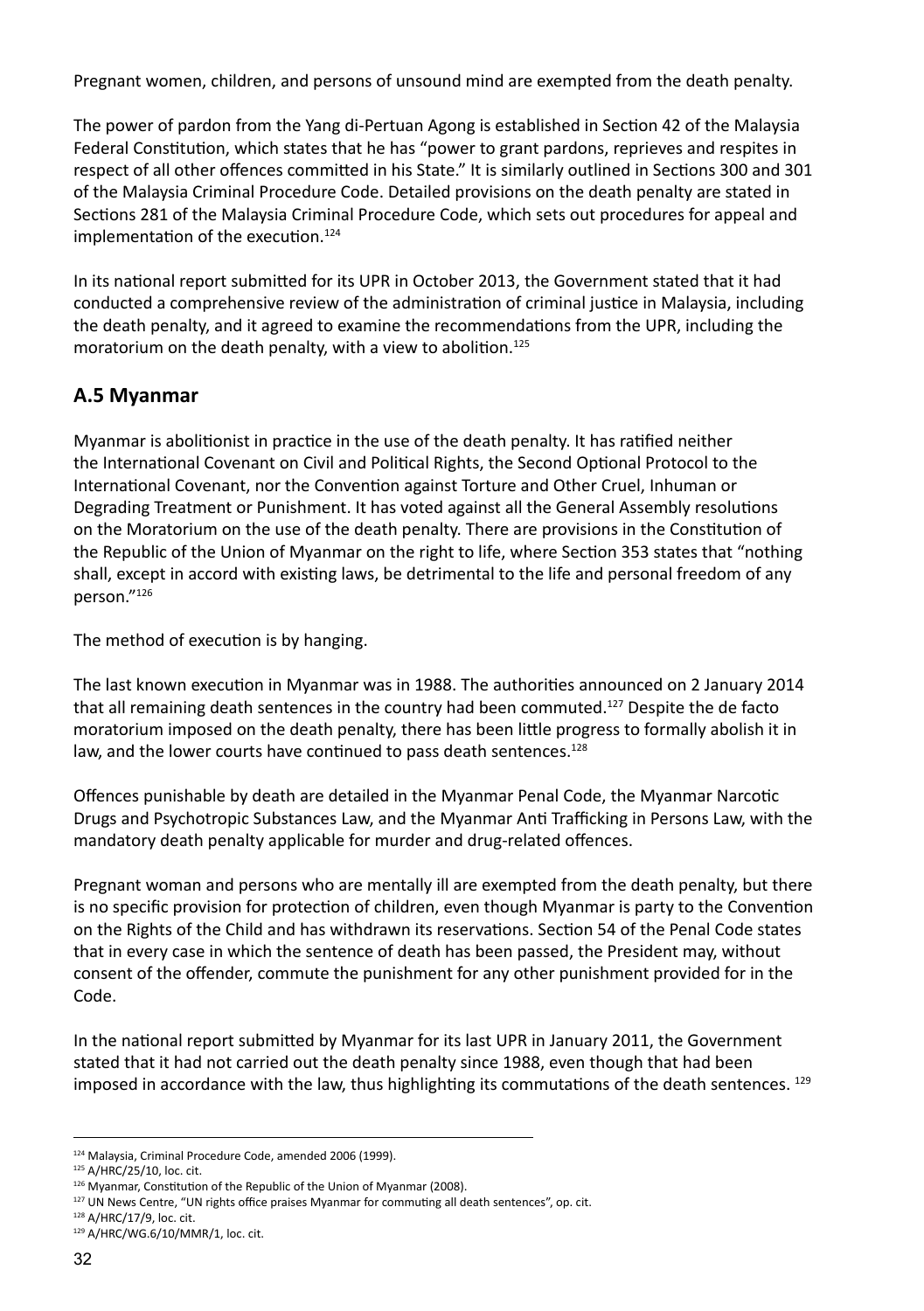Pregnant women, children, and persons of unsound mind are exempted from the death penalty.

The power of pardon from the Yang di-Pertuan Agong is established in Section 42 of the Malaysia Federal Constitution, which states that he has "power to grant pardons, reprieves and respites in respect of all other offences committed in his State." It is similarly outlined in Sections 300 and 301 of the Malaysia Criminal Procedure Code. Detailed provisions on the death penalty are stated in Sections 281 of the Malaysia Criminal Procedure Code, which sets out procedures for appeal and implementation of the execution.<sup>124</sup>

In its national report submitted for its UPR in October 2013, the Government stated that it had conducted a comprehensive review of the administration of criminal justice in Malaysia, including the death penalty, and it agreed to examine the recommendations from the UPR, including the moratorium on the death penalty, with a view to abolition.<sup>125</sup>

## **A.5 Myanmar**

Myanmar is abolitionist in practice in the use of the death penalty. It has ratified neither the International Covenant on Civil and Political Rights, the Second Optional Protocol to the International Covenant, nor the Convention against Torture and Other Cruel, Inhuman or Degrading Treatment or Punishment. It has voted against all the General Assembly resolutions on the Moratorium on the use of the death penalty. There are provisions in the Constitution of the Republic of the Union of Myanmar on the right to life, where Section 353 states that "nothing shall, except in accord with existing laws, be detrimental to the life and personal freedom of any person."126

The method of execution is by hanging.

The last known execution in Myanmar was in 1988. The authorities announced on 2 January 2014 that all remaining death sentences in the country had been commuted.<sup>127</sup> Despite the de facto moratorium imposed on the death penalty, there has been little progress to formally abolish it in law, and the lower courts have continued to pass death sentences.<sup>128</sup>

Offences punishable by death are detailed in the Myanmar Penal Code, the Myanmar Narcotic Drugs and Psychotropic Substances Law, and the Myanmar Anti Trafficking in Persons Law, with the mandatory death penalty applicable for murder and drug-related offences.

Pregnant woman and persons who are mentally ill are exempted from the death penalty, but there is no specific provision for protection of children, even though Myanmar is party to the Convention on the Rights of the Child and has withdrawn its reservations. Section 54 of the Penal Code states that in every case in which the sentence of death has been passed, the President may, without consent of the offender, commute the punishment for any other punishment provided for in the Code.

In the national report submitted by Myanmar for its last UPR in January 2011, the Government stated that it had not carried out the death penalty since 1988, even though that had been imposed in accordance with the law, thus highlighting its commutations of the death sentences. 129

<sup>124</sup> Malaysia, Criminal Procedure Code, amended 2006 (1999).

<sup>125</sup> A/HRC/25/10, loc. cit.

<sup>126</sup> Myanmar, Constitution of the Republic of the Union of Myanmar (2008).

<sup>&</sup>lt;sup>127</sup> UN News Centre, "UN rights office praises Myanmar for commuting all death sentences", op. cit.

<sup>128</sup> A/HRC/17/9, loc. cit.

<sup>129</sup> A/HRC/WG.6/10/MMR/1, loc. cit.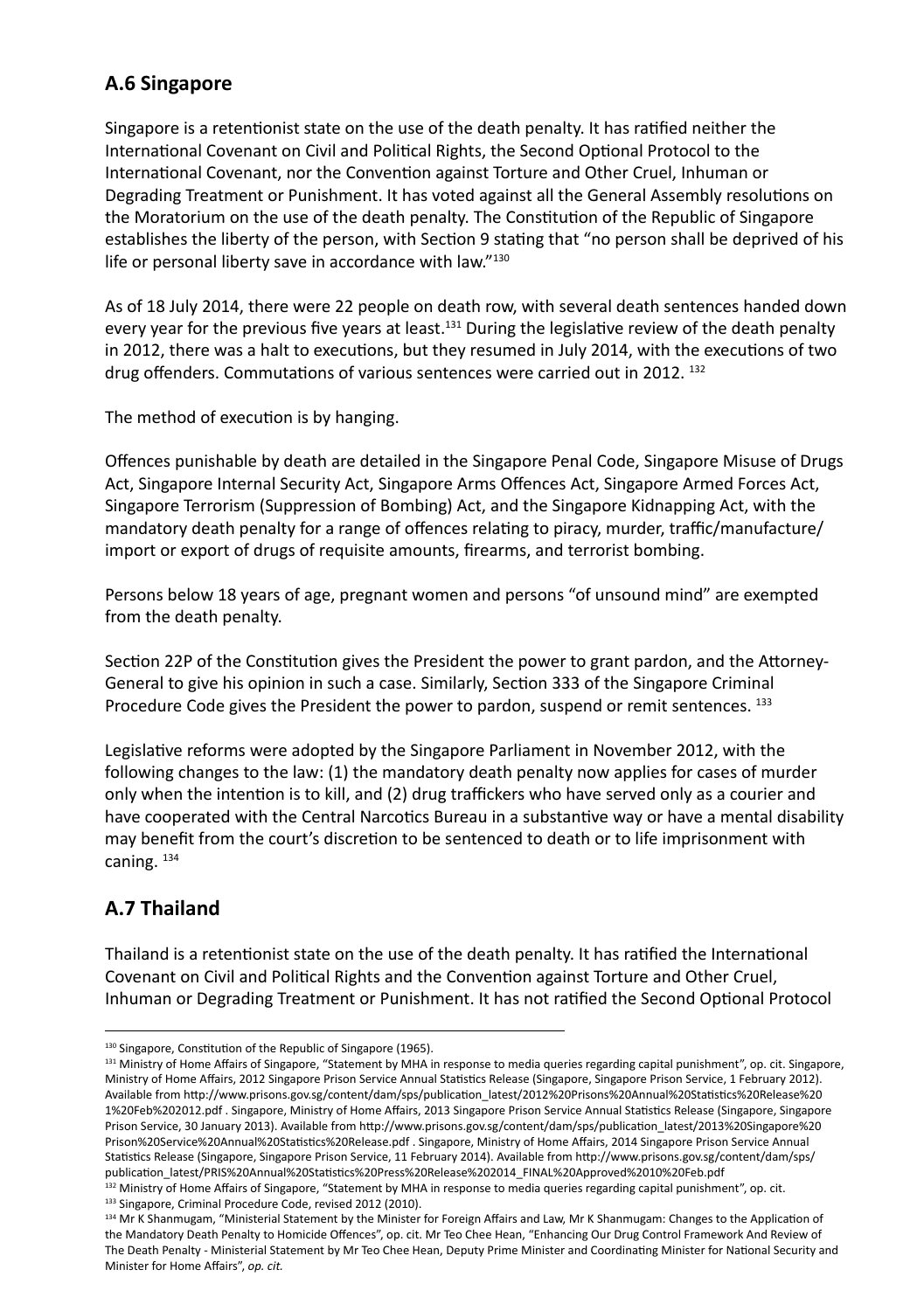## **A.6 Singapore**

Singapore is a retentionist state on the use of the death penalty. It has ratified neither the International Covenant on Civil and Political Rights, the Second Optional Protocol to the International Covenant, nor the Convention against Torture and Other Cruel, Inhuman or Degrading Treatment or Punishment. It has voted against all the General Assembly resolutions on the Moratorium on the use of the death penalty. The Constitution of the Republic of Singapore establishes the liberty of the person, with Section 9 stating that "no person shall be deprived of his life or personal liberty save in accordance with law."130

As of 18 July 2014, there were 22 people on death row, with several death sentences handed down every year for the previous five years at least.<sup>131</sup> During the legislative review of the death penalty in 2012, there was a halt to executions, but they resumed in July 2014, with the executions of two drug offenders. Commutations of various sentences were carried out in 2012. 132

The method of execution is by hanging.

Offences punishable by death are detailed in the Singapore Penal Code, Singapore Misuse of Drugs Act, Singapore Internal Security Act, Singapore Arms Offences Act, Singapore Armed Forces Act, Singapore Terrorism (Suppression of Bombing) Act, and the Singapore Kidnapping Act, with the mandatory death penalty for a range of offences relating to piracy, murder, traffic/manufacture/ import or export of drugs of requisite amounts, firearms, and terrorist bombing.

Persons below 18 years of age, pregnant women and persons "of unsound mind" are exempted from the death penalty.

Section 22P of the Constitution gives the President the power to grant pardon, and the Attorney-General to give his opinion in such a case. Similarly, Section 333 of the Singapore Criminal Procedure Code gives the President the power to pardon, suspend or remit sentences. 133

Legislative reforms were adopted by the Singapore Parliament in November 2012, with the following changes to the law: (1) the mandatory death penalty now applies for cases of murder only when the intention is to kill, and (2) drug traffickers who have served only as a courier and have cooperated with the Central Narcotics Bureau in a substantive way or have a mental disability may benefit from the court's discretion to be sentenced to death or to life imprisonment with caning. 134

# **A.7 Thailand**

Thailand is a retentionist state on the use of the death penalty. It has ratified the International Covenant on Civil and Political Rights and the Convention against Torture and Other Cruel, Inhuman or Degrading Treatment or Punishment. It has not ratified the Second Optional Protocol

<sup>130</sup> Singapore, Constitution of the Republic of Singapore (1965).

<sup>131</sup> Ministry of Home Affairs of Singapore, "Statement by MHA in response to media queries regarding capital punishment", op. cit. Singapore, Ministry of Home Affairs, 2012 Singapore Prison Service Annual Statistics Release (Singapore, Singapore Prison Service, 1 February 2012). Available from http://www.prisons.gov.sg/content/dam/sps/publication\_latest/2012%20Prisons%20Annual%20Statistics%20Release%20 1%20Feb%202012.pdf . Singapore, Ministry of Home Affairs, 2013 Singapore Prison Service Annual Statistics Release (Singapore, Singapore Prison Service, 30 January 2013). Available from http://www.prisons.gov.sg/content/dam/sps/publication\_latest/2013%20Singapore%20 Prison%20Service%20Annual%20Statistics%20Release.pdf . Singapore, Ministry of Home Affairs, 2014 Singapore Prison Service Annual Statistics Release (Singapore, Singapore Prison Service, 11 February 2014). Available from http://www.prisons.gov.sg/content/dam/sps/ publication\_latest/PRIS%20Annual%20Statistics%20Press%20Release%202014\_FINAL%20Approved%2010%20Feb.pdf

<sup>132</sup> Ministry of Home Affairs of Singapore, "Statement by MHA in response to media queries regarding capital punishment", op. cit. 133 Singapore, Criminal Procedure Code, revised 2012 (2010).

<sup>134</sup> Mr K Shanmugam, "Ministerial Statement by the Minister for Foreign Affairs and Law, Mr K Shanmugam: Changes to the Application of the Mandatory Death Penalty to Homicide Offences", op. cit. Mr Teo Chee Hean, "Enhancing Our Drug Control Framework And Review of The Death Penalty - Ministerial Statement by Mr Teo Chee Hean, Deputy Prime Minister and Coordinating Minister for National Security and Minister for Home Affairs", *op. cit.*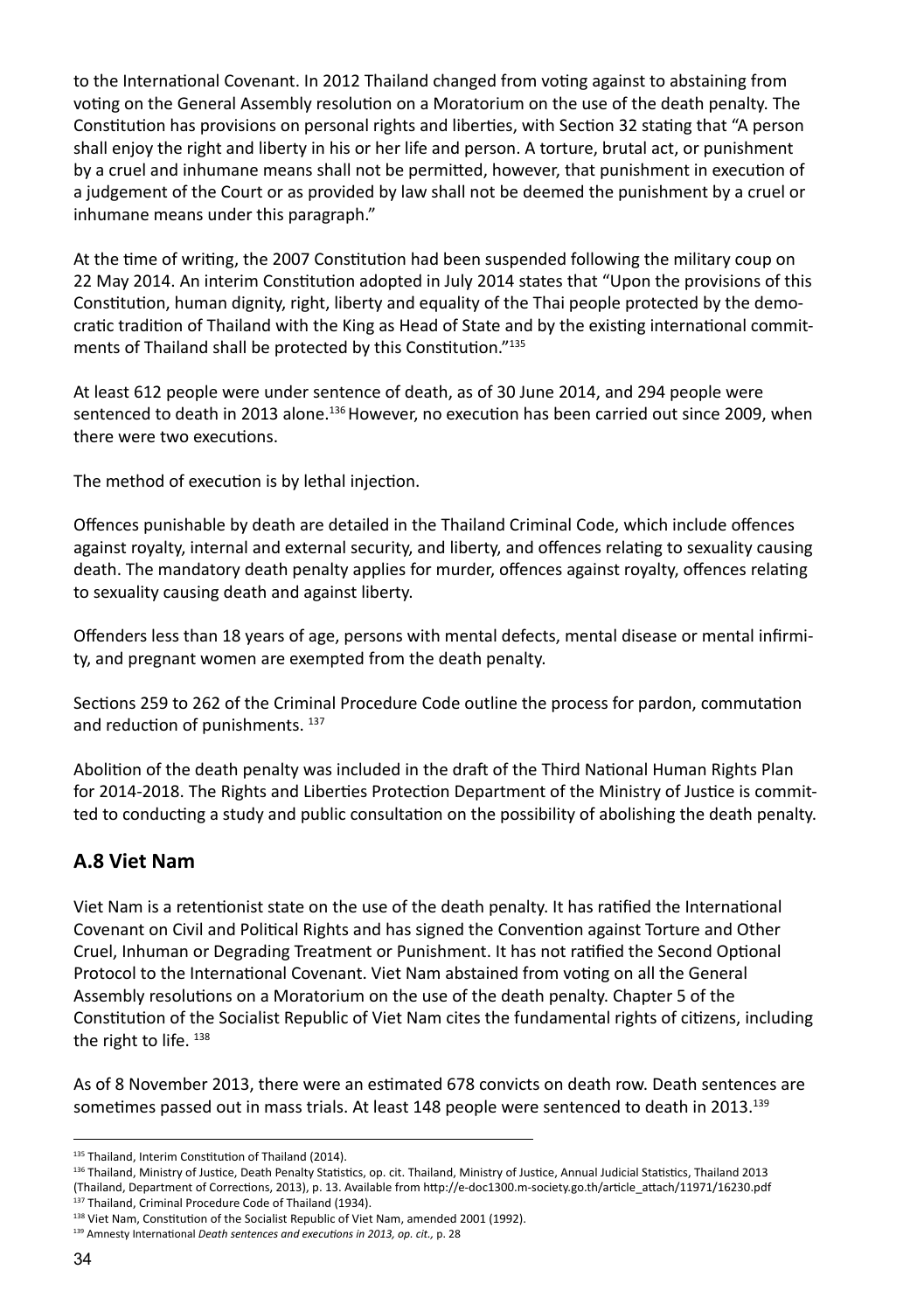to the International Covenant. In 2012 Thailand changed from voting against to abstaining from voting on the General Assembly resolution on a Moratorium on the use of the death penalty. The Constitution has provisions on personal rights and liberties, with Section 32 stating that "A person shall enjoy the right and liberty in his or her life and person. A torture, brutal act, or punishment by a cruel and inhumane means shall not be permitted, however, that punishment in execution of a judgement of the Court or as provided by law shall not be deemed the punishment by a cruel or inhumane means under this paragraph."

At the time of writing, the 2007 Constitution had been suspended following the military coup on 22 May 2014. An interim Constitution adopted in July 2014 states that "Upon the provisions of this Constitution, human dignity, right, liberty and equality of the Thai people protected by the democratic tradition of Thailand with the King as Head of State and by the existing international commitments of Thailand shall be protected by this Constitution."135

At least 612 people were under sentence of death, as of 30 June 2014, and 294 people were sentenced to death in 2013 alone.<sup>136</sup> However, no execution has been carried out since 2009, when there were two executions.

The method of execution is by lethal injection.

Offences punishable by death are detailed in the Thailand Criminal Code, which include offences against royalty, internal and external security, and liberty, and offences relating to sexuality causing death. The mandatory death penalty applies for murder, offences against royalty, offences relating to sexuality causing death and against liberty.

Offenders less than 18 years of age, persons with mental defects, mental disease or mental infirmity, and pregnant women are exempted from the death penalty.

Sections 259 to 262 of the Criminal Procedure Code outline the process for pardon, commutation and reduction of punishments. 137

Abolition of the death penalty was included in the draft of the Third National Human Rights Plan for 2014-2018. The Rights and Liberties Protection Department of the Ministry of Justice is committed to conducting a study and public consultation on the possibility of abolishing the death penalty.

## **A.8 Viet Nam**

Viet Nam is a retentionist state on the use of the death penalty. It has ratified the International Covenant on Civil and Political Rights and has signed the Convention against Torture and Other Cruel, Inhuman or Degrading Treatment or Punishment. It has not ratified the Second Optional Protocol to the International Covenant. Viet Nam abstained from voting on all the General Assembly resolutions on a Moratorium on the use of the death penalty. Chapter 5 of the Constitution of the Socialist Republic of Viet Nam cites the fundamental rights of citizens, including the right to life. 138

As of 8 November 2013, there were an estimated 678 convicts on death row. Death sentences are sometimes passed out in mass trials. At least 148 people were sentenced to death in 2013.<sup>139</sup>

137 Thailand, Criminal Procedure Code of Thailand (1934).

<sup>135</sup> Thailand, Interim Constitution of Thailand (2014).

<sup>136</sup> Thailand, Ministry of Justice, Death Penalty Statistics, op. cit. Thailand, Ministry of Justice, Annual Judicial Statistics, Thailand 2013 (Thailand, Department of Corrections, 2013), p. 13. Available from http://e-doc1300.m-society.go.th/article\_attach/11971/16230.pdf

<sup>138</sup> Viet Nam, Constitution of the Socialist Republic of Viet Nam, amended 2001 (1992).

<sup>139</sup> Amnesty International *Death sentences and executions in 2013, op. cit.,* p. 28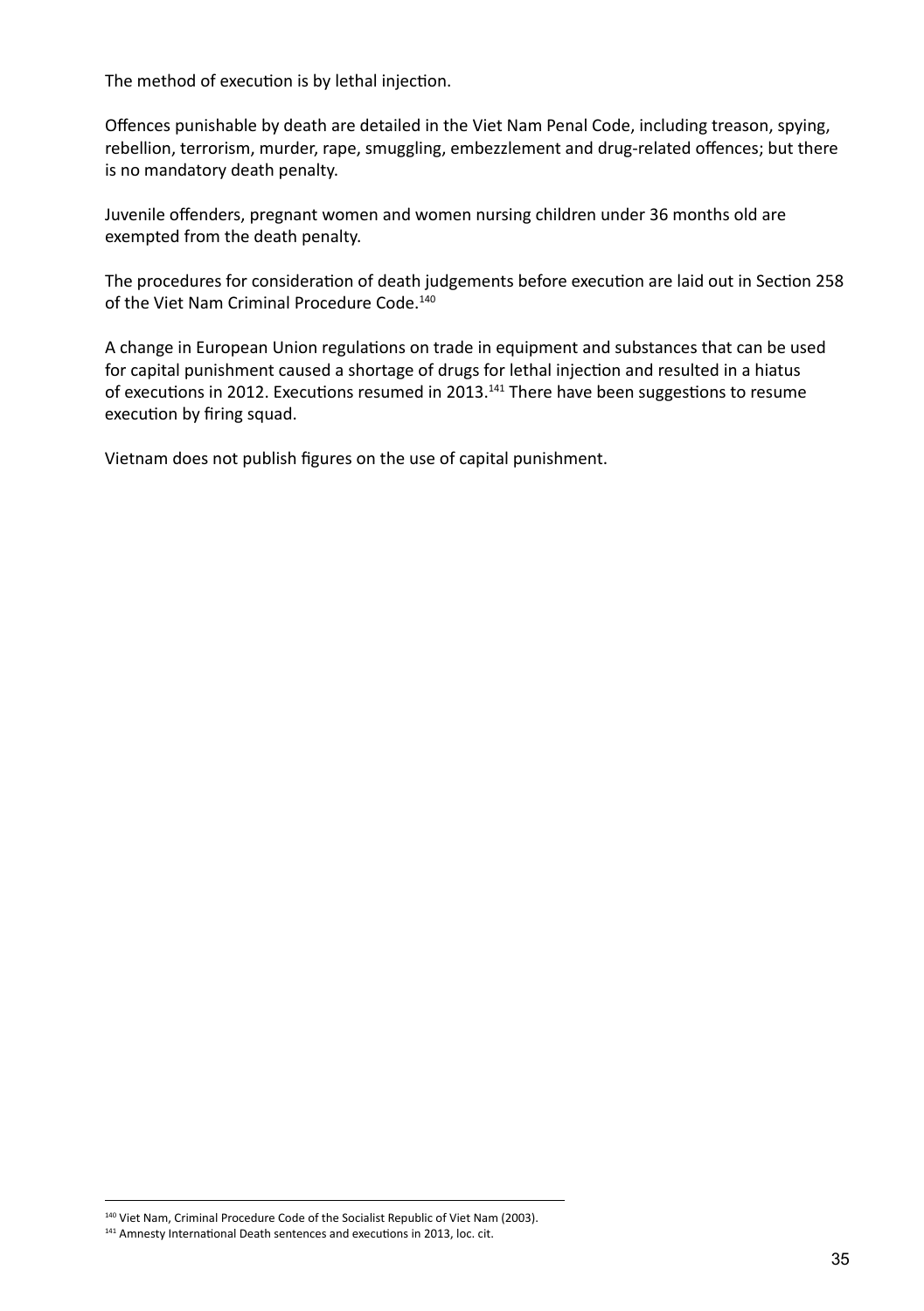The method of execution is by lethal injection.

Offences punishable by death are detailed in the Viet Nam Penal Code, including treason, spying, rebellion, terrorism, murder, rape, smuggling, embezzlement and drug-related offences; but there is no mandatory death penalty.

Juvenile offenders, pregnant women and women nursing children under 36 months old are exempted from the death penalty.

The procedures for consideration of death judgements before execution are laid out in Section 258 of the Viet Nam Criminal Procedure Code.<sup>140</sup>

A change in European Union regulations on trade in equipment and substances that can be used for capital punishment caused a shortage of drugs for lethal injection and resulted in a hiatus of executions in 2012. Executions resumed in 2013.<sup>141</sup> There have been suggestions to resume execution by firing squad.

Vietnam does not publish figures on the use of capital punishment.

140 Viet Nam, Criminal Procedure Code of the Socialist Republic of Viet Nam (2003).

<sup>141</sup> Amnesty International Death sentences and executions in 2013, loc. cit.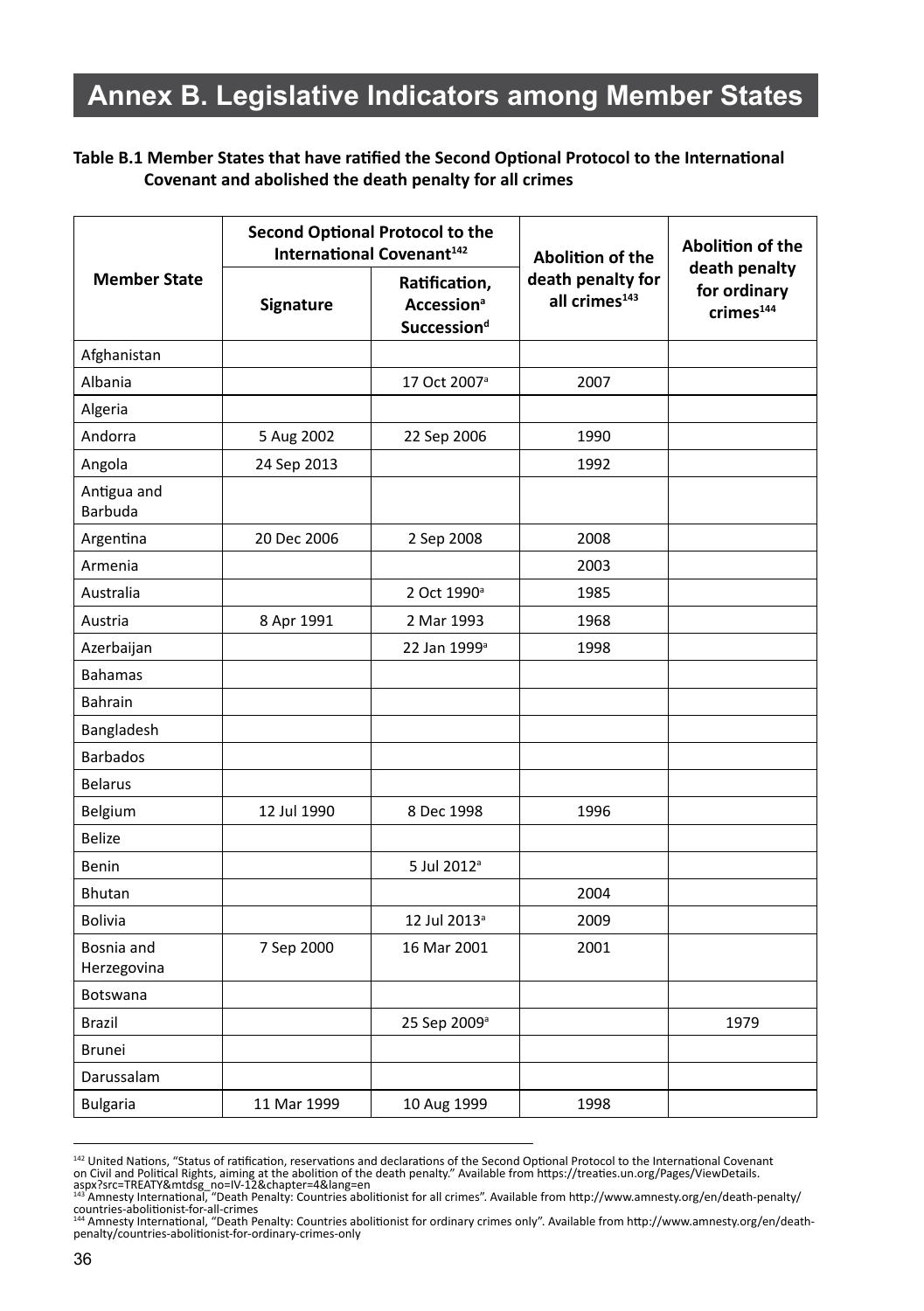# **Annex B. Legislative Indicators among Member States**

#### **Table B.1 Member States that have ratified the Second Optional Protocol to the International Covenant and abolished the death penalty for all crimes**

|                           |             | <b>Second Optional Protocol to the</b><br>International Covenant <sup>142</sup> | <b>Abolition of the</b>                        | Abolition of the                                       |
|---------------------------|-------------|---------------------------------------------------------------------------------|------------------------------------------------|--------------------------------------------------------|
| <b>Member State</b>       | Signature   | Ratification,<br><b>Accession</b> <sup>a</sup><br>Succession <sup>d</sup>       | death penalty for<br>all crimes <sup>143</sup> | death penalty<br>for ordinary<br>crimes <sup>144</sup> |
| Afghanistan               |             |                                                                                 |                                                |                                                        |
| Albania                   |             | 17 Oct 2007 <sup>ª</sup>                                                        | 2007                                           |                                                        |
| Algeria                   |             |                                                                                 |                                                |                                                        |
| Andorra                   | 5 Aug 2002  | 22 Sep 2006                                                                     | 1990                                           |                                                        |
| Angola                    | 24 Sep 2013 |                                                                                 | 1992                                           |                                                        |
| Antigua and<br>Barbuda    |             |                                                                                 |                                                |                                                        |
| Argentina                 | 20 Dec 2006 | 2 Sep 2008                                                                      | 2008                                           |                                                        |
| Armenia                   |             |                                                                                 | 2003                                           |                                                        |
| Australia                 |             | 2 Oct 1990 <sup>a</sup>                                                         | 1985                                           |                                                        |
| Austria                   | 8 Apr 1991  | 2 Mar 1993                                                                      | 1968                                           |                                                        |
| Azerbaijan                |             | 22 Jan 1999 <sup>a</sup>                                                        | 1998                                           |                                                        |
| <b>Bahamas</b>            |             |                                                                                 |                                                |                                                        |
| <b>Bahrain</b>            |             |                                                                                 |                                                |                                                        |
| Bangladesh                |             |                                                                                 |                                                |                                                        |
| <b>Barbados</b>           |             |                                                                                 |                                                |                                                        |
| <b>Belarus</b>            |             |                                                                                 |                                                |                                                        |
| Belgium                   | 12 Jul 1990 | 8 Dec 1998                                                                      | 1996                                           |                                                        |
| <b>Belize</b>             |             |                                                                                 |                                                |                                                        |
| Benin                     |             | 5 Jul 2012 <sup>a</sup>                                                         |                                                |                                                        |
| <b>Bhutan</b>             |             |                                                                                 | 2004                                           |                                                        |
| <b>Bolivia</b>            |             | 12 Jul 2013 <sup>a</sup>                                                        | 2009                                           |                                                        |
| Bosnia and<br>Herzegovina | 7 Sep 2000  | 16 Mar 2001                                                                     | 2001                                           |                                                        |
| Botswana                  |             |                                                                                 |                                                |                                                        |
| Brazil                    |             | 25 Sep 2009 <sup>a</sup>                                                        |                                                | 1979                                                   |
| <b>Brunei</b>             |             |                                                                                 |                                                |                                                        |
| Darussalam                |             |                                                                                 |                                                |                                                        |
| <b>Bulgaria</b>           | 11 Mar 1999 | 10 Aug 1999                                                                     | 1998                                           |                                                        |

<sup>&</sup>lt;sup>142</sup> United Nations, "Status of ratification, reservations and declarations of the Second Optional Protocol to the International Covenant on Civil and Political Rights, aiming at the abolition of the death penalty." Available from https://treaties.un.org/Pages/ViewDetails.<br>aspx?src=TREATY&mtdsg\_no=IV-12&chapter=4&lang=en<br><sup>141</sup> Amnesty International, "Death P

countries-abolitionist-for-all-crimes<br><sup>144</sup> Amnesty International, "Death Penalty: Countries abolitionist for ordinary crimes only". Available from http://www.amnesty.org/en/death-<br>penalty/countries-abolitionist-for-ordina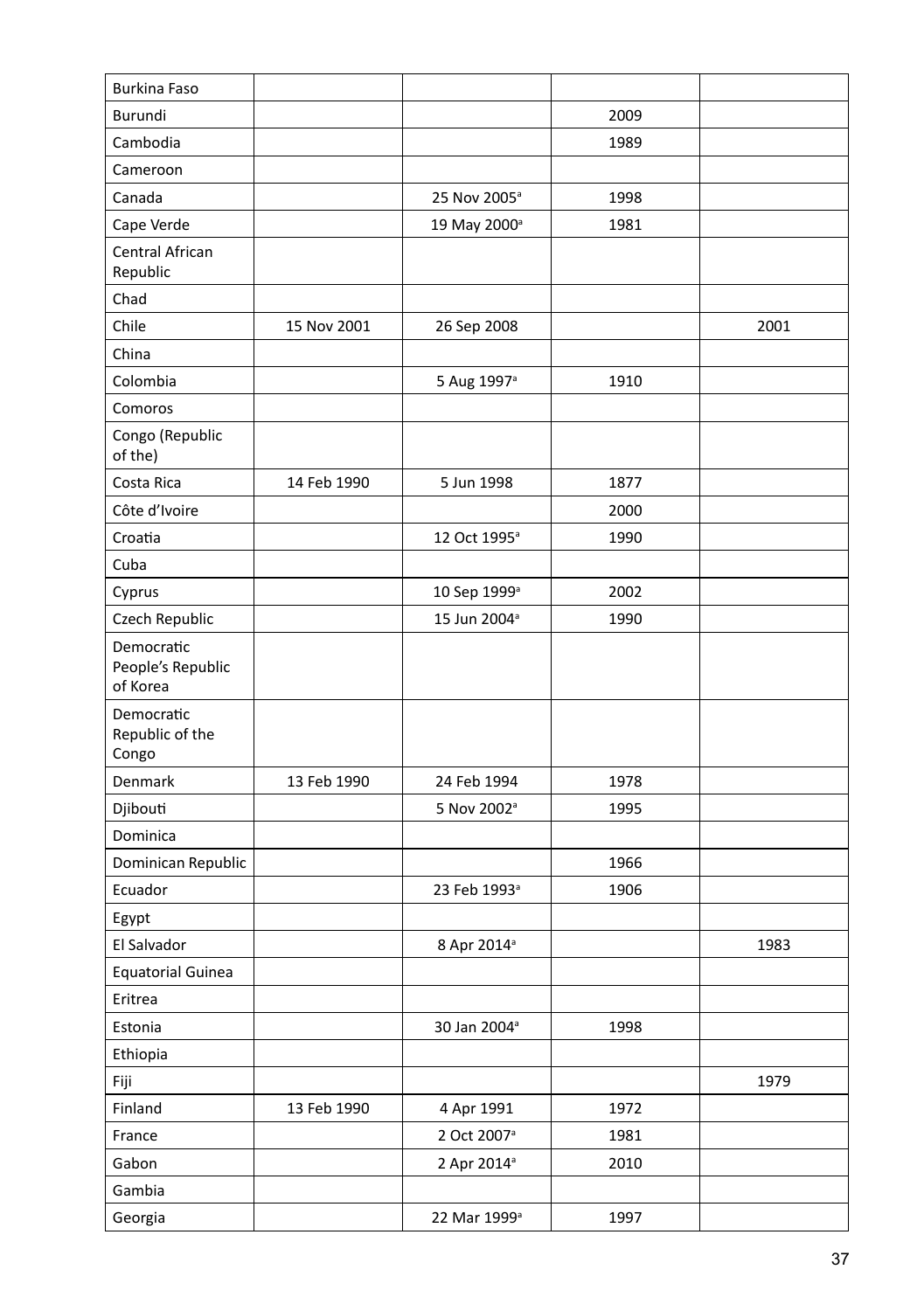| <b>Burkina Faso</b>                         |             |                          |      |      |
|---------------------------------------------|-------------|--------------------------|------|------|
| Burundi                                     |             |                          | 2009 |      |
| Cambodia                                    |             |                          | 1989 |      |
| Cameroon                                    |             |                          |      |      |
| Canada                                      |             | 25 Nov 2005 <sup>a</sup> | 1998 |      |
| Cape Verde                                  |             | 19 May 2000 <sup>a</sup> | 1981 |      |
| Central African<br>Republic                 |             |                          |      |      |
| Chad                                        |             |                          |      |      |
| Chile                                       | 15 Nov 2001 | 26 Sep 2008              |      | 2001 |
| China                                       |             |                          |      |      |
| Colombia                                    |             | 5 Aug 1997 <sup>a</sup>  | 1910 |      |
| Comoros                                     |             |                          |      |      |
| Congo (Republic<br>of the)                  |             |                          |      |      |
| Costa Rica                                  | 14 Feb 1990 | 5 Jun 1998               | 1877 |      |
| Côte d'Ivoire                               |             |                          | 2000 |      |
| Croatia                                     |             | 12 Oct 1995 <sup>a</sup> | 1990 |      |
| Cuba                                        |             |                          |      |      |
| Cyprus                                      |             | 10 Sep 1999 <sup>a</sup> | 2002 |      |
| Czech Republic                              |             | 15 Jun 2004 <sup>a</sup> | 1990 |      |
| Democratic<br>People's Republic<br>of Korea |             |                          |      |      |
| Democratic<br>Republic of the<br>Congo      |             |                          |      |      |
| Denmark                                     | 13 Feb 1990 | 24 Feb 1994              | 1978 |      |
| Djibouti                                    |             | 5 Nov 2002 <sup>a</sup>  | 1995 |      |
| Dominica                                    |             |                          |      |      |
| Dominican Republic                          |             |                          | 1966 |      |
| Ecuador                                     |             | 23 Feb 1993 <sup>a</sup> | 1906 |      |
| Egypt                                       |             |                          |      |      |
| El Salvador                                 |             | 8 Apr 2014 <sup>a</sup>  |      | 1983 |
| <b>Equatorial Guinea</b>                    |             |                          |      |      |
| Eritrea                                     |             |                          |      |      |
| Estonia                                     |             | 30 Jan 2004 <sup>a</sup> | 1998 |      |
| Ethiopia                                    |             |                          |      |      |
| Fiji                                        |             |                          |      | 1979 |
| Finland                                     | 13 Feb 1990 | 4 Apr 1991               | 1972 |      |
| France                                      |             | 2 Oct 2007 <sup>ª</sup>  | 1981 |      |
| Gabon                                       |             | 2 Apr 2014 <sup>a</sup>  | 2010 |      |
| Gambia                                      |             |                          |      |      |
| Georgia                                     |             | 22 Mar 1999 <sup>a</sup> | 1997 |      |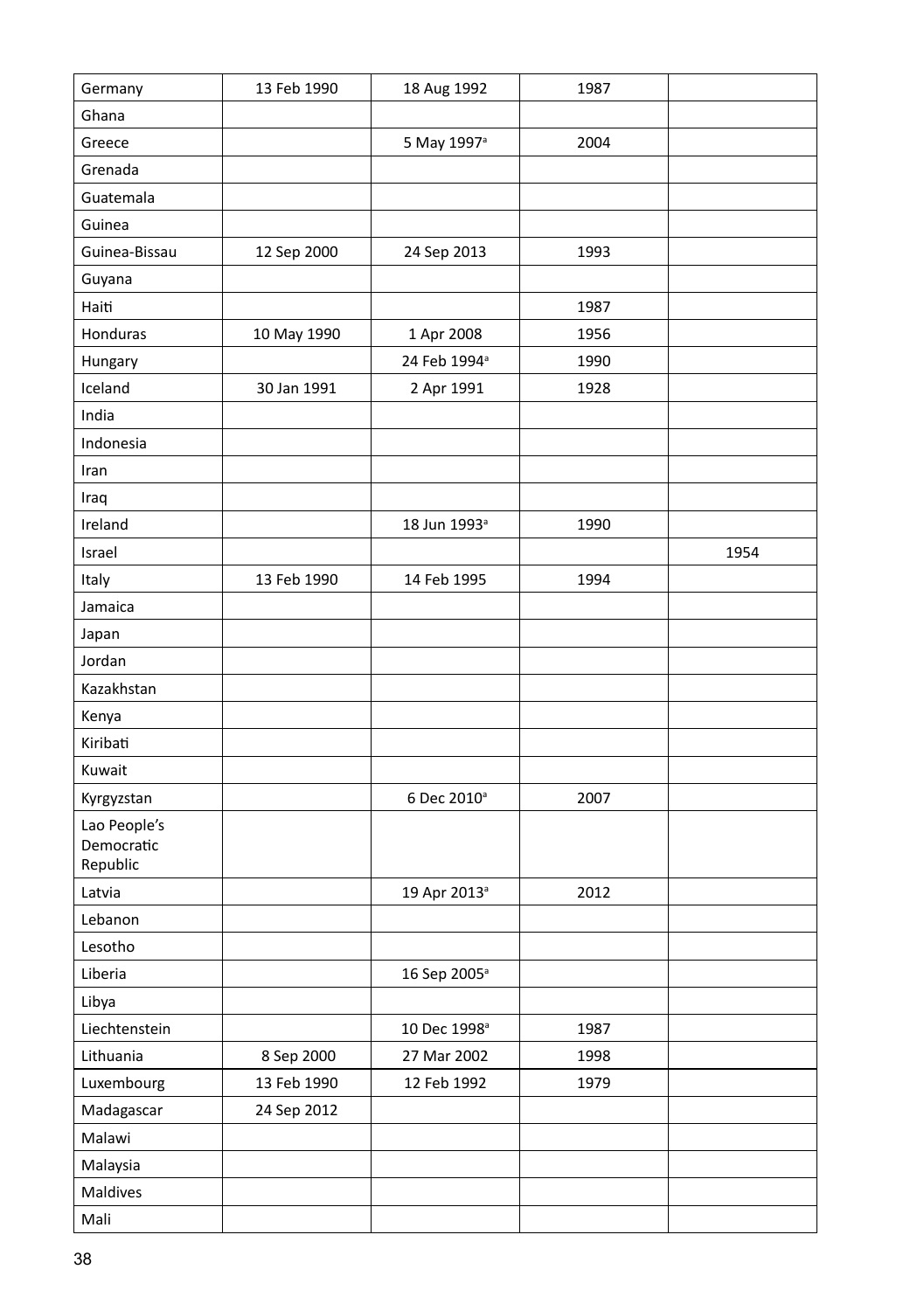| Germany                | 13 Feb 1990               | 18 Aug 1992              | 1987 |      |
|------------------------|---------------------------|--------------------------|------|------|
| Ghana                  |                           |                          |      |      |
| Greece                 |                           | 5 May 1997 <sup>a</sup>  | 2004 |      |
| Grenada                |                           |                          |      |      |
| Guatemala              |                           |                          |      |      |
| Guinea                 |                           |                          |      |      |
| Guinea-Bissau          | 12 Sep 2000               | 24 Sep 2013              | 1993 |      |
| Guyana                 |                           |                          |      |      |
| Haiti                  |                           |                          | 1987 |      |
| Honduras               | 10 May 1990               | 1 Apr 2008               | 1956 |      |
| Hungary                |                           | 24 Feb 1994 <sup>ª</sup> | 1990 |      |
| Iceland                | 30 Jan 1991               | 2 Apr 1991               | 1928 |      |
| India                  |                           |                          |      |      |
| Indonesia              |                           |                          |      |      |
| Iran                   |                           |                          |      |      |
| Iraq                   |                           |                          |      |      |
| Ireland                |                           | 18 Jun 1993 <sup>a</sup> | 1990 |      |
| Israel                 |                           |                          |      | 1954 |
| Italy                  | 13 Feb 1990               | 14 Feb 1995              | 1994 |      |
| Jamaica                |                           |                          |      |      |
| Japan                  |                           |                          |      |      |
| Jordan                 |                           |                          |      |      |
| Kazakhstan             |                           |                          |      |      |
| Kenya                  |                           |                          |      |      |
| Kiribati               |                           |                          |      |      |
| Kuwait                 |                           |                          |      |      |
| Kyrgyzstan             |                           | 6 Dec 2010 <sup>a</sup>  | 2007 |      |
| Lao People's           |                           |                          |      |      |
| Democratic<br>Republic |                           |                          |      |      |
| Latvia                 |                           | 19 Apr 2013 <sup>a</sup> | 2012 |      |
| Lebanon                |                           |                          |      |      |
| Lesotho                |                           |                          |      |      |
| Liberia                |                           | 16 Sep 2005 <sup>a</sup> |      |      |
| Libya                  |                           |                          |      |      |
| Liechtenstein          |                           | 10 Dec 1998 <sup>a</sup> | 1987 |      |
| Lithuania              |                           | 27 Mar 2002              | 1998 |      |
|                        | 8 Sep 2000<br>13 Feb 1990 | 12 Feb 1992              |      |      |
| Luxembourg             |                           |                          | 1979 |      |
| Madagascar<br>Malawi   | 24 Sep 2012               |                          |      |      |
|                        |                           |                          |      |      |
| Malaysia<br>Maldives   |                           |                          |      |      |
|                        |                           |                          |      |      |
| Mali                   |                           |                          |      |      |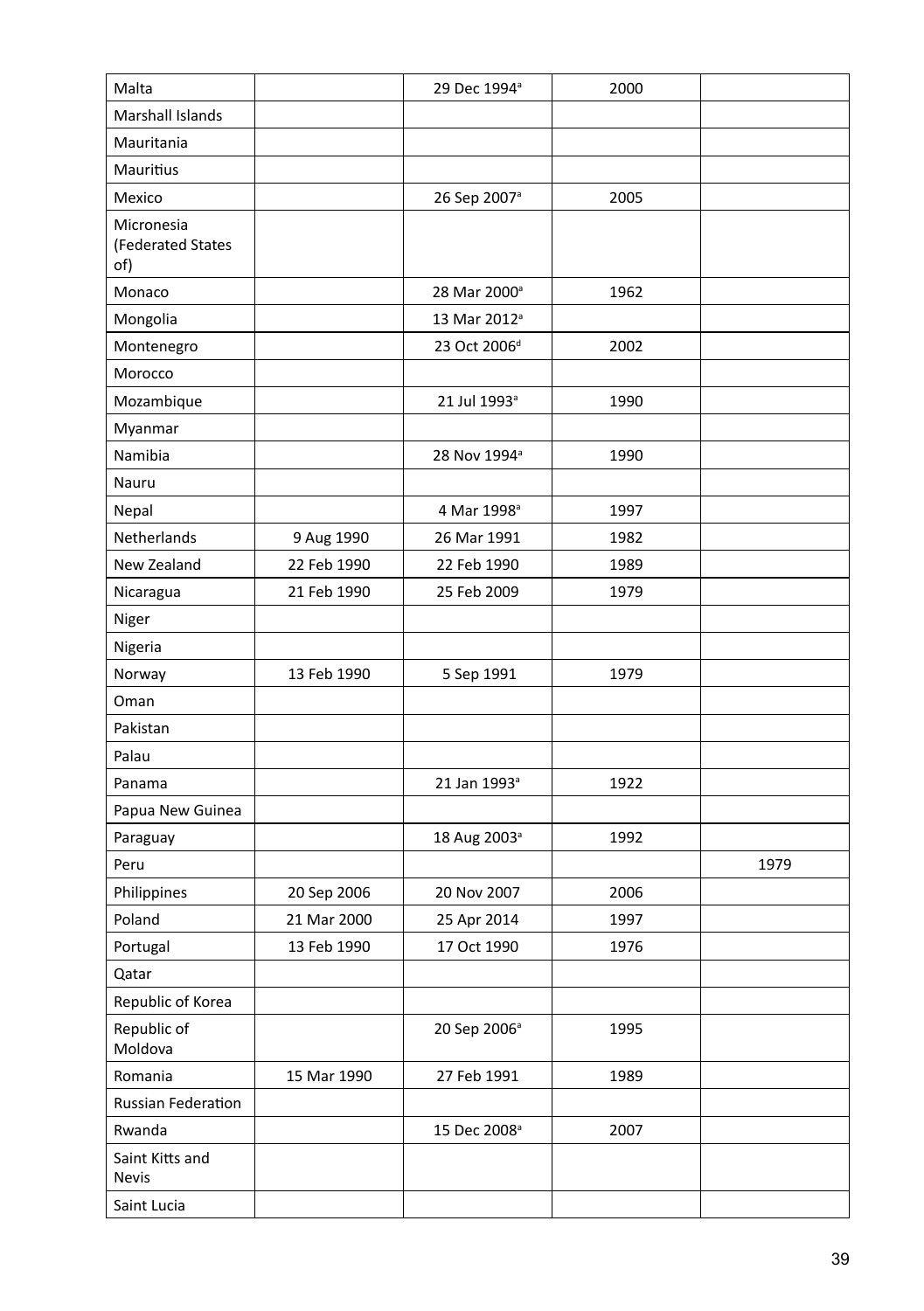| Malta                                  |             | 29 Dec 1994 <sup>a</sup> | 2000 |      |
|----------------------------------------|-------------|--------------------------|------|------|
| Marshall Islands                       |             |                          |      |      |
| Mauritania                             |             |                          |      |      |
| Mauritius                              |             |                          |      |      |
| Mexico                                 |             | 26 Sep 2007 <sup>a</sup> | 2005 |      |
| Micronesia<br>(Federated States<br>of) |             |                          |      |      |
| Monaco                                 |             | 28 Mar 2000 <sup>a</sup> | 1962 |      |
| Mongolia                               |             | 13 Mar 2012 <sup>a</sup> |      |      |
| Montenegro                             |             | 23 Oct 2006 <sup>d</sup> | 2002 |      |
| Morocco                                |             |                          |      |      |
| Mozambique                             |             | 21 Jul 1993 <sup>a</sup> | 1990 |      |
| Myanmar                                |             |                          |      |      |
| Namibia                                |             | 28 Nov 1994 <sup>a</sup> | 1990 |      |
| Nauru                                  |             |                          |      |      |
| Nepal                                  |             | 4 Mar 1998 <sup>a</sup>  | 1997 |      |
| Netherlands                            | 9 Aug 1990  | 26 Mar 1991              | 1982 |      |
| New Zealand                            | 22 Feb 1990 | 22 Feb 1990              | 1989 |      |
| Nicaragua                              | 21 Feb 1990 | 25 Feb 2009              | 1979 |      |
| Niger                                  |             |                          |      |      |
| Nigeria                                |             |                          |      |      |
| Norway                                 | 13 Feb 1990 | 5 Sep 1991               | 1979 |      |
| Oman                                   |             |                          |      |      |
| Pakistan                               |             |                          |      |      |
| Palau                                  |             |                          |      |      |
| Panama                                 |             | 21 Jan 1993 <sup>a</sup> | 1922 |      |
| Papua New Guinea                       |             |                          |      |      |
| Paraguay                               |             | 18 Aug 2003 <sup>ª</sup> | 1992 |      |
| Peru                                   |             |                          |      | 1979 |
| Philippines                            | 20 Sep 2006 | 20 Nov 2007              | 2006 |      |
| Poland                                 | 21 Mar 2000 | 25 Apr 2014              | 1997 |      |
| Portugal                               | 13 Feb 1990 | 17 Oct 1990              | 1976 |      |
| Qatar                                  |             |                          |      |      |
| Republic of Korea                      |             |                          |      |      |
| Republic of<br>Moldova                 |             | 20 Sep 2006 <sup>a</sup> | 1995 |      |
| Romania                                | 15 Mar 1990 | 27 Feb 1991              | 1989 |      |
| Russian Federation                     |             |                          |      |      |
| Rwanda                                 |             | 15 Dec 2008 <sup>a</sup> | 2007 |      |
| Saint Kitts and<br><b>Nevis</b>        |             |                          |      |      |
| Saint Lucia                            |             |                          |      |      |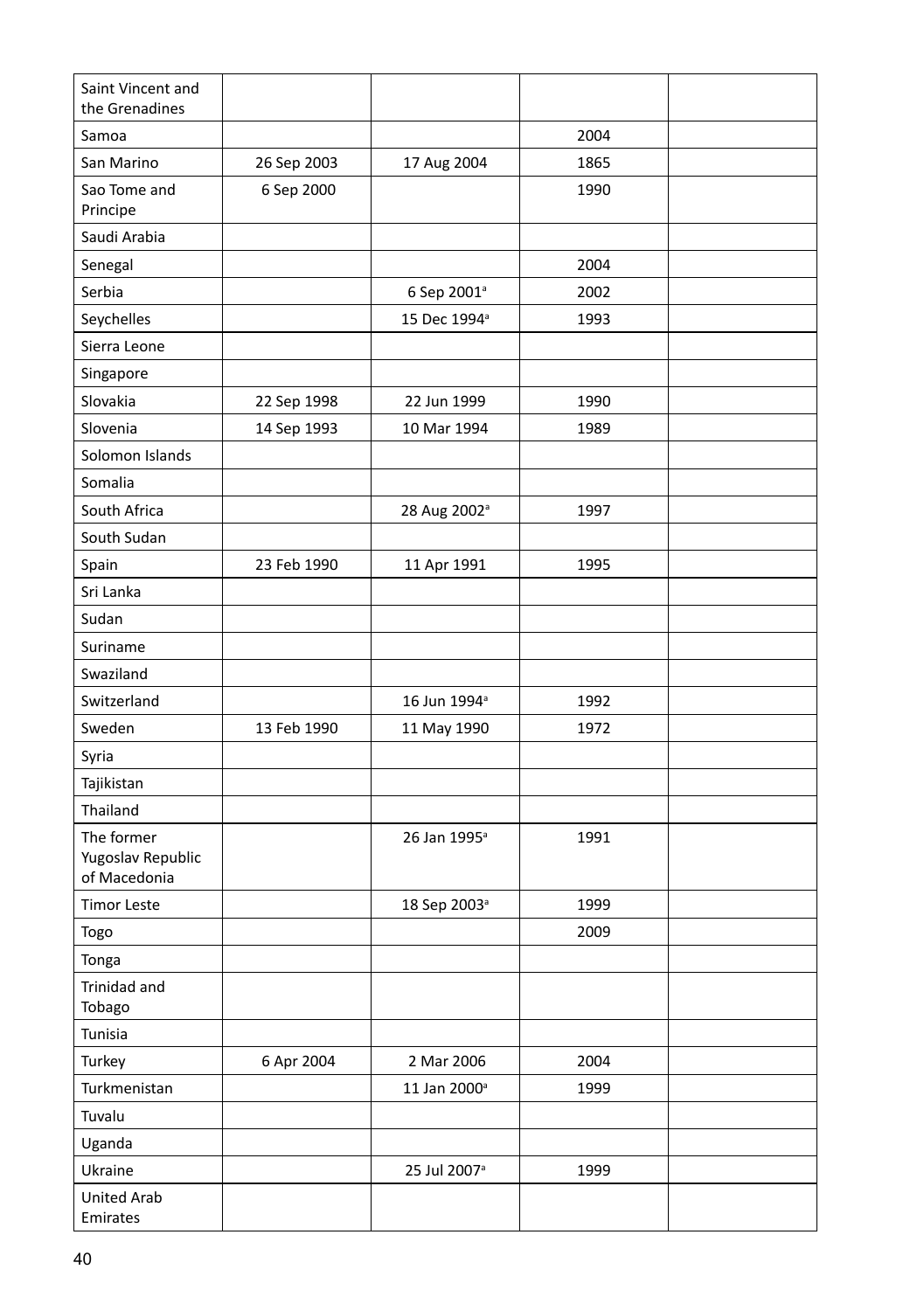| Saint Vincent and<br>the Grenadines             |             |                          |      |  |
|-------------------------------------------------|-------------|--------------------------|------|--|
| Samoa                                           |             |                          | 2004 |  |
| San Marino                                      | 26 Sep 2003 | 17 Aug 2004              | 1865 |  |
| Sao Tome and<br>Principe                        | 6 Sep 2000  |                          | 1990 |  |
| Saudi Arabia                                    |             |                          |      |  |
| Senegal                                         |             |                          | 2004 |  |
| Serbia                                          |             | 6 Sep 2001 <sup>ª</sup>  | 2002 |  |
| Seychelles                                      |             | 15 Dec 1994 <sup>a</sup> | 1993 |  |
| Sierra Leone                                    |             |                          |      |  |
| Singapore                                       |             |                          |      |  |
| Slovakia                                        | 22 Sep 1998 | 22 Jun 1999              | 1990 |  |
| Slovenia                                        | 14 Sep 1993 | 10 Mar 1994              | 1989 |  |
| Solomon Islands                                 |             |                          |      |  |
| Somalia                                         |             |                          |      |  |
| South Africa                                    |             | 28 Aug 2002 <sup>ª</sup> | 1997 |  |
| South Sudan                                     |             |                          |      |  |
| Spain                                           | 23 Feb 1990 | 11 Apr 1991              | 1995 |  |
| Sri Lanka                                       |             |                          |      |  |
| Sudan                                           |             |                          |      |  |
| Suriname                                        |             |                          |      |  |
| Swaziland                                       |             |                          |      |  |
| Switzerland                                     |             | 16 Jun 1994 <sup>a</sup> | 1992 |  |
| Sweden                                          | 13 Feb 1990 | 11 May 1990              | 1972 |  |
| Syria                                           |             |                          |      |  |
| Tajikistan                                      |             |                          |      |  |
| Thailand                                        |             |                          |      |  |
| The former<br>Yugoslav Republic<br>of Macedonia |             | 26 Jan 1995 <sup>a</sup> | 1991 |  |
| <b>Timor Leste</b>                              |             | 18 Sep 2003 <sup>ª</sup> | 1999 |  |
| Togo                                            |             |                          | 2009 |  |
| Tonga                                           |             |                          |      |  |
| Trinidad and<br>Tobago                          |             |                          |      |  |
| Tunisia                                         |             |                          |      |  |
| Turkey                                          | 6 Apr 2004  | 2 Mar 2006               | 2004 |  |
| Turkmenistan                                    |             | 11 Jan 2000 <sup>a</sup> | 1999 |  |
| Tuvalu                                          |             |                          |      |  |
| Uganda                                          |             |                          |      |  |
| Ukraine                                         |             | 25 Jul 2007 <sup>a</sup> | 1999 |  |
| United Arab<br>Emirates                         |             |                          |      |  |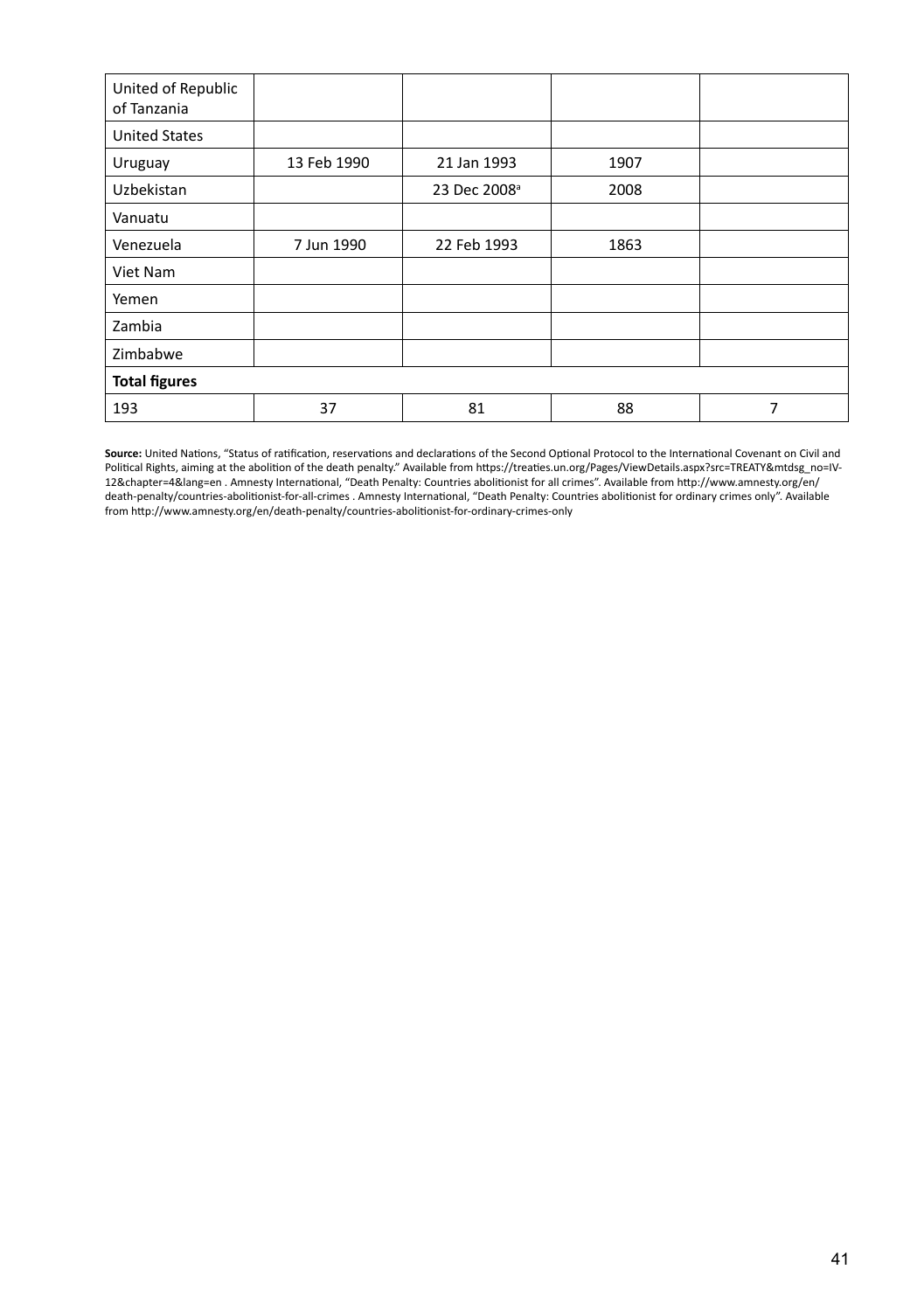| United of Republic<br>of Tanzania |             |                          |      |   |
|-----------------------------------|-------------|--------------------------|------|---|
| <b>United States</b>              |             |                          |      |   |
| Uruguay                           | 13 Feb 1990 | 21 Jan 1993              | 1907 |   |
| Uzbekistan                        |             | 23 Dec 2008 <sup>ª</sup> | 2008 |   |
| Vanuatu                           |             |                          |      |   |
| Venezuela                         | 7 Jun 1990  | 22 Feb 1993              | 1863 |   |
| Viet Nam                          |             |                          |      |   |
| Yemen                             |             |                          |      |   |
| Zambia                            |             |                          |      |   |
| Zimbabwe                          |             |                          |      |   |
| <b>Total figures</b>              |             |                          |      |   |
| 193                               | 37          | 81                       | 88   | 7 |

**Source:** United Nations, "Status of ratification, reservations and declarations of the Second Optional Protocol to the International Covenant on Civil and Political Rights, aiming at the abolition of the death penalty." Available from https://treaties.un.org/Pages/ViewDetails.aspx?src=TREATY&mtdsg\_no=IV-<br>12&chapter=4&lang=en . Amnesty International, "Death Penalty: Countries death-penalty/countries-abolitionist-for-all-crimes . Amnesty International, "Death Penalty: Countries abolitionist for ordinary crimes only". Available from http://www.amnesty.org/en/death-penalty/countries-abolitionist-for-ordinary-crimes-only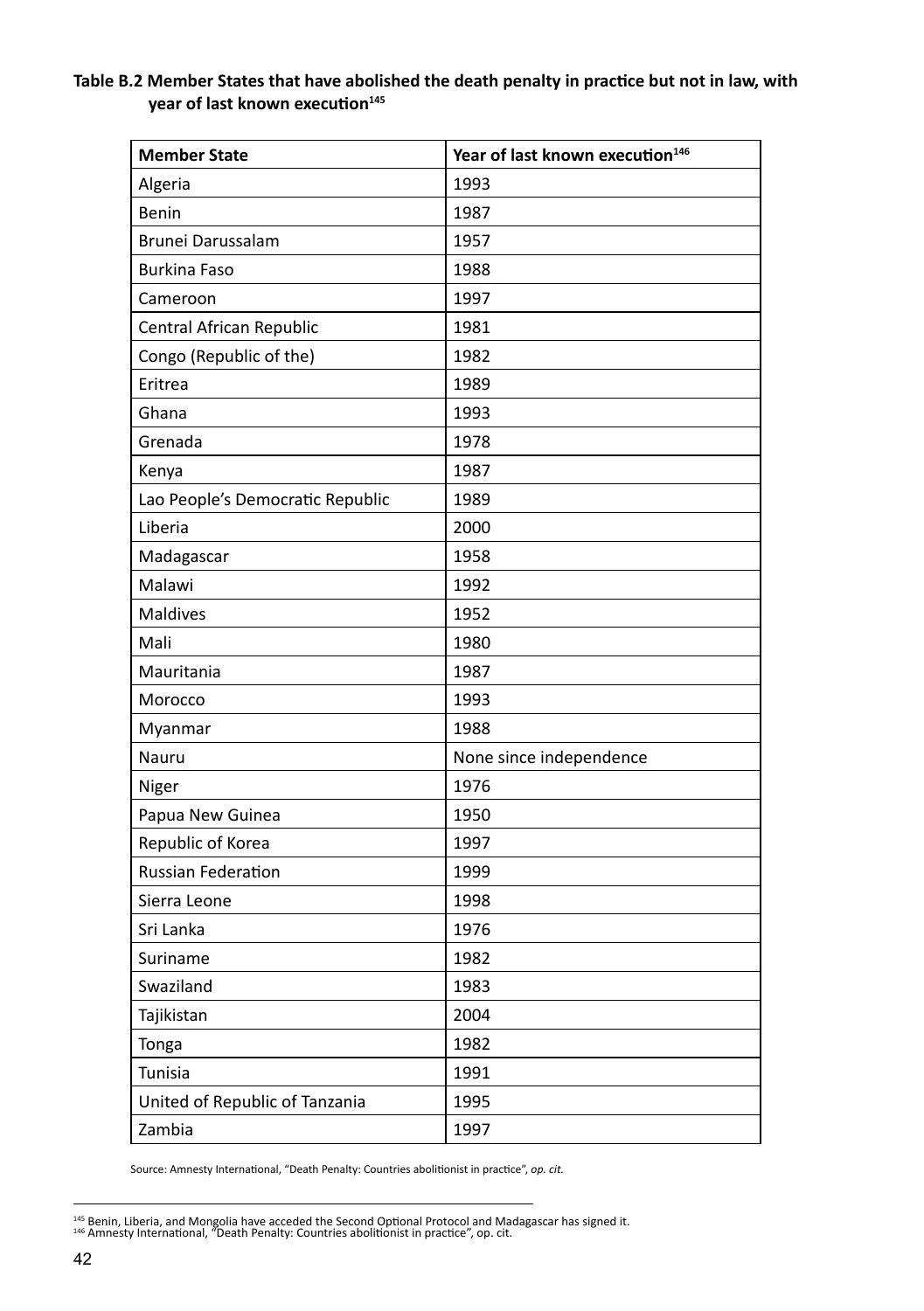#### **Table B.2 Member States that have abolished the death penalty in practice but not in law, with year of last known execution<sup>145</sup>**

| <b>Member State</b>              | Year of last known execution <sup>146</sup> |
|----------------------------------|---------------------------------------------|
| Algeria                          | 1993                                        |
| Benin                            | 1987                                        |
| Brunei Darussalam                | 1957                                        |
| <b>Burkina Faso</b>              | 1988                                        |
| Cameroon                         | 1997                                        |
| Central African Republic         | 1981                                        |
| Congo (Republic of the)          | 1982                                        |
| Eritrea                          | 1989                                        |
| Ghana                            | 1993                                        |
| Grenada                          | 1978                                        |
| Kenya                            | 1987                                        |
| Lao People's Democratic Republic | 1989                                        |
| Liberia                          | 2000                                        |
| Madagascar                       | 1958                                        |
| Malawi                           | 1992                                        |
| Maldives                         | 1952                                        |
| Mali                             | 1980                                        |
| Mauritania                       | 1987                                        |
| Morocco                          | 1993                                        |
| Myanmar                          | 1988                                        |
| Nauru                            | None since independence                     |
| Niger                            | 1976                                        |
| Papua New Guinea                 | 1950                                        |
| Republic of Korea                | 1997                                        |
| Russian Federation               | 1999                                        |
| Sierra Leone                     | 1998                                        |
| Sri Lanka                        | 1976                                        |
| Suriname                         | 1982                                        |
| Swaziland                        | 1983                                        |
| Tajikistan                       | 2004                                        |
| Tonga                            | 1982                                        |
| Tunisia                          | 1991                                        |
| United of Republic of Tanzania   | 1995                                        |
| Zambia                           | 1997                                        |

Source: Amnesty International, "Death Penalty: Countries abolitionist in practice", *op. cit.*

<sup>&</sup>lt;sup>145</sup> Benin, Liberia, and Mongolia have acceded the Second Optional Protocol and Madagascar has signed it.<br><sup>146</sup> Amnesty International, "Death Penalty: Countries abolitionist in practice", op. cit.